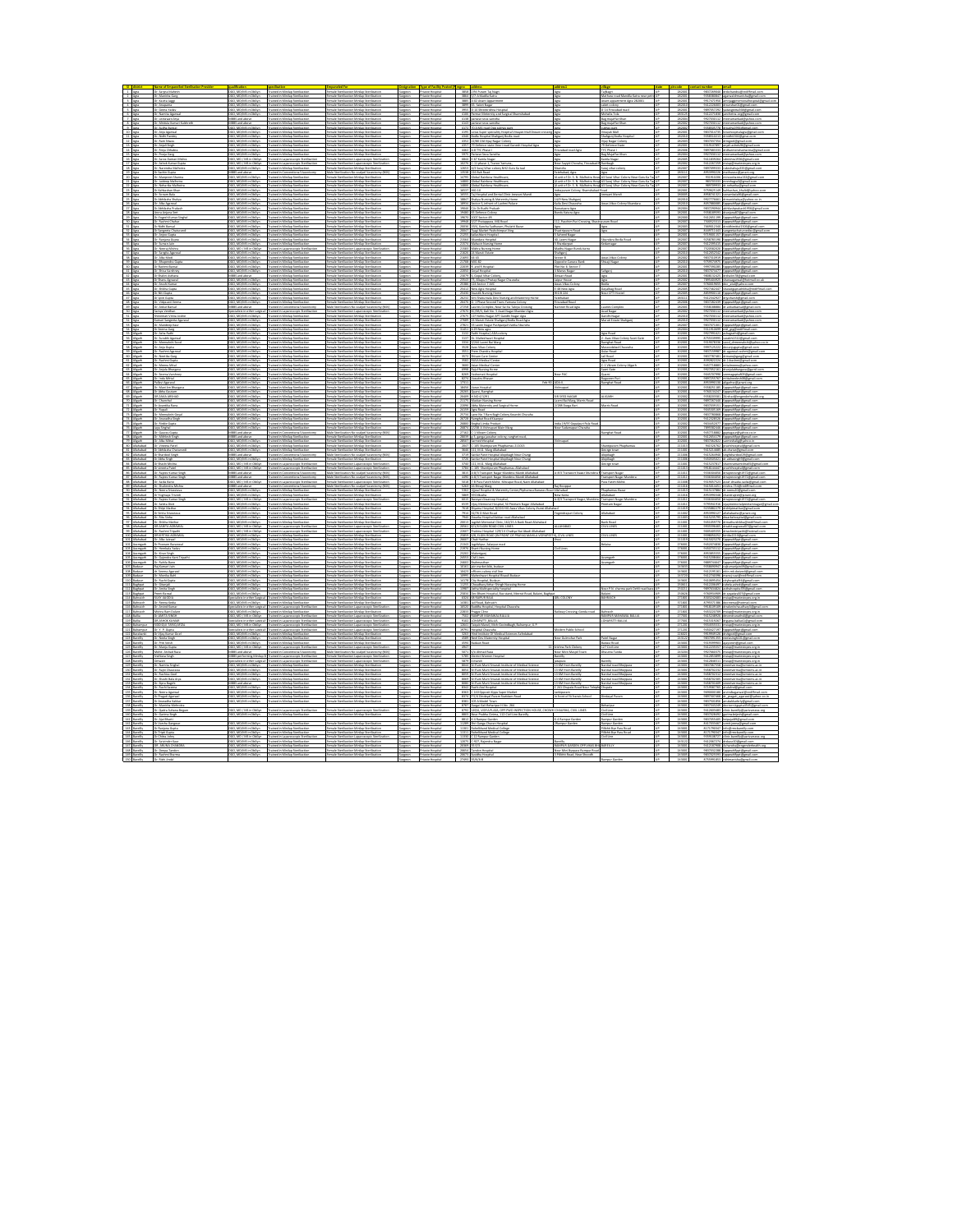|                                                                                      |                                                                   |                                                                                                                               |                                                                                                  |                          |                                                                  | 3858 2 RK Puram Tai N<br>3864 5/7-A Madia Kat                                                                                                                                                                                              |                                                     |                                                                                                                           |                          |                                                                                                       |
|--------------------------------------------------------------------------------------|-------------------------------------------------------------------|-------------------------------------------------------------------------------------------------------------------------------|--------------------------------------------------------------------------------------------------|--------------------------|------------------------------------------------------------------|--------------------------------------------------------------------------------------------------------------------------------------------------------------------------------------------------------------------------------------------|-----------------------------------------------------|---------------------------------------------------------------------------------------------------------------------------|--------------------------|-------------------------------------------------------------------------------------------------------|
|                                                                                      |                                                                   |                                                                                                                               |                                                                                                  |                          |                                                                  |                                                                                                                                                                                                                                            |                                                     |                                                                                                                           |                          |                                                                                                       |
|                                                                                      |                                                                   |                                                                                                                               |                                                                                                  |                          |                                                                  | $\begin{array}{r} 4800 \\ 2800 \\ 2955 \\ 4106 \end{array}$                                                                                                                                                                                |                                                     |                                                                                                                           |                          |                                                                                                       |
| Mridula Kum                                                                          |                                                                   | ined in Minlap Sterilizati<br>ined in Minlap Sterilizati<br>ined in Minlap Cterilizati                                        | ale Sterlization Minilap Sterlizat<br>ale Sterlization Minilap Sterlizat                         |                          |                                                                  | iwar seva sanstha<br>A MG road Opp subhas pa                                                                                                                                                                                               |                                                     |                                                                                                                           |                          | eramankad@yahoo.<br>udha1956@gmail.co<br>0027033<br>0358505                                           |
|                                                                                      |                                                                   |                                                                                                                               |                                                                                                  |                          |                                                                  |                                                                                                                                                                                                                                            |                                                     |                                                                                                                           |                          |                                                                                                       |
|                                                                                      | no. Marina in Oblam<br>20, Marina in Oblam<br>20, Marina in Oblam | ened in Ministo Sterilizatio<br>Aned in Ministo Sterilizatio<br>Aned in Ministo Sterilizatio<br>Aned in Ministo Sterilizatio  | ale Sterikration Minilao Sterikrati<br>ale Sterikration Minilap Sterikrati                       |                          |                                                                  | $\frac{436}{422}$                                                                                                                                                                                                                          |                                                     |                                                                                                                           |                          |                                                                                                       |
| <b>Bink China</b><br>r. Popia Gara                                                   | CO MOGUS IN ONCH<br>GO, MD/MS in ObGyn                            | sined in Minilao Sterilizatio                                                                                                 | male Sterilization Minilao Sterilizatio                                                          | menan                    | hivate Hospita<br>Mivate Hospita                                 | otus Super uneciality Hos<br>Iodia Hosoital Shaheani B<br>12/80 Old Vijay Nagar Cole<br>14 Defence state Deori no<br>Iarlwar Seva Sanstha                                                                                                  |                                                     | TVC Dhas<br><b>Bar Mujaffar Kha</b>                                                                                       | 293006                   | 080768333<br>eeramankad@yahoo.com                                                                     |
| r. Arhok Kumar Guzt                                                                  | GO, MD / MS in ObGen                                              | ained in Laparpscopic Steriliz                                                                                                | emale Sterlization Lagaroscopic Sterliz                                                          | <b>CONTE</b>             | rouse Hospital<br>Private Hospital<br>Private Hospital           | 10276 C-11 phase-1. Trance Yarnung                                                                                                                                                                                                         | Vear Sayyid Choraha, Firozaba                       | <b>Rambanh</b>                                                                                                            |                          | 94118292<br>up@mariestopes.com                                                                        |
| Namodra Malho<br><b>Sachin Gunt</b>                                                  | 50. MD/MS in ObGyn<br><b>DOS</b> and about                        | ined in Minilao Sterilizat<br>ined in Conventional Vase                                                                       | nale Sterlization Minilao Sterlizati<br>fale Stenlization No-scalpel Vasectors                   | <b>creat</b>             | <b>Yivate Hospit</b>                                             | 12653 A/3 Surai Vihar colony NH2 Guru Ka<br>12538 216 Rah Road                                                                                                                                                                             | stababad Aero                                       | iurai vihar coli                                                                                                          | 202002<br>2011           | 941226729<br>keshahuja 223 @email.<br>89529902                                                        |
| .<br>Manpreet Sharma<br>r. Jaideep Malhot                                            | m3d0. MD/MS in ObGyn<br>50, MD/MS in ObGyn                        | ained in Minilao Sterilization<br>ined in Minilap Sterilizatio                                                                | emale Sterilization Minilao Sterilization<br>male Sterilization Minilap Sterilizatio             | centu<br>coagu           | Private Hospital<br><b>Yivate Hospits</b>                        | 14795 Global Rainbow Healthcare.<br>14800 G<br>lobal Rainbow Healthcan                                                                                                                                                                     | A unit of Dr. S. N. M                               | .<br>A unit of Dr. S. N. Malhotra Hosp A3 Surai Vihar Colony Near Guru Ka Ta<br>osp A3 Suraj Vihar Colony Near Guru Ka Ta | 28200<br>282007          | 931932200<br>noosharma132@amail.<br>98370333<br>nhagra3@gmail.com                                     |
| Maharika Mall<br>Kabkashan Khan                                                      | GO, MD/MS in ObGyn                                                | ained in Minilao Sterilization                                                                                                | male Sterilization Minilao Sterilization                                                         | mean                     | <b>Musha Mos</b><br>Youte Hospital                               | 1,4906 0<br><b>Chai</b> Pain<br>16537 HIG-10                                                                                                                                                                                               | A unit of Dr. S. N. N<br>draguram Colony.           | $-436$<br>d Road                                                                                                          | 282000                   | 9759625149<br>hkashan khalidillyahoo                                                                  |
| r. Sonam Bala<br>r Abhilasha Shakya                                                  | GO, MD/MS in ObGyn<br>50, MD/MS in ObGyn                          | ained in Minilap Sterilization<br>sined in Minilap Sterilizatio                                                               | male Sterilization Minilap Sterilization<br>male Sterlization Minilap Sterlizatio                | rongu<br>congu           | Private Hospital<br><b>Yrivate Hospits</b>                       | 16555 Taj Hospital and Dental Clinic Jeewani Mand<br>18847 Shakya Nursing & Maternity Hom                                                                                                                                                  | 4/9 New Shahgani                                    | Jenuari Mand                                                                                                              | 280005<br>282030         | 8958741221<br>nambala86@gmail.com<br>992777666<br>anishakya@yahoo.co.i                                |
| r. Alica Amanya<br>X Abhilasha Prakast                                               | IGO, MD/MS in ObGyn                                               | tained in Minilap Sterilization                                                                                               | emale Sterilization Minilap Sterilization                                                        | Lugeon                   | Wyate Hospit<br>Private Hospital                                 | 19046 C/o Dr Budhi Prakash                                                                                                                                                                                                                 | ala Devi C<br>Rawatpara Agra                        |                                                                                                                           | 282004                   | 9837292944 abhilashprakash1956@gmail.co                                                               |
| ora Anjana Smt                                                                       | 50, MD/MS in ObGyn                                                | sined in Minilap Sterilization                                                                                                | male Sterilization Minilap Sterilization                                                         | congui                   | Private Hospital                                                 | 19480 65 Defence Colony                                                                                                                                                                                                                    | undu Katara Agra                                    |                                                                                                                           | 282000                   | 9358189593 d<br>anjana87@gmail.com                                                                    |
| r. Rashmi Chaha<br>Tansa Vibin                                                       | GO, MD/MS in ObGyn<br>GO, MD/MS in ObGyn                          | ained in Minlap Sterlization<br>rained in Minlap Sterlization                                                                 | enale Sterlization Minilap Sterlization<br>enale Sterlization Minilap Sterlization               | congus<br>congui         | Private Hospital<br>Private Hospital                             | 19948 3/27 Pratappura, MG Road<br>20036 19/4, Kuncha Sadhuram, Phulatti Baza                                                                                                                                                               | 112, Paschim Puri C<br>Agra                         | suram Road<br>Agra                                                                                                        | 282007<br>282003         | 7500523313 ft<br>ppeahlfppt@gmail.com<br>7669012340 dmidtimital1506@grail.com                         |
| Sanzeets Cha<br>r. Anjoo Gupta                                                       | 0. MD/MS in ObGyr<br>50, MD/MS in ObGyn.                          | ined in Minilao Sterilizatio<br>ined in Minlap Sterlization                                                                   | nale Sterlization Minilao Sterlizatio<br>enale Sterlization Minilap Sterlizatio                  | congui                   | <b>Wate Hough</b><br>Wwate Hospita                               | 20047<br>an Market Pashchimpuri Xing<br>21255 kallashkant Hospital                                                                                                                                                                         | Saheed Nagar                                        |                                                                                                                           | 29200                    | 844971144<br>neetachaturvediscillem<br>971900115<br>ppeahlfppt@gmail.com                              |
| r. Ranjana Gupta<br>Surran Jain                                                      | 50, MD/MS in ObGyn<br>3. MD/MS in ObGyn                           | sined in Minilap Sterilization                                                                                                | male Sterilization Minilap Sterilizatio                                                          | cosyu                    | Wwate Hospital                                                   | 21564 Skandara Hospital<br>21576<br>tayir Numine Home                                                                                                                                                                                      | IO, Laxiti Nagar                                    | Sikandara Bodia Roa                                                                                                       | 28200                    | 9258783190<br>opeahlfppt@gmail.com<br>94123954<br>peahlfoot (femail.com                               |
| Dr. Neeral Misha<br>Dr. Sangita Agane<br>Alice Mod                                   | 0. MD / MS in ObGet                                               |                                                                                                                               |                                                                                                  |                          |                                                                  | 21583 M<br>Ishra Nunine Home<br>21626 24 Maruti Estate                                                                                                                                                                                     | <b>Ischu Nazar Buni</b><br><b>Dahganj</b>           |                                                                                                                           | 28200                    | 7520582<br>peablfoot@email.com<br>941265254<br>peahlfppt@gmail.co                                     |
|                                                                                      |                                                                   |                                                                                                                               |                                                                                                  |                          |                                                                  | 21708 MG 82                                                                                                                                                                                                                                |                                                     |                                                                                                                           |                          | 975853497                                                                                             |
|                                                                                      |                                                                   |                                                                                                                               |                                                                                                  |                          |                                                                  |                                                                                                                                                                                                                                            |                                                     |                                                                                                                           |                          |                                                                                                       |
|                                                                                      |                                                                   |                                                                                                                               |                                                                                                  |                          |                                                                  | 23079 6<br>23543 7                                                                                                                                                                                                                         |                                                     | iga                                                                                                                       |                          |                                                                                                       |
|                                                                                      |                                                                   |                                                                                                                               |                                                                                                  |                          |                                                                  |                                                                                                                                                                                                                                            |                                                     |                                                                                                                           |                          | eahlfopt@gmai                                                                                         |
|                                                                                      |                                                                   |                                                                                                                               |                                                                                                  |                          |                                                                  |                                                                                                                                                                                                                                            |                                                     |                                                                                                                           |                          |                                                                                                       |
| a, yannati ya<br>a <i>Jeku</i> r Bansa<br>amya Verdhan                               | CO MO/Mo =<br>NGC and above                                       | sined in Miniko Sterikzellon<br>sined in Conventional Vasect<br>sined in Laparoscopic Sterikz<br>sined in Miniko Sterikzation | lale Sterilization No-scalpel Vasectorry (NS)                                                    |                          | Yivate Hospita<br>Yivate Hospita<br>Yivate Hospita               | - 1 vrase secont room memore Control<br>suries Complex, Near Sai Ka Takiya Cro<br>C/SB/S, Gali No- 5 Azad Nagar Khandar<br>IF Nehru Nazar APT Gandhi Nazar Aera                                                                            | mner Road Agr.                                      | Lauries Comp                                                                                                              |                          | 9812442427<br>9837382439<br>9927030112<br>oonahifootiilumail<br>  arkutaarsal@gma<br> eeramarkad@yaho |
|                                                                                      | CO. MD/MS in ObGyr<br>GO, MD/MS in ObGyn                          | ined in Minilao Sterilizati                                                                                                   | emale Sterlization Minilao Sterlizatio                                                           |                          |                                                                  | 27689 24 Maruti Estate Shaheani Bodia Road Am                                                                                                                                                                                              |                                                     | Maruti Estate Shah                                                                                                        |                          |                                                                                                       |
| .<br>Dr. Mandeep Kaur<br>Dr. Asha Rath                                               | GO, MD/MS in ObGyn                                                | ained in Minilap Sterikzatio<br>sined in Minilap Sterilizat                                                                   |                                                                                                  | urgeon<br>Lugeon         | Private Hospita<br>Winte Hospi<br>Wate Hospit                    | 27821 23 Laurei Nagar Pushpanjali Vatika Sikandr<br>31451 - A 29 New aera<br>31451 A<br>thi Hospital, ADA colon                                                                                                                            |                                                     | Agra Road                                                                                                                 |                          | 9837071001 fpppeahlfppt@gmail.com<br>9311933699<br>992790621<br>agrathi@gmail.co                      |
| r. Surabhi Azare<br>.<br>X. Meenakahi Soo                                            | CO. MD/MS in ObGyn                                                | ained in Minilao Sterijizatio                                                                                                 | emale Sterlization Minilao Sterlizatio                                                           | unneon                   | rivate Hospit<br><b>Yivate Hospits</b>                           | Maheshwad Hospita<br>3334 3/244 Laurai Bai Marg                                                                                                                                                                                            |                                                     | <b>Ramehat Roa</b>                                                                                                        |                          | 931907833<br>od drmenakshifra                                                                         |
| x. Anju Gupta<br>.<br>Dr. Rashmi Agarw                                               | GO, MD/MS in ObGyn<br>50, MD/MS in ObGyn                          | tained in Minilap Sterilizatio<br>sined in Minilap Sterilizati                                                                | emale Sterilization Minilap Sterilizatio<br>enale Sterlization Minilap Sterlizat                 | congui<br>congu          | Yivate Hospital<br><b>Yivate Hospits</b>                         | 2528 Auss Vikas Colony<br>2551 <sup>P</sup><br>em Chandra Hospital                                                                                                                                                                         |                                                     | Masocdabad Cha<br>Gular Road                                                                                              | 20200<br>20200           | 9997125222<br>acanjugupta@gmail.com<br>ragarwal.rashmi@gmail<br>9837199987 d                          |
| r. Neetika Gan<br>r. Rashmi Guota                                                    | O MOAK Is ONGH<br>GO, MD/MS in ObGyn                              | inad in Minilan Quell<br>ained in Minilao Sterilization                                                                       | amala Quellivation Minilan Quel<br>enale Sterlization Minilao Sterlization                       | <b>CORPOR</b>            | <b>Murate Mossell</b><br><b>Wate Hospital</b>                    | ram Cane Cente<br>3582 RUSA Medical Center                                                                                                                                                                                                 |                                                     | al Daad<br>hera Road                                                                                                      | 20200                    | 0837787.60<br>8392822224 dr. Mrashmi@email.com                                                        |
| ir. Meenu Mital<br>r. Ankala ühanea                                                  | 50, MD/MS in ObGyn<br>O. MD/MS in ObGyn                           | tained in Minilap Steriization<br>ined in Minilao Sterilizatio                                                                | enale Sterlization Minilap Sterlizatio<br>erale Stefäzztige Minitez Sterilizati                  | coagu                    | <b>Yivate Hospital</b><br><b>Wate Hosp</b>                       | 3600<br>sian Medical Center<br>6998 Raiul Nursing Home                                                                                                                                                                                     |                                                     | C-1 Wizam Colony A<br>ani Gri                                                                                             | 20200                    | 9457718883<br>talmeetu@yahoo.com<br>niulabhanny aifi ea mì<br>9927052161                              |
| Dr. Seema Vanhoe<br>r. Indu Mittal                                                   | 60.MD/MS in Oblive<br>GO, MD/MS in ObGyn                          | tained in Minilao Sterlizzion<br>tained in Minilap Sterilization                                                              | enale Sterlization Minilao Sterlizatio<br>enale Sterilization Minilap Sterilizatio               | cessu<br>urgean          | <b>Informe Hospital</b><br>Wate Hospital                         | 4269 Vashomati Hospital<br>8274 Vasudey Bhayan                                                                                                                                                                                             |                                                     | Darej.<br><b>Raguveer Puri</b>                                                                                            | 202000<br>202000         | 9045707990 seemagusta@9dfemail.co.<br>9897255767<br>VitalneeleshOR@gmail.co                           |
| lavi Asanya<br>Dr. Mani km Bhans                                                     | 40-MD/MS in Oblive                                                | ined in Minilao Sterlitzation                                                                                                 | enale Sterlington Minited Sterlington                                                            | reen.                    | <b>Wate Hospita</b>                                              | 17211<br>19456 Varun Hospital                                                                                                                                                                                                              |                                                     |                                                                                                                           | 20200                    | 0358251185<br>peabl'optileral.com                                                                     |
| Abha Gautam<br>DR ZAKIA ARSHAD                                                       | 50, MD/MS in ObGyn<br>GO, MD/MS in ObGyn                          | ained in Minlap Sterlization<br>ained in Minlap Sterlization                                                                  | emale Sterlization Minilap Sterlization<br>emale Sterlization Minilap Sterlizatio                | cosyu<br>cosyu           | Wwate Hospital<br><b>Wate Hospital</b>                           | 20265 Quard, Ramghat<br>20409 H/NO 4/1291                                                                                                                                                                                                  | SIR SYED NAGAR                                      | <b>ALIGARH</b>                                                                                                            | 202000<br>202002         | 9760134247<br>opeahlfopt@gmail.com<br>9358203581 ZAnhad@engenderhealth.c                              |
| Chanchai<br>Dr.Avantika Ran                                                          | O. MD/MS in ObGyn<br>50, MD/MS in ObGyn                           | ned in Minilao Sterilizatio<br>ined in Minilap Sterilizatio                                                                   | nale Sterlization Minilag Sterlizat<br>male Sterlization Minilap Sterlizatio                     | rgeon                    | vate Hospits<br>rivate Hospita                                   | 21175<br>uskan Numine i<br>22006 Abha Matern<br>24159 Agra Road<br>bha Matemity and                                                                                                                                                        | 288 Durga Ba                                        |                                                                                                                           | 20200                    | 9897267440<br>peablfoot@email.com<br>9837039151<br>peahlfppt@gmail.com                                |
| Dr. Rupali<br>Memalah                                                                | GO, MD/MS in ObGyn<br>0. MD/MS in ObGyn                           | sined in Minlap Sterlization<br>ned in Minilao Steriliz                                                                       | emale Sterlization Minilap Sterlizatio                                                           | congu                    | Wwate Hospital                                                   | 25726<br>ne No 7 Ran                                                                                                                                                                                                                       |                                                     |                                                                                                                           | 202000                   | 9045305169<br>opeahlfppt@gmail.com<br>993779086<br>peablfoot@email.c                                  |
|                                                                                      | 0, MD/MS in ObGyn                                                 |                                                                                                                               |                                                                                                  |                          |                                                                  | 26728 \$<br>26800 SI<br>ighal Limk                                                                                                                                                                                                         |                                                     |                                                                                                                           | 2020                     | 9412228<br>9634452<br>seahifppt@gma                                                                   |
|                                                                                      | 3. MD/MS in ObGyn                                                 |                                                                                                                               |                                                                                                  |                          |                                                                  | 26874 2<br>27162 C<br>238 A Vid                                                                                                                                                                                                            |                                                     |                                                                                                                           |                          | 7895582                                                                                               |
|                                                                                      |                                                                   |                                                                                                                               |                                                                                                  |                          |                                                                  |                                                                                                                                                                                                                                            |                                                     |                                                                                                                           |                          |                                                                                                       |
|                                                                                      | 0. MD/MS in ObGyn<br>0, MD/MS in ObGyn                            |                                                                                                                               |                                                                                                  |                          |                                                                  | $rac{2047}{3646}$                                                                                                                                                                                                                          |                                                     |                                                                                                                           |                          | 04152676<br>resistat@an<br>tun@gruul.c                                                                |
|                                                                                      |                                                                   |                                                                                                                               |                                                                                                  |                          |                                                                  |                                                                                                                                                                                                                                            |                                                     |                                                                                                                           |                          |                                                                                                       |
|                                                                                      |                                                                   | ined in Conventional Vasectomy<br>ined in Conventional Vasectomy                                                              | lale Sterilization No-scalpel Vasectorny (NSV)<br>lale Sterilization No-scalpel Vasectorny (NSV) |                          | rivate Hospita<br>Nate Hospita                                   |                                                                                                                                                                                                                                            |                                                     |                                                                                                                           |                          | sienstrehl972#ernall<br>ajeevsingh1972#gmail.                                                         |
| ur vennta vater<br>Dr. Rainey Kumar Sing<br>Dr. Rajney Kumar Sing<br>Dr. Sadia ikano | <b>SIG and above</b>                                              | sined in Lagaroscopic Sterilizatio<br>sined in Conventional Vasectors                                                         | lala Starilingting No. angload Vasantong (NO)                                                    |                          | <b>Yivate Hospit</b><br>Wivate Hospita                           | 1994 - C-Din Selemboran Massachusettsu Material Allendon<br>1985 - Adi 7 Transport Nagar Munders Marid Allendon<br>1998 - T-B Para Fateh Mehdi Materialar Marid Allahaba<br>1998 - T-B Para Fateh Mehdi Mirrapar Road, Naini Allah<br>1999 | <b>Buildings</b>                                    | nsport Nagar Mund<br>a Fateh Mohd                                                                                         | 2110                     | 041501445<br>they 734 Boud Manufacturer                                                               |
| x. Neery Scivastav<br><b>Cr Yomaya Trived</b>                                        | CO. MD/MS in ObGyn<br>CO. MO/MS in ObGyn                          | ined in Minilao Sterijization<br>sined in Minilao Sterilizatio                                                                | nale Sterikzation Minilao Sterikzatio<br>nale Sterikzation Minilao Sterikzatio                   |                          | Yivate Hospit<br><b>Yivate Hospits</b>                           | 5362 U<br>.<br>Wal Hospital & Maternity Center Phphamau Banaras R<br>saca sa naveles                                                                                                                                                       |                                                     | Phachamau Baz                                                                                                             | ------<br>21102<br>21100 | 9415122884<br>eers20@email.com<br>80520923                                                            |
| .<br>Dr. Raieey Kumar Sine<br>Dr. Sabita Dixit                                       | GO, MD / MS in ObGen<br>50, MD/MS in ObGyn                        | sined in Laparoscopic Sterilizar<br>ined in Minilap Sterilizatio                                                              | emale Sterlization Lagamacogic Sterlizatio<br>male Sterilization Minilap Sterilizatio            | centu<br>urgean          | Private Hospital<br>Private Hospital                             | 6015 Naravan Swaroop Hospital<br>6539 Vijay Memorial Hospital, 50 Preetam Nagar Allahabad                                                                                                                                                  | New Katra<br>A-8/3 Transport Namir, Munders         | Transport Narar Mun<br>eetam Naga                                                                                         | 211011<br>211011         | 0336304050<br>rale evolvati (972/Demail.com<br>aymemorialpreetam tagari                               |
| r. Shilai Mathu<br>.<br>Ir Smita Scivastas                                           | CO. MD/MS in ObGyn                                                | ned in Minilao Steriizati<br>ained in Minilao Sterilizatio                                                                    | emale Sterilization Minilao Sterilizatio                                                         | .<br>mean                | Youte Hough                                                      | sama Hospital, \$/226 HG<br>7914 32/76 D Muir Road                                                                                                                                                                                         |                                                     |                                                                                                                           | 21100                    | 92358822<br>loimathun@email<br>RSG20001<br>habadıcılikanıni.cre                                       |
| Dr. Ritu Sinha<br>Dr. Shiidha Mathu                                                  | IGO, MD/MG in ObGyn<br>50, MD/MS in ObGyn                         | ained in Minilap Sterikzation<br>sined in Minilap Sterilizatio                                                                | emale Sterlization Minilap Sterlization<br>male Sterlization Minilap Sterl                       | congui<br>congu          | .<br>Hyste Hospital<br>Hyste Hospital<br><b>Yivate Hospits</b>   | 7960 Duarka Hospital Kakkar road Alahabad<br>20013 Jagdich Memorial Clinic, 162/15 A Bank Roa                                                                                                                                              |                                                     | Bank Road                                                                                                                 | 211007<br>211000         | 9415225795 dwarkshospital@gmail.com<br>9451059770<br>atharshikha@rediffmail                           |
| <b>DR. SABITA AGRAIN</b><br>Dr. Rashmi Tripathi<br>DR KIRTIKA AGRAWAN                | O MD / MS in Ohligh<br>IGO, MD / MS in ObGyn                      | <b>Inset In Land</b><br>rained in Laparoscopic Sterilization<br>rained in Minilap Sterilization                               | enale Sterlization Laparoscopic Sterlization                                                     | coagu                    | <b>Murate Mossell</b><br>Private Hospital<br>Private Hospital    | 20561 B/L/6 ELGIN ROAD CIVIL UNES<br>22607 Pratima Hospital 129/1 K Chakiya Nai Abadi Allahabad<br>25859 G/B, ELGIN ROAD (IN FRONT OF PRAYAG MANILA VIDIY                                                                                  |                                                     |                                                                                                                           | 2110<br>211000           | sabihasamawa 207.0<br>9005405555 drrashmitripathi@hotmail.com                                         |
| x. Alka Jakwal                                                                       | 50, MD/MS in ObGyn                                                | ined in Minilao Sterilizatio                                                                                                  | nale Sterilization Minilao Sterilizatio                                                          | contu                    | <b>Private Hos</b>                                               | N407 Chak Hariha                                                                                                                                                                                                                           | HIL CIVIL LINES                                     | <b>TVIL LINES</b>                                                                                                         | 21100                    | <b>SORGED</b><br>Ska2210@gmail.com<br>94150222                                                        |
| Dr Poorsen Baranwal<br>Dr. Hernbala Yaday                                            | 000, MD/MS in ObGyn<br>GO, MD/MS in ObGyn                         | rained in Minlap Sterlization<br>tained in Minilap Sterilization                                                              | emale Sterlization Minilap Sterlization<br>male Sterlization Minilap Sterlization                | congus<br><b>Gurgeon</b> | Private Hospital<br>Private Hospital                             | 21343 Jagdkhpur, Salarpur road<br>21976 Shanti Nursing Home                                                                                                                                                                                |                                                     | elaisa                                                                                                                    | 276000<br>276000         | 9452074830 fpppeahlfppt@gmail.com<br>9450733112 fpppeahlfppt@gmail.com                                |
| Kran Sinet<br>Dr. Galendra Kant To                                                   | 50. MD/MS in ObGun                                                | ned in Minilao Sterilizatio<br>aned in Miniag Sterlitzston                                                                    | nale Sterilization Minilao Sterilizat<br>enale Sterlization Minilao Sterlizatio                  | creen                    | vate House<br><b>Wate Hospita</b>                                | 2220<br>instant<br>24553 Children                                                                                                                                                                                                          |                                                     |                                                                                                                           | 27600                    | 8951855<br>9415208464<br>coeshifast@email.com                                                         |
| Dr. Rahila Bano                                                                      | GO, MD/MS in ObGyn<br>3. MD/MS in ObGyn                           | ained in Minilap Sterlization<br>ined in Minilao Sterilization                                                                | enale Sterlization Minilap Sterlization<br>nale Sterilization Minilao Sterilizat                 | congui<br>room           | <b>Wate Hospital</b><br><b>NatcH etgy</b><br><b>Wate Hospits</b> | 24602 Brahmasthan<br>10161<br>market bilsi bud<br>ficers calony civil line                                                                                                                                                                 |                                                     |                                                                                                                           | 276000<br>24363          | 9889744647 fpppeahlfppt@gmail.com<br>035869094<br>n.mk.dw/wdif/email.c                                |
| dr. Seema Arany<br>Dr. Monika Bahi<br>Buchi Guota                                    | O. MD/MS in ObGyn<br>50, MD/MS in ObGyn.<br>0. MD/MS in ObGyn.    | ned in Minilao Sterilizatio<br>ined in Minilap Sterilizatio<br>ined in Minilao Sterilizati                                    |                                                                                                  | congu                    |                                                                  | 10422 o<br>109% M<br>laheshwari Hospital Bisau<br>14178 City Hospital Budaun                                                                                                                                                               |                                                     |                                                                                                                           | 2436<br>24272<br>24360   | 941219516<br>941274229<br>ncj-suvi@rediffmail.<br>941069549                                           |
| Dr. Gitaniali                                                                        | 0. MD/MS in ObGyn.                                                | ned in Minilao Steriliz                                                                                                       |                                                                                                  |                          |                                                                  | 11255 0<br>uthary Kehar Shineh F                                                                                                                                                                                                           |                                                     |                                                                                                                           | 250611<br>250311         | 9412206497<br>la schokfierrail<br>9897634                                                             |
| reeti ilanual<br>ILKY JAJOOV                                                         |                                                                   |                                                                                                                               |                                                                                                  |                          |                                                                  |                                                                                                                                                                                                                                            |                                                     |                                                                                                                           | $rac{768}{27180}$        |                                                                                                       |
|                                                                                      |                                                                   |                                                                                                                               |                                                                                                  |                          |                                                                  | 6324 68 RAPUR RAM                                                                                                                                                                                                                          |                                                     |                                                                                                                           | 37190                    | 830324268<br>879557138                                                                                |
|                                                                                      | 0, MD / MS in ObGet                                               |                                                                                                                               |                                                                                                  |                          |                                                                  |                                                                                                                                                                                                                                            |                                                     |                                                                                                                           |                          | 00181001<br>04532302<br>04153489<br>04564595<br>05564271<br>06564271                                  |
|                                                                                      |                                                                   |                                                                                                                               |                                                                                                  |                          |                                                                  |                                                                                                                                                                                                                                            |                                                     |                                                                                                                           |                          |                                                                                                       |
|                                                                                      |                                                                   |                                                                                                                               |                                                                                                  |                          |                                                                  |                                                                                                                                                                                                                                            |                                                     |                                                                                                                           |                          |                                                                                                       |
| r. Priti Vels                                                                        | GO, MD/MS in ObGyn<br>GO, MD / MS in ObGen                        | ained in Minilap Sterilizatio                                                                                                 | emale Sterlization Minilao Sterilizatio<br>male Sterlization Laparoscopic Sterlizz               | umeon                    | Private Hospits                                                  | 4594 Badaun Road<br>4947                                                                                                                                                                                                                   | rishna Park Cloic                                   | <b>Radaul Road</b><br>127 CMI Line                                                                                        | 24300                    | 0022209003                                                                                            |
| .<br>Ir. Manju Gupt<br>Mohd. Arshad F<br>nahlata Cine                                | <b>EDC</b> next needing Miniban Or                                | sined in Laparoscopic Sterilizat<br>sined in Conventional Vasecto<br>sined in I sourcements' Starling                         | male Quellington Lanan                                                                           |                          | .<br>Private Hospita<br>Private Hospita                          | 5071 S/o Ahmad Raz<br>stes in                                                                                                                                                                                                              |                                                     |                                                                                                                           | 34300                    | 041705300                                                                                             |
| anna 1<br>.<br>Dr. Namita Singh                                                      | scialists in other surgice<br>GO, MD/MS in ObGyn                  | sined in Laparpscopic Steriliza<br>ained in Minilao Sterijizatio                                                              | emale Sterikration Lagaroscopic Sterikrat<br>emale Sterikzation Minilao Sterikzatio              |                          | Yiyate Hospita<br><b>Yivate Hospits</b>                          | 8364 Sri Ram Murti Smarak Institute of Medical Scien                                                                                                                                                                                       | 13 KM from Barel                                    | Barelly<br><b>Nanital</b> road Bhoile                                                                                     | 24300<br>24300           | 941284651<br>seetyema@ymsimuso                                                                        |
| Dr. Raini Chaun<br>r. Ruchica Gos                                                    | GO, MD/MS in ObGyn<br>GO, MD/MS in ObGyn                          | ained in Minilao Sterikzatio<br>ained in Minilap Sterilizatio                                                                 | emale Sterilization Minilao Sterilization<br>enale Sterlization Minilap Sterlizati               | consul<br>urgean         | Yiyate Hospita<br>Wate Hospit                                    | 8054 Sri Ram Murti Smarsk institute of Medical Science<br>8059 Sri Ram Murti Smarsk institute of Medical Science                                                                                                                           | 13 KM from Barell<br>3 KM from Bare                 | Nanital road Bholip.<br>ianital road lihojipu                                                                             | 24300<br>24300           | 945870222<br>setverna@umsimusc                                                                        |
| r Quarki Bala<br>r. Sora Banchi                                                      | O MOAK is OKA<br>supplied 2020                                    | inad in Minilan Quellis<br>rained in Minilao Sterilization                                                                    | emale Stedius<br>emale Sterilization Minilao Sterilization                                       | centu                    | <b>Yivate Hos</b><br>Private Hospital                            | 8069 Sri Ram Murti Smarak Institute of Medica<br>9300 Sri Ram Murti Smarak Institute of Medical Science                                                                                                                                    | 3 KM from D<br>13 KM from Barelli                   | <b>Nanital</b> road Bhi                                                                                                   | 24300                    | 04583033<br>9458705609<br>neetyerma@srmalmuac.it                                                      |
| ir. Ruchi Saxon<br>r. Neera Aearwa                                                   | 50, MD/MS in ObGyn                                                | ained in Minilap Sterilizatio<br>ined in Minilao Sterikza                                                                     | enale Sterlization Minilap Sterlizatio                                                           | umeon                    | <b>Yivate Hospits</b><br>Wate Hos                                | 8342 R<br>lefiqasil listA'ida<br>140 Opposit Kipps Super Marke                                                                                                                                                                             | 241 Chugala Ru                                      |                                                                                                                           | 24300                    | 9719587765<br>dalind@gmail.com                                                                        |
| Dr Prayati Asanyal<br>r Anuradha Kakka                                               | 60. MD/MS in ObGyn<br>50, MD/MS in ObGyn                          | Trained in Minilao Sterilization<br>rained in Minilap Sterilization                                                           | emale Sterlization Minilag Sterlization<br>enale Sterlization Minilap Sterlization               | consul<br>congu          | <b>Wate Hospital</b><br>Private Hospital                         | 8374 P S/4 Dindayal Puram Statidam Road<br>8381 USS A Model Town<br>real Gali Beharlour H.No. 264                                                                                                                                          | n front of St fran                                  | Indaval Puram                                                                                                             | 243000<br>24300          | 9897307468<br>coranti ammolifivation.c<br>9833500856<br>maailkarty@gmail.com                          |
| .<br>Cadra Saltana Be<br>x. Garima Singh                                             | 0.40 / MS in Oblin<br>50, MD/MS in ObGyn                          | sined in Lagarpscopic Sterilizatio<br>ained in Minlap Sterlization                                                            | Female Sterlization Lagaroscopic Sterliz<br>emale Sterlization Minilap Sterlizatio               | reen<br>cosyu            | <b>Wate Hospita</b><br>Wwate Hospital                            | 8792 149/A VIDYA FLAZA, OPP PWD INSPECTION HOUSE, CHO<br>8803 Near Prabha Cinima, 112-Civil Line Barelly                                                                                                                                   | HAURIA CIVIL                                        | Milline<br>DVI Line                                                                                                       | 24300<br>243000          | 9412603483<br>nic barelly@garlyaranya.c<br>9837028492<br>intrabried @gnal.com                         |
| Dr. Ajai Bharti<br>Varsha Ganey                                                      | MD/MS in ObGun                                                    | ned in Minilao Steriizatio                                                                                                    | rale Sterlization Minilao Sterlizati                                                             | congu                    | <b>Hivate Hospital</b>                                           | 8812 K-4 Rampur Garden<br>11289 1<br>i Ganza Charan Hospital                                                                                                                                                                               | K-4 Rampur Garder                                   | <b>Rampur Garden</b><br>amour Gande                                                                                       | 243000                   | 9837055405<br>sipajal@9@gmail.com<br>841703346<br>nit, irena (femail co-                              |
| Dr Ranjana Gupta<br>Dr Tripti Gupta                                                  | 50, MD/MS in ObGyn<br>50, MD/MS in ObGyn                          | sined in Minlap Sterlization<br>ained in Minilap Sterlization                                                                 | enale Sterlization Minilap Sterlization<br>emale Sterlization Minilap Sterlization               | cosyu<br>urgean          | Wwate Hospital<br>Wwate Hospita                                  | 11301 Rohelkhand Medical College<br>11311 Robelkhand Medical College                                                                                                                                                                       |                                                     | <b>UZAVI Rye Pass Road</b><br><b>UZAVI Rye Pass Road</b>                                                                  | 24300<br>243000          | 8171792347<br>c@mcbarelly.com<br>8171792347<br>fo@mcbarelly.com                                       |
| Chitra Johny<br>Dr. Satvinder Kay                                                    | 0. MD / MS in ObGet<br>20, MD/MS in ObGyn                         |                                                                                                                               |                                                                                                  |                          |                                                                  | 11230<br>12 Rampur Garden<br>12075 0<br>927, Rajendra Nagar                                                                                                                                                                                |                                                     |                                                                                                                           | 24312                    | 93591087<br>941206727<br>aur20@gmail.co                                                               |
| DR. ARUNA CHAN<br>r. Deepa Tando                                                     | 0, MD/MS in ObGyn<br>MD/MS in ObGyn                               | ined in Minilap Sterilizatio<br>ned in Minilao Sterilizatio                                                                   | male Sterilization Minilap Sterilizat                                                            |                          |                                                                  | 20369 3<br>552                                                                                                                                                                                                                             | AMPUR GARDEN OPP VIKAS EI<br>ar Mini Burgass Ramour |                                                                                                                           | 24300                    | 9412187908<br>andra@ergender<br>083703228<br>seah/foot@email.c                                        |
| Dr. Rashmi Sha                                                                       | MD/MS in ObGun                                                    | ined in Minilao Steriliza                                                                                                     |                                                                                                  |                          |                                                                  | 20654 Tx<br>isticroll sign                                                                                                                                                                                                                 |                                                     |                                                                                                                           | 24300                    | 9833025593                                                                                            |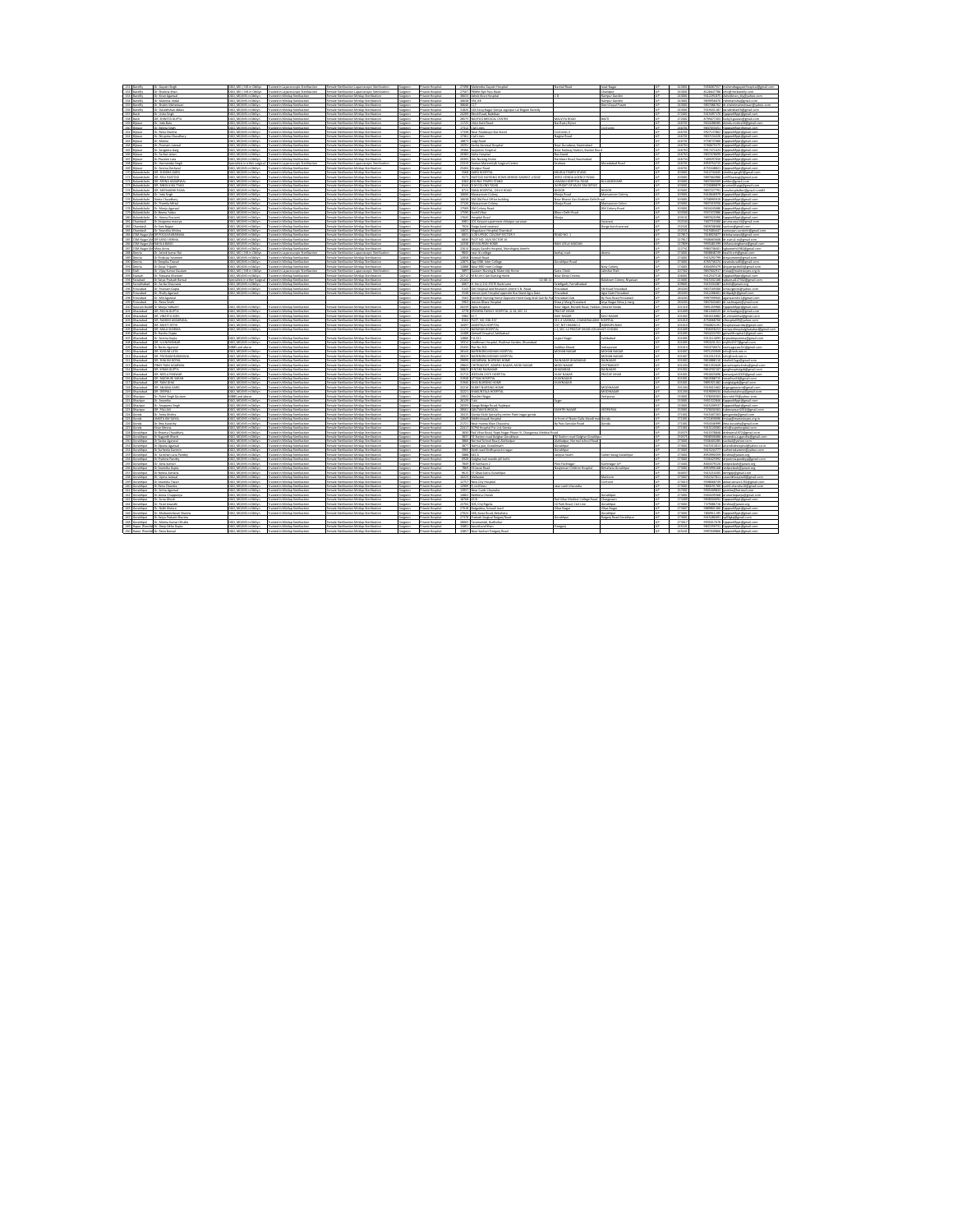|                                                                                                                                                                                                                                                                                                                                                                                                                                                                                  | Dr. Gayatri Sine                                                                                                                                                                                                                                                 | DGO, MD / MS in ObGet Trained in Lar                                                                                                                              | Female Sterilization Lago                                                              |                           | Private Hosp                               |                  | 27498 Mahendra Gays                                                                                      |                                                  | <b>Izzat Nan</b>             |                          | 2430            | 9456067557 materialran   |                                                                          |
|----------------------------------------------------------------------------------------------------------------------------------------------------------------------------------------------------------------------------------------------------------------------------------------------------------------------------------------------------------------------------------------------------------------------------------------------------------------------------------|------------------------------------------------------------------------------------------------------------------------------------------------------------------------------------------------------------------------------------------------------------------|-------------------------------------------------------------------------------------------------------------------------------------------------------------------|----------------------------------------------------------------------------------------|---------------------------|--------------------------------------------|------------------|----------------------------------------------------------------------------------------------------------|--------------------------------------------------|------------------------------|--------------------------|-----------------|--------------------------|--------------------------------------------------------------------------|
| 151 Barelly<br>152 Barelly<br>153 Barelly                                                                                                                                                                                                                                                                                                                                                                                                                                        | Dr. Qualities Klean                                                                                                                                                                                                                                              | DCD MD /MS in OhGen Trained in I ensymptotic Starlington                                                                                                          | Cample Quellingting   ananyarook: Quellingting                                         |                           | Private Hospital                           |                  | 27507 Plibhit Bye Pass Road                                                                              |                                                  | Chandrew                     |                          | 243000          |                          | 0120647206 Info@enchamily.com                                            |
|                                                                                                                                                                                                                                                                                                                                                                                                                                                                                  | Dr. Kiran Amewall                                                                                                                                                                                                                                                | DGO, MD/MS in ObGyn Trained in Minilao Sterilization                                                                                                              | Cample Quellysting Minites Quellysting                                                 | Surgeon                   | Private Hospital                           |                  | 30633 Ashok Kiran Hospital                                                                               |                                                  | <b>Ramour Garden</b>         | <b>CAN</b>               | 743000          |                          | 9412291875 Ashpkkiran bly@vahoo.com                                      |
| 154 Bareily                                                                                                                                                                                                                                                                                                                                                                                                                                                                      | Dr. Manisha Jindal                                                                                                                                                                                                                                               | CO MO/MS in OhCun Trained in Minilan Starlington                                                                                                                  | Cample Quellywing Minites Quellication                                                 |                           | Private Hospital                           | 3509 350 68      |                                                                                                          |                                                  | <b>Ramour Garden</b>         |                          | 243001          | 0030056070               | <b>Shimanisha diama Loom</b>                                             |
|                                                                                                                                                                                                                                                                                                                                                                                                                                                                                  | Pr Stalini Mahera                                                                                                                                                                                                                                                | Trained in Minilao Sterilizatio<br>DOD MO/MS in ONCH                                                                                                              | Cample Quellington Minilan Quellington                                                 | Garment                   | Private Hospital                           | <b>Sheep ext</b> |                                                                                                          |                                                  | Deen Days! Purp              | i in                     | 24300           |                          | <b>CONTRACTOR</b> de des Estacabas de capital esta-                      |
| 155 Barelly<br>156 Barelly                                                                                                                                                                                                                                                                                                                                                                                                                                                       | Dr. Darskholms Aldrey                                                                                                                                                                                                                                            | DCO MD/MS in OhCun. Engined in Minilan Starlington                                                                                                                | Camala Quellingting Minilan Quellingting                                               | Surgeon                   | <b>Drivers Mounted</b>                     |                  | 31826 146 Ezzai Nagar Gotiya Jagatour Lal Begam Barelly                                                  |                                                  |                              | <b>LID</b>               | 243005          |                          | 9319431187 datakhshanfh@amail.com                                        |
| 157 Rasti                                                                                                                                                                                                                                                                                                                                                                                                                                                                        | Dr. Helse Steels                                                                                                                                                                                                                                                 | DGO, MD/MS in ObGyn Trained in Minilao Sterikzation                                                                                                               | Camala Quellivation Minilan Quellivation                                               | Surgeon                   | Private Hospital                           |                  | 34300 Block Board Bartehan                                                                               |                                                  |                              | iiD.                     | 222001          |                          | 9415497170 fogpeablfgpt@email.com                                        |
|                                                                                                                                                                                                                                                                                                                                                                                                                                                                                  | DR. SHWETA GUFTA                                                                                                                                                                                                                                                 | GO, MD/MS in ObGyn Trained in Minilao Sterilizatio                                                                                                                | Female Sterilization Minilao Sterilization                                             |                           | Private Hospital                           |                  | <b>28STC MAVWILS MEDICAL CENTR</b>                                                                       | MALVIYA ROAD                                     |                              |                          | 27200           |                          | 8795677203 lucky2 excess@email.com                                       |
| 158 Basti<br>159 Bijnaur<br>160 Bijnaur                                                                                                                                                                                                                                                                                                                                                                                                                                          | Dr. Inchi Bala                                                                                                                                                                                                                                                   | DCO MD/MS in OhCun. Engined in Minilan Starlington                                                                                                                | Camala Quellingting Minilan Quellingting                                               | Garment                   | Drivers Monday                             |                  | 1177C Volume Musel Broad                                                                                 | Nei Gerti Gilma                                  |                              | 11D                      | 246,705         |                          | 0634308585 AvinhamidsraShiberral com                                     |
|                                                                                                                                                                                                                                                                                                                                                                                                                                                                                  | Dr. Seans Grah                                                                                                                                                                                                                                                   | DCO MD/MS in OhCun. Engined in Minilan Starlington                                                                                                                | Camala Quellingting Minilan Quellingting                                               | Surgeon                   | <b>Drivers Mounted</b>                     |                  | 17212 Children                                                                                           |                                                  | Child Lines                  | <b>LID</b>               | 246200          |                          | 9837033451 foopeablfoot@email.com                                        |
| 351 Binaur                                                                                                                                                                                                                                                                                                                                                                                                                                                                       | Dr. Renu Sharma                                                                                                                                                                                                                                                  | SO MD/MS in OhDun Trained in Minilan Gardinatin                                                                                                                   | Camala Quellington Minilan Quellington                                                 | <b>Greening</b>           | Private Hospital                           |                  | 17338 Near Roadways Bus Stand                                                                            | Child Lines III                                  |                              |                          | 24620           |                          | 9977127807 Engraphitive diamail con                                      |
|                                                                                                                                                                                                                                                                                                                                                                                                                                                                                  | Dr. Nirvama Chaudha                                                                                                                                                                                                                                              | DGO, MD/MS in ObGyn Trained in Minilao Sterilizatio                                                                                                               | Female Sterilization Minilao Sterilization                                             |                           | Private Hospital                           |                  | 17301 Children                                                                                           | Nazina Road                                      |                              |                          | 246700          |                          | 9837154776 RemembRent Barnall com                                        |
| 352 Bilmar<br>353 Bilmar<br>365 Bilmar                                                                                                                                                                                                                                                                                                                                                                                                                                           | Dr. Magna                                                                                                                                                                                                                                                        | DOD MD/MS in OND at<br>Trained in Minilan Starlington                                                                                                             | Cample Quellington Minites Quellington                                                 | Gargany                   | <b>Drivers Mounted</b>                     |                  | 10073 Lutel Board                                                                                        |                                                  |                              | 11D                      | 246,705         |                          | 9758723580 formeshifred@email.com                                        |
|                                                                                                                                                                                                                                                                                                                                                                                                                                                                                  | Dr. Brunnam Island                                                                                                                                                                                                                                               | <b>SOLD IN 2MONE IN COLUMN</b><br>Trained in Miniter Gardinating                                                                                                  | Cample Quellington Minites Quellington                                                 |                           | <b>Drivers Housted</b>                     |                  | 19391 Kanha Karmani Monethal                                                                             | Near Gonzhanz, Nazimahad                         |                              |                          | 246767          |                          | 9760675575 Rememblished Barnell com                                      |
|                                                                                                                                                                                                                                                                                                                                                                                                                                                                                  | Dr. Sangeeta Gara                                                                                                                                                                                                                                                | DOD MODIFICATION<br>Trained in Minites Gardinate                                                                                                                  | Cample Quellington Miniter Quellingto                                                  | <b>CORPORA</b>            | Private Hospital                           |                  | 19366 Sanieruni Hospital                                                                                 | Near Railway Stat<br><b>Quelous Boyer</b>        |                              | i.                       | 24676           |                          | 9913471023 Engraphitizet (fama) con                                      |
| 355 Bijtaur<br>352 Bijtaur<br>353 Bijtaur                                                                                                                                                                                                                                                                                                                                                                                                                                        | Dr. Farhat Jahan                                                                                                                                                                                                                                                 | DGO, MD/MS in ObGyn Trained in Minilao Sterilization                                                                                                              | Female Sterilization Minilao Sterilization                                             | Surgeon                   | Private Hospital                           |                  | 20383 Akha Hospital                                                                                      | Bus Stand                                        |                              |                          | 246763          |                          | 9837078699 focorabifoot@email.com                                        |
|                                                                                                                                                                                                                                                                                                                                                                                                                                                                                  | Dr Drauman Late                                                                                                                                                                                                                                                  | DCO MD/MS in OhCun. Trained in Minilan Starlington                                                                                                                | Cample Quellywing Minites Quellication                                                 | Garmana                   | <b>Drivers Monday</b>                      |                  | 20202 Day Number Normal                                                                                  | Maridage Dood N                                  |                              | 11D                      | 246734          |                          | 7400202050 formablised flams Loss                                        |
|                                                                                                                                                                                                                                                                                                                                                                                                                                                                                  | Dr. Marmandar Singl                                                                                                                                                                                                                                              | particles in other control Crained in Langemental Qualitation                                                                                                     | Camala Gardinating Lanamarcolic Gardinati                                              | <b>Contractor</b>         | Drivers Mounted                            |                  | 23210 Barnan Maternitudi Sumiral Centre                                                                  | enhans                                           | <b>Maradahad Brant</b>       |                          | 24630           | 0050754715               | forecabilized diamal con                                                 |
|                                                                                                                                                                                                                                                                                                                                                                                                                                                                                  | Dr. Seema Deshwall                                                                                                                                                                                                                                               | DGO, MD/MS in ObGyn Trained in Minilao Sterilization                                                                                                              | Female Sterilization Minilag Sterilization                                             | Surgeon                   | Private Hospital                           |                  | 25404 Kiratour Road                                                                                      |                                                  |                              | 11D                      | 246700          |                          | 8755348821 fogpeablfgpt@email.com                                        |
|                                                                                                                                                                                                                                                                                                                                                                                                                                                                                  | -270 Bulandhahr DR SHOBHA GARS<br>-270 Bulandhahr DR SHOBHA GARS<br>-272 Bulandhahr DR REENA AGGARWAL                                                                                                                                                            | DGO, MD/MS in ObGyn<br>Trained in Minilao Sterilizatio                                                                                                            | Female Sterilization Minilao Sterilizatio                                              | Gargains                  | Private Hospital                           |                  | SSGR GARG HOSPITAL                                                                                       | <b>OILIRIA TEMPO STANI</b>                       |                              |                          | 20300           |                          | 9412744445 shobba.eara@@email.co.                                        |
|                                                                                                                                                                                                                                                                                                                                                                                                                                                                                  |                                                                                                                                                                                                                                                                  | DOD ARMAK IN ONGHI<br>Trained in Minites Quellingto<br>DCD MD/MS in OhCun Trainart in Minilan Starlington                                                         | amala Quellivating Minites Quellivati                                                  | mann                      | Drivata Morrita                            |                  | 5573 BASTOCI NI IDSNG WOME BEWAN SAMPAT LODGE                                                            | HERO HONDA ACENCY ROAD                           |                              | <b>ID</b>                | 20300           | 0003564000               | 100 restraithered co.                                                    |
|                                                                                                                                                                                                                                                                                                                                                                                                                                                                                  |                                                                                                                                                                                                                                                                  |                                                                                                                                                                   | Camala Quellington Minilan Quellington                                                 | Garment                   | Private Hospital                           |                  | <b>GMA</b> WHI RIA TEMPO STAND                                                                           | IANANA MOSPITAL ROAD                             | BULANDSHAHR                  |                          | 20300           |                          | 9837004569 unhbur@email.com                                              |
| 173 Bulandhahr DR BINDULKA                                                                                                                                                                                                                                                                                                                                                                                                                                                       | DR. BINDER INA TYAC<br><b>DR MEENAPOR RANA</b>                                                                                                                                                                                                                   | DOD MOAK IN ONCH.<br>Trained in Miniter Quellings<br>DOD MOARCH ONCH                                                                                              | amala Quellivation Minites Qu-                                                         |                           | Private Hospita                            |                  | 8144 D.M COLONY ROAD<br>9724 RANA MOSPITAL DELM ROAD                                                     | IN FRONT OF SALES TAX OFFICE                     |                              | <b>ID</b>                | 20306<br>zoane  | 9720099879<br>0037777701 | rampd2tusei@email.c<br>anahounitalburdhamal.comb                         |
|                                                                                                                                                                                                                                                                                                                                                                                                                                                                                  |                                                                                                                                                                                                                                                                  | Trained in Minilao Sterilizatio<br>DGO, MD/MS in ObGyn Trained in Minilap Sterilization                                                                           | amala Quellivatino Minilan Quellivatin<br>Female Sterilization Minilag Sterilization   | <b>CRANK</b>              | Drivers Mounted<br>Private Hospital        |                  | 16606 Manuarover Colory                                                                                  | snna<br>Khuria Road                              | GALLOOD<br>Manuarover Colony | UP.                      | 203000          |                          | 9410646979 fpppeahlfppt@gmail.com                                        |
| 176 Bulandshahr Geeta Chaudhary                                                                                                                                                                                                                                                                                                                                                                                                                                                  |                                                                                                                                                                                                                                                                  | DGO, MD/MS in ObGyn Trained in Minilao Sterilization                                                                                                              | Camala Quellivation Minilan Quellivation                                               | Surgeon<br>Surgeon        | Private Hospital                           |                  |                                                                                                          | Near Bharat Gas Godown Delhi Road                |                              |                          | 203000          |                          | 9758995919 fogpeablfgst@email.com                                        |
|                                                                                                                                                                                                                                                                                                                                                                                                                                                                                  |                                                                                                                                                                                                                                                                  | Trained in Minites Gardinati<br>DOD MO/MS in ONCH                                                                                                                 | Camala Quellington Minilan Quelling                                                    |                           | Private Hospital                           |                  | 16638 366 Old Post Office building<br>17126 Manuarover Color                                             | Khuria Road                                      | Manuscript Col               | <b>ID</b>                | 20306           |                          | 0037410756 formeshifred@email.co                                         |
| 177 Bulandshahr Dr. Framila Mitta<br>178 Bulandshahr Dr. Manju Agarw                                                                                                                                                                                                                                                                                                                                                                                                             | Dr. Maniu Ananya                                                                                                                                                                                                                                                 | 060. MD/MS in ObGyn<br>Trained in Minilao Sterilizatio                                                                                                            | nale Sterlization Minilao Sterlizatio                                                  | Surgeon                   | Private Hospital                           |                  | 17569 DM Colony Road                                                                                     |                                                  | DM Colony Road               |                          | 20300           | 9634245686               | fogpeablfgpt@email.com                                                   |
| 179 Eulandshahr: Dr.Beena Yadav                                                                                                                                                                                                                                                                                                                                                                                                                                                  |                                                                                                                                                                                                                                                                  | DGO, MD/MS in ObGyn Trained in Minilao Sterilization                                                                                                              | Female Sterilization Minilag Sterilization                                             | Surgeon                   | Private Hospital                           |                  | 17590 Sushi Viter                                                                                        | Bhoor Delhi Road                                 |                              | UP.                      | 202200          |                          | 9557472986 fpppeahlfppt@gmail.com                                        |
|                                                                                                                                                                                                                                                                                                                                                                                                                                                                                  |                                                                                                                                                                                                                                                                  | DCO MD/MS in OhCon Trained in Minilan Starlington                                                                                                                 | Camala Quellingting Minites Quellingting                                               | Garment                   | Private Hospital                           |                  | 12645 Monday 26551                                                                                       | huria                                            |                              | <b>ID</b>                | 20312           |                          | 0007631206 formeshifred@email.com                                        |
| 180 Bulandriahr Dr. Heesa Pranami<br>1811 Chandaul Dr Anugama maury<br>182 Chandaul Dr. Vani Bajgai                                                                                                                                                                                                                                                                                                                                                                              |                                                                                                                                                                                                                                                                  | DGO, MD/MS in ObGyn<br>Trained in Minilao Sterilizati                                                                                                             |                                                                                        |                           | Private Hospital                           |                  | 6981 201 Katyani apartment chitalour van                                                                 |                                                  | Varanas                      | 110                      | 23210           | 7607710300               | numaurys 140 email.co                                                    |
|                                                                                                                                                                                                                                                                                                                                                                                                                                                                                  |                                                                                                                                                                                                                                                                  | 060. MD/MS in ObGyn<br>Trained in Minilao Sterilizatio                                                                                                            | male Sterlization Minilao Sterlization                                                 | Surgeon                   | Private Hospital                           |                  | 7024 Durga kund varanasi                                                                                 |                                                  | Durana kund varana           |                          | 23210           | 9839708368               | government com                                                           |
|                                                                                                                                                                                                                                                                                                                                                                                                                                                                                  |                                                                                                                                                                                                                                                                  | DGO, MD/MS in ObGyn Trained in Minilao Sterilization                                                                                                              | Female Sterilization Minilao Sterilization                                             | Surgeon                   | Private Hospital                           |                  | 14532 Muratural Hospital Chandedi                                                                        |                                                  |                              | UP.                      | 23210           |                          | 941568447 samurgan samkriti@email                                        |
|                                                                                                                                                                                                                                                                                                                                                                                                                                                                                  |                                                                                                                                                                                                                                                                  | 060. MD/MS in ObGyn<br>Trained in Minilao Sterilizatio                                                                                                            | Female Sterilization Minilao Sterilization                                             | Surgeon                   | Private Hospital                           |                  | 6831 A-28 UPSIDE COLONY SECTOR 1                                                                         | ROAD NO. 1                                       |                              |                          | 22781           | 761892587                | dricharanwaldhemail.com                                                  |
| EXEL Chanderal Cor. Seawish Michael<br>1984 CSM Nagar (A) DR 2000A MARNA<br>1984 CSM Nagar (A) DR 5000A MARNA<br>1986 CSM Nagar (A) DR 5000A MARNA<br>1987 CSM Nagar (A) DR 1414-8490<br>1987 CSM Nagar (A) DR 1400A Kurur Rai<br>1988 Dre                                                                                                                                                                                                                                       |                                                                                                                                                                                                                                                                  | DGO, MD/MS in ObGyn<br>Trained in Minilao Sterilization                                                                                                           | emale Sterilization Minilao Sterilization                                              | control                   | Private Hospital                           |                  | 6836 PLOT NO. 16/4 SECTOR 16                                                                             |                                                  |                              | UP.                      | 22781           |                          | 9506663608 dr.wan2.ruffemail.com                                         |
|                                                                                                                                                                                                                                                                                                                                                                                                                                                                                  |                                                                                                                                                                                                                                                                  | GO, MD/MS in ObGyn<br>ained in Minilao Sterikza                                                                                                                   | tale Sterilization Minilao Ster                                                        |                           | Private Hough                              |                  | 14338 SIFA NURSIN HOME                                                                                   | AM LEELA MA                                      |                              |                          | 22790           | 992548159                |                                                                          |
|                                                                                                                                                                                                                                                                                                                                                                                                                                                                                  |                                                                                                                                                                                                                                                                  | DOD MOAK IN ONCH.<br>Trained in Miniter Gardington                                                                                                                | Camala Quellington Minites Quellington                                                 | <b>COMMAND</b>            | Private Hospital                           |                  | 22614 Sanjay Gandhi Hospital, Munchiseni Ar                                                              |                                                  |                              | 11D                      | 22274           |                          | 0004728401 saturnarhi1087dlamsl.r.                                       |
|                                                                                                                                                                                                                                                                                                                                                                                                                                                                                  |                                                                                                                                                                                                                                                                  | DGO, MD / MS in ObGet<br>Trained in Laparer                                                                                                                       | Female Sterlization Lagaroscopic Sterliza                                              | Surgeon                   | Private Hospital                           |                  | 9845 near iti college                                                                                    | arhai road                                       |                              | $\overline{\phantom{a}}$ | 27400           | 9838548749               | ealth.schiffemail.com                                                    |
|                                                                                                                                                                                                                                                                                                                                                                                                                                                                                  |                                                                                                                                                                                                                                                                  | 060. MD/MS in ObGyn<br>Trained in Minilao Sterilizati                                                                                                             | enale Sterilization Minilao Steriliza                                                  |                           | Private Hospit                             |                  | 12858 Kotwali Road                                                                                       |                                                  |                              | i io                     | 27400           | 9415292799               |                                                                          |
| 195 Deoria<br>191 Deoria<br>192 Dah                                                                                                                                                                                                                                                                                                                                                                                                                                              | Dr Deepika Tewar                                                                                                                                                                                                                                                 | 60. MD/MS in ObGyn<br>Trained in Minitag Sterilizat                                                                                                               | male Sterlization Minilao Sterliz                                                      | mon                       | Private Hough                              |                  | 12875 Opp SSBL Inter College                                                                             |                                                  |                              |                          | 27400           | 8765736374               | vendural@alternal.c                                                      |
|                                                                                                                                                                                                                                                                                                                                                                                                                                                                                  | Dr Diyya Tripathi                                                                                                                                                                                                                                                | Trained in Minilap Sterilization<br>DGO, MD/MS in ObGyn                                                                                                           | Female Sterilization Minilag Sterilization                                             | Surgeon                   | Private Hospital                           |                  | 12888 Near BRD Inter College                                                                             |                                                  | New Colory                   | <b>EXP</b>               | 27400           |                          | 8004095479 divistripath@idlemail.com                                     |
|                                                                                                                                                                                                                                                                                                                                                                                                                                                                                  | Dr. Viay Kumar Gau                                                                                                                                                                                                                                               | 060. MD / MS in ObGet<br>Trained in Lag                                                                                                                           | emale Sterilization Laganoscopic Sterili                                               |                           | Private Hospi                              |                  | 5897 Gautam Numing & Maternity Hom                                                                       | Katra Choki                                      | <b>Jaleshar Etal</b>         |                          | 20730           | 983760291                |                                                                          |
| 193 Etwah<br>194 Fairsbad                                                                                                                                                                                                                                                                                                                                                                                                                                                        | Dr. Rizwana Khatoo                                                                                                                                                                                                                                               | DGO, MD/MS in ObGyn Trained in Minilao Sterilizatio                                                                                                               | emale Sterlization Minilag Sterlization                                                | <b>Lighting</b>           | Private Hospital                           |                  | 20712 M N Life Crae Numing Home                                                                          | Near Deep Cir                                    |                              |                          | 20600           |                          | 9412547518 fogpeabilizet@email.com                                       |
|                                                                                                                                                                                                                                                                                                                                                                                                                                                                                  | Dr Satya Prakash Bansai                                                                                                                                                                                                                                          | Coacialists in other Consinels Trained in Minilan Quelimeting                                                                                                     | Female Sterilization Minilao Sterilization                                             | Surgeon                   | Private Hospital                           | 21141            | 03.08.11                                                                                                 |                                                  | <b>Balakram Februar Niv</b>  | 11D                      | 22400           |                          | 9415332106 spbansa(227342/Demail.com                                     |
| 195 Familystad                                                                                                                                                                                                                                                                                                                                                                                                                                                                   | Dr. Sanka Chauran                                                                                                                                                                                                                                                | NON MOAK IN ONCH.<br>Trained in Minilao Sterilizat                                                                                                                | emale Sterilization Minilao Steriliza                                                  |                           | Private Hospita                            |                  | 6067 H. No 1/112 STSTE Bank Lan-                                                                         | tahash Camatohan                                 |                              | <b>ANY</b>               | 2096            | 9415234287               | shiphatti www.ci.ne                                                      |
| 196 Finzabed                                                                                                                                                                                                                                                                                                                                                                                                                                                                     | Dr. Bronam Curty                                                                                                                                                                                                                                                 | Trained in Minilao Sterilizati<br>non amas a neo-                                                                                                                 | <b>Longia Qualification Minister Qualificati</b>                                       | <b>HANN</b>               | Private Hought                             |                  | 5143 Om Hospital And Research centre S.N. Road                                                           | <b>Circumstrant</b>                              | Oil Broad Denraha            |                          | 28320           | 9837169300               | <b>COMPANY ROCKER</b>                                                    |
| 237 Firstabad Dr. Shally Agarwal                                                                                                                                                                                                                                                                                                                                                                                                                                                 |                                                                                                                                                                                                                                                                  | DGO, MD/MS in ObGyn Erained in Minilao Sterilization                                                                                                              | Female Sterilization Minilag Sterilization                                             |                           | Surgeon Private Hospital                   |                  | 5548 Jeeyan Jyoti Hospital opposite Bus Stand Arra Gate                                                  | Cinembard                                        | Anta Gate Firezabad          | <b>LID</b>               | 703300          |                          | 9412268401 drdgakih@email.com                                            |
|                                                                                                                                                                                                                                                                                                                                                                                                                                                                                  |                                                                                                                                                                                                                                                                  |                                                                                                                                                                   |                                                                                        | Surgeon                   | Private Hospita                            |                  | 5563 Kamlesh Numing Home Opposite Hotel Gare Wall Gall By                                                | <b>Investment Clini</b>                          | By Pass Road Firozaba        |                          | 28320           | 9997599945               | exceedmilit@email.co                                                     |
| 298 Finanzbad                                                                                                                                                                                                                                                                                                                                                                                                                                                                    | Dr. Mili Azarwal                                                                                                                                                                                                                                                 |                                                                                                                                                                   |                                                                                        |                           |                                            |                  |                                                                                                          |                                                  |                              |                          |                 |                          |                                                                          |
|                                                                                                                                                                                                                                                                                                                                                                                                                                                                                  |                                                                                                                                                                                                                                                                  |                                                                                                                                                                   |                                                                                        | Garanton                  | Private Hospital                           |                  | S963 Jeeyan Dhara Hospital                                                                               | <b>Chius I Mare Drawshas</b>                     | Ang Nagar Shiya Liman        |                          | 283207          |                          | 9837043403 Ar rechnologistiversit con                                    |
| 199 Finanbad Dr. Renu Sirohi<br>200 Gautam Buddi Dr. Manju Sidharth                                                                                                                                                                                                                                                                                                                                                                                                              |                                                                                                                                                                                                                                                                  | DCO MD/MS in OhCun. Trained in Minilan Starlington                                                                                                                | Cample Quellington Minites Quellington                                                 | Surgeon                   | Drivers Monday                             |                  | 20220 Anna Mondad                                                                                        | Near Ideah, Bisrakh Road, Haldani, Greater Nolda |                              | $\overline{10}$          | 201310          |                          | 9891459980 foopeablfoot@email.com                                        |
| 201 Ghaziabad DR. RICHA GUPTA                                                                                                                                                                                                                                                                                                                                                                                                                                                    |                                                                                                                                                                                                                                                                  | DGO, MD/MS in ObGyn Trained in Minilao Sterilization                                                                                                              | Camala Quellingting Minilan Quellingting                                               |                           | Sumeon Private Hospital                    |                  | 4778 KRISHNAFAMILY HOSPITAL G-34, SEC 11                                                                 | DOATA2 MILLO                                     |                              | <b>EXP</b>               | 201009          |                          | 9811040525 dr.richaobevn@email.com                                       |
|                                                                                                                                                                                                                                                                                                                                                                                                                                                                                  |                                                                                                                                                                                                                                                                  | HODAY A 2M/MA CAD<br>Trained in Minilao Sterilizati                                                                                                               | Camala Quellington Minilan Quellington                                                 | Surgeon                   | Private Hospita                            | COR2 VL7         |                                                                                                          | KAVI MACAR                                       | <b>VAM NACAD</b>             |                          | 20100           |                          | 9810216882 dr. vinitamittal@email.com                                    |
|                                                                                                                                                                                                                                                                                                                                                                                                                                                                                  |                                                                                                                                                                                                                                                                  | DCO MD/MS in OhCun. Engined in Minilan Starlington                                                                                                                | Camala Quellivation Minilan Quellivation                                               | Garment                   | <b>Drivers Mounted</b>                     |                  | <b>9164 PIOT NO.336-337</b>                                                                              | SEC-4 VAISANT CHANDRALAWAI MOSECTAL              |                              | 11D                      | 201010          |                          | 975004200 / Provided Substitution com                                    |
|                                                                                                                                                                                                                                                                                                                                                                                                                                                                                  | 202 Gholshad DR, WHEETA GOL 203 Gholshad DR, RASHA AGGARWAL 204 Gholshad DR, MULCI SETH                                                                                                                                                                          | DCO MD/MS in OhCun. Trained in Minilan Starlington                                                                                                                | Camala Quellingting Minites Quellingting                                               | <b>Curanon</b>            | <b>Drivers Housted</b>                     |                  | 10497 AVANTIEA MOSECAL                                                                                   | 127 MTI KHAND 2                                  | INCHOAD ID AM                | <b>CAN</b>               | 201010          |                          | 9560824191 hospitalavantika@email.com                                    |
|                                                                                                                                                                                                                                                                                                                                                                                                                                                                                  |                                                                                                                                                                                                                                                                  | CO MO/MS in OhCun Trained in Minilan Starlington                                                                                                                  | amala Gardinating Minites Gardinating                                                  | Garment                   | Drivate Morritol                           |                  | 11172 NASAYAN NOSDER                                                                                     | 2, SEC-12 PRATAP VIHAR LEELAWATI CHOWK           |                              |                          | 201009          |                          | T036562253 manuschessteht sichsdatenal                                   |
|                                                                                                                                                                                                                                                                                                                                                                                                                                                                                  |                                                                                                                                                                                                                                                                  |                                                                                                                                                                   |                                                                                        | Surgeon                   | Private Hospital                           |                  | 12488 Getwell Hospital, Sahibabad                                                                        |                                                  |                              | $\overline{10}$          | 201000          |                          | 9654224703 extendibounital1@email.com                                    |
|                                                                                                                                                                                                                                                                                                                                                                                                                                                                                  |                                                                                                                                                                                                                                                                  | DOD MD/MS in ONCHE<br>Trained in Minilan Quellingting                                                                                                             | Camala Quellingting Minilan Quellingting                                               | Garanton                  | Drivers Monday                             | 12006 54.221     |                                                                                                          | Labor Name                                       | Calvillabad                  | $\overline{10}$          | 201005          |                          | 9313116093 draradeepseema@email.com                                      |
|                                                                                                                                                                                                                                                                                                                                                                                                                                                                                  |                                                                                                                                                                                                                                                                  | NON MOAK IN ONCH.<br>Trained in Miniter Gardinating<br>MESS and above<br>Trained in Minilao Sterilization                                                         | Camala Quellingting Minites Quellingting<br>Female Sterilization Minilag Sterilization | Garment<br>Surgeon        | <b>Drivers Mounts</b><br>Private Hospital  |                  | 19314 Venthman Hounted Oralimar Center, Charlahart<br>25450 Flat No. 301                                 | Valbhay Khand                                    | Indraparam                   |                          | 20100<br>201014 |                          | 0053231151 mulifu2322diamail.com                                         |
| 205 Ghadahad - DR MALA SWEMA<br>205 Ghadahad - Dr Harriso Gapta<br>207 Ghadahad - Dr Serem Gapta<br>208 Ghadahad - DR HA Nilleyayak                                                                                                                                                                                                                                                                                                                                              |                                                                                                                                                                                                                                                                  | DGO, MD/MS in ObGyn<br>Trained in Minilao Sterilization                                                                                                           | Female Sterilization Minilag Sterilization                                             | Surgeon                   | Private Hospital                           |                  | 28166 NARENDRA MOHAN HOSPITAL                                                                            | MOHAN NAGAR                                      | MOHAN NAGAR                  | $\overline{10}$          | 201007          |                          | 9654736674 neeluagrawal14@gmail.com<br>9971232949 info@nmh.net.in        |
| 250 Ghaziabad DR. KUSUM LATA                                                                                                                                                                                                                                                                                                                                                                                                                                                     |                                                                                                                                                                                                                                                                  | DOD MD/MS in ONCHE<br>Trained in Minilan Quellington                                                                                                              | Camala Quellington Minilan Quellington                                                 | Garanton                  | <b>Drivers Monday</b>                      |                  | 20222 NARENDRA MONAN HOSPITAL                                                                            |                                                  | MCMAN NACAS                  |                          | 20100           |                          | 9312311915 Info@nmh.nat in                                               |
|                                                                                                                                                                                                                                                                                                                                                                                                                                                                                  |                                                                                                                                                                                                                                                                  | DOD ARMAK IN ONGHI<br>Trained in Minites Starlings                                                                                                                | Camala Quellington Minilan Quellingti                                                  | <b>CORPORA</b>            | <b>Drivers Mounts</b>                      |                  | 20000 ACCARWAL NURSING MOME                                                                              | <b>PAINACAR CHATAS</b>                           | <b>RAINAGAR</b>              |                          | 20100           | 0010602110               | <b>Autorit2senBernal.com</b>                                             |
|                                                                                                                                                                                                                                                                                                                                                                                                                                                                                  |                                                                                                                                                                                                                                                                  | DGO, MD/MS in ObGyn Trained in Minilao Sterilization                                                                                                              | Female Sterilization Minilag Sterilization                                             | Surgeon                   | Private Hospital                           |                  | 29843 CHTRANDOT, ADARSH NAGAR, MODI NAGAR                                                                | MODI NAGAR                                       | CHITRAKOOT                   |                          | 201204          |                          | 9811352649 garashouttainda@email.com                                     |
|                                                                                                                                                                                                                                                                                                                                                                                                                                                                                  |                                                                                                                                                                                                                                                                  | DGO, MD/MS in ObGyn<br>Trained in Minilao Sterilizatio                                                                                                            | Female Sterilization Minilao Sterilizatio                                              | Surgeon                   | Private Hospital                           |                  | 30823 8-9/182 RAINAGAR                                                                                   | GHAZIARAD                                        | <b>RAINAGAR</b>              |                          | 20100           |                          | 9810702107 earnhoustaigsb@email.com                                      |
|                                                                                                                                                                                                                                                                                                                                                                                                                                                                                  |                                                                                                                                                                                                                                                                  | non amass is non-<br>Trained in Minites Starlington                                                                                                               | Camala Quellington Minilan Quellington                                                 | <b>Greening</b>           | <b>Drivers Housted</b>                     |                  | 31713 ICCCVAN (VOT) MOSPITAL                                                                             | <b>INV NACAD</b>                                 | <b>POATAP MILAR</b>          |                          | 20100           | 0010035606               | innundunt(2006diams) com                                                 |
|                                                                                                                                                                                                                                                                                                                                                                                                                                                                                  |                                                                                                                                                                                                                                                                  | DOD MD/MS in OND at<br>Trained in Minilap Sterilization                                                                                                           | Cample Quellington Minites Quellington                                                 | Surgeon                   | Private Hospital                           |                  | 21938 UTTAM HOSPITAL                                                                                     | <b>VIDAYNAGAR</b>                                |                              | <b>ID</b>                | 201000          |                          | 9810588715 vmadhuri16@email.com                                          |
|                                                                                                                                                                                                                                                                                                                                                                                                                                                                                  | 210 Ghazishad - DR. KUSUM LATA<br>211 Ghazishad - DR. FOONAM BRANNING<br>212 Ghazishad - DR. SHALIN GOVA<br>213 Ghazishad - DR. KUSUM GOVA<br>215 Ghazishad - DR. KUSUM PAPITAR<br>215 Ghazishad - DR. KUSUM PAPITAR<br>215 Ghazishad - DR. KUSU<br>DR. RANI GHN | DGO, MD/MS in ObGyn<br>Trained in Minilao Sterilizatio                                                                                                            | Camala Quellingting Minites Quellingti                                                 | Gargains                  | Private Hospital                           |                  | 31946 GHAI NURSING HOME                                                                                  | AVNAGAR                                          |                              |                          | 20100           | 0001021402               | anishaiszb@email.com                                                     |
|                                                                                                                                                                                                                                                                                                                                                                                                                                                                                  | DR. ANIMAL CAR                                                                                                                                                                                                                                                   | Trained in Minited Sterlings<br>DOD MOARCH ONCH                                                                                                                   | amala Quellivatino Minilan Quellin                                                     |                           | Drivata Morrita                            |                  | 32216 DUBEY NURSING HOME                                                                                 |                                                  | MODINAGE                     |                          | 20120           | 9310411007               | restrators and amal con-                                                 |
|                                                                                                                                                                                                                                                                                                                                                                                                                                                                                  | DR. DEEPALI                                                                                                                                                                                                                                                      | DGO, MD/MS in ObGyn Trained in Minilao Sterilization                                                                                                              | Female Sterilization Minilap Sterilization                                             | Surgeon                   | Private Hospital                           |                  | 32221 SHAKUNTALA HOSPITAL                                                                                |                                                  | MODINAGAR                    | UP                       | 201204          |                          | 9319009434 shakurtalahosp@gmail.com                                      |
|                                                                                                                                                                                                                                                                                                                                                                                                                                                                                  | Dr. Rohit Singh Gauta                                                                                                                                                                                                                                            | Trained in Minilap Sterilization<br>MESS and above                                                                                                                | Cample Quellington Minites Quellington                                                 | Surgeon                   | Private Hospital                           |                  | 12922 Shashtri Name:                                                                                     |                                                  | Ved purva                    | <b>ID</b>                | 233000          |                          | 7376030303 docrohit76@vahoo.com                                          |
|                                                                                                                                                                                                                                                                                                                                                                                                                                                                                  | Dr. Anamika                                                                                                                                                                                                                                                      | DGO, MD/MS in ObGyn<br>Trained in Minilao Sterilizatio                                                                                                            | Female Sterilization Minilao Sterilizatio                                              | Gargains                  | Private Hospital                           | 26120 Tubi       |                                                                                                          |                                                  |                              | 800                      | 23300           | GASI CYNAG               | <b>Intrashibiri diamai con</b>                                           |
|                                                                                                                                                                                                                                                                                                                                                                                                                                                                                  | Dr. Anugama Sine                                                                                                                                                                                                                                                 | Trained in Minilao Sterilizatio<br>DGO, MD/MS in ObGyn                                                                                                            | emale Sterilization Minilao Sterilization                                              | Surgeon                   | Private Hospital                           |                  | 26593 Ganga Bridge Road, Rajdepun                                                                        |                                                  |                              | UP.                      | 23300           |                          | 9415209537 fogpeabifoot@email.com                                        |
|                                                                                                                                                                                                                                                                                                                                                                                                                                                                                  | DR. PALLAVI<br>Dr. Anita Michel                                                                                                                                                                                                                                  | DGO, MD/MS in ObGyn<br>Trained in Minilap Sterilization<br>DOD MD/MS in ONCH<br>Trained in Miniter Gardington                                                     | Female Sterilization Minilao Sterilization<br>Camala Quellivation Minilan Quellivation | Surgeon<br>Garment        | Private Hospital                           |                  | 28561 GAUTAM SURGICAL                                                                                    | SASHTRI NAGAR                                    | <b>VEDPURVA</b>              | UP<br>110                | 233000          |                          | 7276030303 tabrezansari2016@gmail.com                                    |
|                                                                                                                                                                                                                                                                                                                                                                                                                                                                                  |                                                                                                                                                                                                                                                                  |                                                                                                                                                                   |                                                                                        |                           | Private Hospital                           |                  | 10415 Gonda Multi Speciality center Patel name apod                                                      |                                                  |                              |                          | 27100           |                          | 9415407263 emceonda@email.com                                            |
|                                                                                                                                                                                                                                                                                                                                                                                                                                                                                  | AYAQ MX ATDNA                                                                                                                                                                                                                                                    | 060. MD/MS in ObGyn<br>Trained in Minilao Sterilizatio                                                                                                            | male Sterlization Minilao Sterlizatio                                                  |                           | Private Hospital                           |                  | 12649 Siddhivinguak Hospital                                                                             | front of Navin Galla Man                         |                              |                          | 27100           | 9721839096               | siup@mariestopes.com.in                                                  |
|                                                                                                                                                                                                                                                                                                                                                                                                                                                                                  | Dr. Ilma Kuraishe<br>Kiran Meena                                                                                                                                                                                                                                 | DGO, MD/MS in ObGyn<br>Trained in Minilap Sterilization<br>DCD MD/MS in OhCun Trainad in Minilan Starlington                                                      | Female Sterilization Minilag Sterilization<br>Camala Quellingting Minites Quellingting | Surgeon<br>Gargains       | Private Hospital<br>Private Hospital       |                  | 21721 Near munna Khan Chauraha                                                                           | By Pass Santular Road                            | Gonda                        | UP.                      | 27100<br>22100  |                          | 955414200 lina kurakhy@gmal.com<br>0415130583 info@acomboasital.com      |
|                                                                                                                                                                                                                                                                                                                                                                                                                                                                                  | Dr Shweta Chaudh                                                                                                                                                                                                                                                 | DGO, MD/MS in ObGyn<br>Trained in Minilao Sterilizatio                                                                                                            | Female Sterilization Minilao Sterilization                                             | Surgeon                   | Private Hospital                           |                  | 22417 SCPM Hospital Pvt Ltd. Gonda<br>2820 Rail Vihar Road, Rapti Nagar Phase IV, Changanwa Medical Road |                                                  |                              | 1D <sup>-1</sup>         | 25037           |                          | 9415378848 drshwets1972@email.com                                        |
|                                                                                                                                                                                                                                                                                                                                                                                                                                                                                  |                                                                                                                                                                                                                                                                  | SO, MD/MS in ObGyn<br>Trained in Minilao Sterilizatio                                                                                                             | male Sterlization Minilao Sterlizz                                                     | control                   | Private Hospital                           |                  | 3837 92 Station road Golehar Gorakhou                                                                    | 92 Station road Golehar Goral                    |                              |                          | 25037           | 9838506080               | Irvendra surandha@email.c                                                |
|                                                                                                                                                                                                                                                                                                                                                                                                                                                                                  | Dr Sugandh Bharti<br>Dr Savita Assowa                                                                                                                                                                                                                            | Trained in Minilao Sterilizati<br>GO, MD/MS in ObGyn                                                                                                              | enale Sterlization Minilao Sterliz                                                     | reas                      | Private Hospit                             |                  | 3866 Normal School Road, Alahladou                                                                       | Alahladour, Normal school Road                   |                              |                          | 2720            | 9336403285               | unita4@vahoo.com                                                         |
|                                                                                                                                                                                                                                                                                                                                                                                                                                                                                  | Dr Almans Amount                                                                                                                                                                                                                                                 | DOD MORE IN ONCH.<br>Trained in Minilan Starlington                                                                                                               | Cample Quellington Minites Quellington                                                 | <b>Company</b>            | Private Hospital                           |                  | 3877 North screen Countrieson                                                                            | Servitorum                                       |                              |                          | 27300           |                          | 0415212812 executations statistics on in                                 |
|                                                                                                                                                                                                                                                                                                                                                                                                                                                                                  | Dr Surheeta Karee                                                                                                                                                                                                                                                | DGO, MD/MS in ObGyn<br>Trained in Minilao Sterilization                                                                                                           | Female Sterilization Minilao Sterilization                                             | Surgeon                   | Private Hospital                           |                  | 2965 Bank road Vindhyavasini nagar                                                                       | Gorakhour                                        |                              | UP.                      | 27300           | 9415244777               | umeetakanem@vahoo.com                                                    |
|                                                                                                                                                                                                                                                                                                                                                                                                                                                                                  | Dr. Kanchan Lata Pa                                                                                                                                                                                                                                              | 060. MD/MS in ObGyn<br>Trained in Minilao Sterilizat                                                                                                              | enale Sterilization Minilao Sterilizi                                                  | none                      | Private Hospit                             |                  | 5888 641 A                                                                                               | rour South                                       |                              |                          | 27300           | 8952990251               | sishna@janani.org                                                        |
|                                                                                                                                                                                                                                                                                                                                                                                                                                                                                  | Dr Pratima Pande                                                                                                                                                                                                                                                 | NGO, MD/MS in ObGyn<br>Trained in Minilao Sterilizat                                                                                                              | enale Sterlization Minilas Sterliz                                                     | mean                      | Private Hospita                            |                  | 6928 Golehar kall mandir pill kott                                                                       |                                                  |                              |                          | 27300           | 9336425992               |                                                                          |
|                                                                                                                                                                                                                                                                                                                                                                                                                                                                                  | Dr. Asha kuman                                                                                                                                                                                                                                                   | Trained in Minilap Sterilizatio<br>DGO, MD/MS in ObGyn                                                                                                            | Female Sterilization Minilao Sterilization                                             | Surgeon                   | Private Hospital                           |                  | 7849 Vill Suthiaon 2                                                                                     | Post Foriham                                     | Kushinazar UP                |                          | 27640           | 8004379220               | edorakash@ianani.org                                                     |
|                                                                                                                                                                                                                                                                                                                                                                                                                                                                                  | Te Anamika Cum                                                                                                                                                                                                                                                   | DGO, MD/MS in ObGyn<br>Trained in Minilan Starlings                                                                                                               | amala Quelization Minites Quelin                                                       |                           | Private Hospita                            |                  | 7869 33 kasia Road                                                                                       |                                                  | Betiabata Goral              |                          | 27300           | 00/3090169               | ederska billiameri er                                                    |
|                                                                                                                                                                                                                                                                                                                                                                                                                                                                                  | Dr Neena Asthana                                                                                                                                                                                                                                                 | 60.00 d 2M 0M 050<br>Trained in Minilao Sterilizati                                                                                                               | male Sterilization Minilas Steriliza                                                   | mean                      | Private Hospita                            |                  | 9615 37 Chas katra Go                                                                                    |                                                  |                              |                          | 34002           | 9415210205               | mhaindheanal com                                                         |
|                                                                                                                                                                                                                                                                                                                                                                                                                                                                                  | Dr. Upma Jalowal                                                                                                                                                                                                                                                 | DGO, MD/MS in ObGyn Trained in Minilao Sterilization                                                                                                              | Camala Quellivation Minilan Quellivation                                               | Surgeon                   | Drivate Morrital                           |                  | 10223 Mahautan                                                                                           |                                                  | Manizare.                    | 11D                      | 222000          |                          | 9452327811 swartAhospitalS@amail.com                                     |
|                                                                                                                                                                                                                                                                                                                                                                                                                                                                                  |                                                                                                                                                                                                                                                                  | 50. MD/MS in ObGyn<br>Trained in Minilao Steril                                                                                                                   |                                                                                        |                           | Private H                                  |                  |                                                                                                          |                                                  |                              |                          |                 |                          |                                                                          |
|                                                                                                                                                                                                                                                                                                                                                                                                                                                                                  | Dr Benu Chando                                                                                                                                                                                                                                                   | DCD, MD/MS in OhDan Trained in Minites Startington                                                                                                                | Cample Quellington Miniter Quellingto                                                  |                           | Private Hospital                           |                  | 12000 G children                                                                                         | or can't chaural                                 |                              |                          | 27300           | 2000101200               | such characterizing and con-                                             |
|                                                                                                                                                                                                                                                                                                                                                                                                                                                                                  | Dr. Smits Aganyal                                                                                                                                                                                                                                                | DGO, MD/MS in ObGyn Trained in Minilao Sterikzation                                                                                                               | Cample Quellysting Minites Quellysting                                                 | Surgeon                   | Private Hospital                           |                  | 12037 Near Carer Chauraha                                                                                |                                                  |                              | <b>CAN</b>               | 222001          |                          | 9925309833 ipsmita@hotmail.com                                           |
|                                                                                                                                                                                                                                                                                                                                                                                                                                                                                  | Dr. Anuna Chaggariy                                                                                                                                                                                                                                              | DGO, MD/MS in ObGyn Trained in Minilao Sterilizatio                                                                                                               | Female Sterilization Minilao Sterilization                                             |                           | Private Hospital                           |                  | 14862 Bethots Chowk                                                                                      |                                                  |                              |                          | 27300           | 0450439358               | new hamps flame) co-                                                     |
|                                                                                                                                                                                                                                                                                                                                                                                                                                                                                  |                                                                                                                                                                                                                                                                  | DOD MOAK IN ONCH.<br>Trained in Minilao Sterilizati                                                                                                               | Camala Quellivatino Minilan Quelling                                                   | <b>Greening</b>           | Private Hough                              | 14768 459        |                                                                                                          | <b>Rail Vibar Medical College Road</b>           |                              |                          | 27240           | CONTRACTOR               | www.hiterational.com                                                     |
|                                                                                                                                                                                                                                                                                                                                                                                                                                                                                  |                                                                                                                                                                                                                                                                  | DGO, MD/MS in ObGyn Trained in Minilao Sterilization                                                                                                              | Cample Quellywing Minites Quellywing                                                   | Surgeon                   | <b>Drivers Monday</b>                      |                  | 22304 303 Christmas                                                                                      | 10 Park Road, Chill Line                         | Constitutor                  | <b>LID</b>               | 273005          |                          | 7279096716 krishna@janani.org                                            |
|                                                                                                                                                                                                                                                                                                                                                                                                                                                                                  | Dr. Nichi Khatan                                                                                                                                                                                                                                                 | DGO, MD/MS in ObGyn Trained in Minilao Sterikzation                                                                                                               | Camala Quellingting Minites Quellingting                                               | Surgeon                   | Private Hospital                           |                  | 27018 Barradwa, Scrusslinged                                                                             | Vikas Namr                                       | <b>Vikas Nagar</b>           | <b>ID</b>                | 223002          | 0000601300               | pppeahlfppt@gmail.com                                                    |
| 217 Chaplebed<br>218 Chaplebed<br>219 Chaplebed<br>220 Ghazipur<br>221 Ghazipur<br>222 Ghazipur<br>223 Ghazipur<br>224 Gonda<br>225 Gonda<br>226 Gonda<br>229 Gonda<br>222 Gonda<br>228 Gondaper<br>223 Gondaper<br>232 Gondaper<br>232 Gondaper<br>232 Gondaper<br>234 Gorsitheur<br>225 Gorsithpur<br>236 Garaidipur<br>217 Gorsidnor<br>238 Gorsidipur<br>229 Gorsidios<br>363 Gorskhour<br>341 Gorskhpur<br>342 Gorsidner<br>343 Gorsidnour Dr. Sons Ghosh<br>245 Goraldipur |                                                                                                                                                                                                                                                                  | DGO, MD/MS in ObGyn Trained in Minilao Sterilizatio                                                                                                               | Female Sterilization Minilao Sterilization                                             | Garment                   | Private Hospital<br><b>Drivers Housted</b> |                  | 27024 349, Kasia Road, Betiahat<br>22270 Drakwah Curatinal Dalawai Grund                                 | Geraldway.                                       | <b>Constitution</b>          | $\overline{10}$          | 27900<br>27300  | 7800911195               | www.abiford.flamal.com<br>041520301 unfürünfternal com                   |
|                                                                                                                                                                                                                                                                                                                                                                                                                                                                                  |                                                                                                                                                                                                                                                                  |                                                                                                                                                                   | Cample Quellywing Minites Quellywing                                                   |                           | <b>Drivers Months</b>                      |                  | 20005 Teremontal Burbulher                                                                               |                                                  | Raissani Road Gorakhov       | <b>EXP</b>               | 273017          |                          |                                                                          |
| 369 Haour (Panche Dr. Deep Skha Gusta)<br>250 Hapur (Panche Dr. Renu Bansal                                                                                                                                                                                                                                                                                                                                                                                                      | 186 Goraldear Dr. Bhilteneshuari Starma<br>187 Goraldear Dr. Satya Pokash Sharma<br>188 Goraldear Dr. Meera Kumari Shakla                                                                                                                                        | DGO, MD/MS in ObGyn Trained in Minilao Sterilization<br>DCO MD/MS in OhCun Trained in Minilan Starlington<br>DGO, MD/MS in ObGyn Trained in Minilao Sterilization | Female Sterligation Minites Sterligation                                               | Surgeon<br><b>Curanon</b> | Private Hospital                           |                  | 15801 Saraichand Khan                                                                                    |                                                  |                              | <b>ANY</b>               | 245100          |                          | 9935017678 fogpeablfoot@email.com<br>9837292731 Engraphitive diamail con |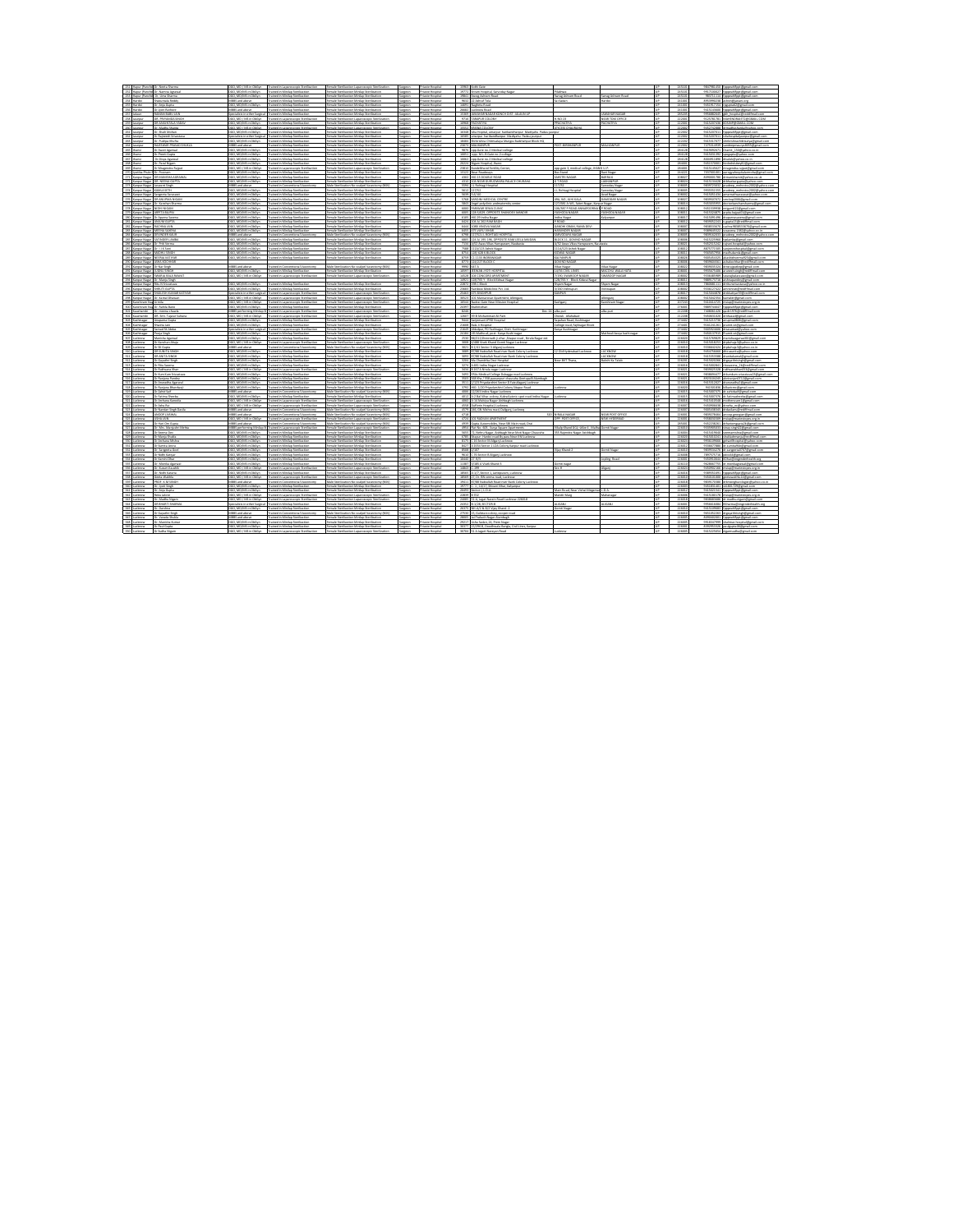| 251 Hasur (Panche Dr. Neeta Sharma<br>252 Hasur (Panche Dr. Namita Antzer<br>253 Hapur (Panche Dr. Uma Sharma<br>DCO MD/MS in OhCun Trained in Minilan Starlington<br>Dr. Namira Ameand<br>Camala Quellingting Minites Quellingting<br><b>Drivers Housted</b><br>10772 Crimen Mounthal Canyoutau Nagar<br>24510<br><b>Company</b><br><b>Indeburn</b><br>DGO, MD/MS in ObGyn Trained in Minilao Sterikzation<br>245100<br>Private Hospital<br>Swraw Ashram Road<br><b>ID</b><br>Female Sterilization Minilao Sterilization<br>Surgeon<br>19841 Surza Advan Road<br>Swray Ashram Road<br>254 Handoi<br>255 Handoi<br>256 Handoi<br>Shakuntala Redd<br>MESS and above<br>Trained in Minilao Sterilizatio<br><b>Amala Gardination Minites Gardina</b><br>Private Hospital<br>9632 22 Ashraf Tota<br>24100<br>Garment<br>Li Cautian<br>DGO, MD/MS in ObGyn<br>Te Anio Gomes<br>Trained in Minites Quellingt<br>amala Quellivatino Minilan Quellin<br><b>Drivers Houston</b><br>1,6001 Nowhern Broad<br>11D<br>24100<br>24100<br>Trained in Minilap Sterilization<br>Private Hospital<br>26682 Lucknow Road<br>Dr.Jyoti Rathone<br>MEDS and about<br>Camala Quellivation Minites Quellivation<br>Gargains<br>257 Jalaun<br>258 Jaungur<br>259 Jaungur<br>15369 IAWAHAR NAGAR KONCH DIST, JALAUN U<br><b>ID</b><br>285205<br><b>RAMAN EAGU JAIN</b><br>Specialists in other Sunsical 1 Trained in Minilao Sterilization<br>Female Sterilization Minilao Sterilization<br>Surgeon<br>Private Hospital<br><b>JAWAHAR NAGAI</b><br>DR. PRIYAMDA SINGI<br>DGO, MD / MS in ObGen Trained in Laparpscopic Steriliz<br>Female Sterilization Lagaroscopic Steriliza<br>Private Hospital<br>9716 TARAPUR COLONY<br><b>M NO-22</b><br>NEAR TOM OFFICE<br>22200<br><b>Curanon</b><br>22200<br>DR. SAKUNTALA YADAI<br>DGO, MD/MS in ObGyn<br>Trained in Minilao Sterilization<br>Private Hospital<br>10968 PACHATIKA<br><b>PPACHATIYA</b><br>PACHATIYA<br>UP.<br>Female Sterilization Minilap Sterilization<br>Surgeon<br>260 launpur<br>222002<br>DGO, MD / MS in ObGen Trained in Laparoscopic Sterilization<br>15552 KRISNA COLONY<br>JEYEESS CHAURAHA<br>Dr. Madhu Shanda<br>Camala Quellivation I ananywoodr Quellivation<br>Surgeon<br>Private Hospital<br>351 Isunour<br>362 Isunour<br>362 Isunour<br>16348 lista Hooltal unargur haribandhangur Madyahu Pa<br>11D<br>Dr. Quali Mehan<br>DOD MD/MS in ONCHE<br>Trained in Miniter Gardina<br>male Quellywinn Minilan Qu<br><b>Drivers Mounts</b><br>2220<br>22200<br>To Daimeach Sciences<br>Coacialists in other Cureiral & Trained in Minilan Quellingtin<br>male Gardination Minites Gardinati<br>mann<br>Drivers Mounted<br>10000 company harbordhanny Marlyshy Datay Jayman<br>222202<br>DGO, MD/MS in ObGyn<br>Trained in Minilap Sterilization<br>Private Hospital<br>18484 Shrikrishna Chikitsalaya Mungra Badshahpur Block HQ<br>UP.<br>Dr. Pushpa Khufta<br>Female Sterilization Minilag Sterilization<br>Surgeon<br>354 Jaunqur<br>355 Jihansi<br>356 Jihansi<br>22200<br>RAJESWAR PRASAD SHUKLA<br>Trained in Minites Quellington<br>Private Hospital<br>23123 MAI MANDID<br><b>CCT. GIOGNANO I E</b><br><b>MALIKANPUR</b><br>MEDC and shows<br>amala Gastington Minites Gastington<br><b>Greening</b><br>Trained in Minilao Sterilizat<br>28412<br>Dr Sarahi Ammun<br>DOD MOAK IN ONCH<br>Private Hospita<br>9876 opp Gate no 2 Medical colleg<br>mala Quellivation Minilan Quellin<br>060. MD/MS in ObGyn<br>Trained in Minilao Sterilizatio<br>10051 cpp. M.L.R Gate no. 2 college<br>28412<br>Dr. Preeti Guota<br>nale Sterlization Minilao Sterlizatio<br>Private Hospital<br>Surgeon<br>267<br>268 (hans)<br>269 (hans)<br>270 (uotiba Phile)<br>Dr.Divia Atanyal<br>10062 opp Gate no 2 Medical college<br>284128<br>DOD MD/MS in OND at<br>Trained in Minilao Sterilization<br>Female Sterilization Minilag Sterilization<br>Private Hospital<br>11D<br>Gargains<br>DOD MOARCH ONCH<br>Trained in Minites Startington<br>Private Hospital<br>20224 Mason Mounted Presid<br>28400<br>Dr. Parul Nieam<br>amala Gardinating Minites Gardinating<br>Garanton<br>DGO, MD / MS in ObGet<br>Trained in Laparoscopic Steriliz<br>Private Hospital<br>23810 Bundelkhand Fertility Center<br>oppgate 2, medical college, 2<br>HANS U.P<br>$\overline{10}$<br>28400<br>Dr Mragendra Rajp<br>enale Sterilization Lagaroscopic Sterilizati<br>Surgeon<br>Dr. Pocnam<br>GO, MD/MS in ObGyn<br>ined in Minilao Sterikza<br>tale Sterilization Minilao Ster<br>13122<br><b>Jear Roadway</b><br><b>Rani Naza</b><br>24422<br>Private Hospit<br>a Stand<br>271 Kansar Name: CR MANISHA ACOANNA<br>272 Kansar Name: CR NEENA CLPTA<br>273 Kansar Name: Januard Singh<br>DOD MOARCH ONCH<br>Trained in Minites Gardinatic<br>Private Hospital<br>4302 MG 13 DOUBLE BOAD<br>SANSTRI NAGAL<br>BARRAG<br>20802<br>Camala Quellington Minilan Quellington<br><b>COMMONS</b><br>DGO, MD/MS in ObGyn<br>Trained in Minilao Sterilizati<br>emale Sterilization Minilao Sterilizatio<br>Surgeon<br>Private Hospital<br>4310 10A NEAR GURLIDWARA PALACE CHURAHA<br><b>GTROAD</b><br><b>LAXHAN PUR</b><br>1D <sup>-1</sup><br>20902<br>MESS and above<br>tained in Conv<br>Male Sterilization No-scalpel Vasector<br>Private Hospit<br>5594 J.L. Rohtzat Hospital<br>17/52<br>lanışday Na<br>i io<br>20900<br>983972337<br>274 Kanpur Naese<br>275 Kanpur Nagar<br>276 Kanpur Nagar<br><b>KAMLA SETH</b><br>GO, MD/MS in ObGyn<br>ained in Minilao Sterilizati<br>emale Sterilization Minilao Steriliza<br>mon<br>Private Hospital<br>5612<br>17/52<br><b>Aphrasi H</b><br>noday Nas<br>20800<br>Private Hospital<br>Sangeeta Saraywa<br>DGO, MD/MS in ObGyn<br>Trained in Minilao Sterilizatio<br>Female Sterilization Minilao Sterilizatio<br>Surgeon<br>5639 3 A/ 60<br>Azad Nagar<br><b>HO</b><br>20800 | 0017100022<br>forecabilities diamal com<br>983711114 fogpeablfoot@email.com<br>0053000730<br>Nebullisment one<br>GAS101715A<br>www.ast.https://www.ast.com<br>9415143000<br>fogorabilizat@email.com<br>9956882645 ebh hospital@reddfmail.com<br>9125781781 MAHENDRAUTZ/RGMAIL.COM<br>9415207436<br>косминдсьми, сом<br>9852742000<br>Armaduabantallushan com<br>94153033<br>GASCIERNI<br>habourded a concellateral con<br>9415317077<br>shrikrishnachikitsalya@gmail.com<br>7770314930<br>andagona usab 100 ditempi co-<br>941909247<br>camic 150@ushoo.co.<br>9415031392<br>sponsata@vahoo.com<br>0004011000<br>divalgé/Pyahoo.co.in<br><b>GASTERING</b><br><b>Information Channel come</b> |
|----------------------------------------------------------------------------------------------------------------------------------------------------------------------------------------------------------------------------------------------------------------------------------------------------------------------------------------------------------------------------------------------------------------------------------------------------------------------------------------------------------------------------------------------------------------------------------------------------------------------------------------------------------------------------------------------------------------------------------------------------------------------------------------------------------------------------------------------------------------------------------------------------------------------------------------------------------------------------------------------------------------------------------------------------------------------------------------------------------------------------------------------------------------------------------------------------------------------------------------------------------------------------------------------------------------------------------------------------------------------------------------------------------------------------------------------------------------------------------------------------------------------------------------------------------------------------------------------------------------------------------------------------------------------------------------------------------------------------------------------------------------------------------------------------------------------------------------------------------------------------------------------------------------------------------------------------------------------------------------------------------------------------------------------------------------------------------------------------------------------------------------------------------------------------------------------------------------------------------------------------------------------------------------------------------------------------------------------------------------------------------------------------------------------------------------------------------------------------------------------------------------------------------------------------------------------------------------------------------------------------------------------------------------------------------------------------------------------------------------------------------------------------------------------------------------------------------------------------------------------------------------------------------------------------------------------------------------------------------------------------------------------------------------------------------------------------------------------------------------------------------------------------------------------------------------------------------------------------------------------------------------------------------------------------------------------------------------------------------------------------------------------------------------------------------------------------------------------------------------------------------------------------------------------------------------------------------------------------------------------------------------------------------------------------------------------------------------------------------------------------------------------------------------------------------------------------------------------------------------------------------------------------------------------------------------------------------------------------------------------------------------------------------------------------------------------------------------------------------------------------------------------------------------------------------------------------------------------------------------------------------------------------------------------------------------------------------------------------------------------------------------------------------------------------------------------------------------------------------------------------------------------------------------------------------------------------------------------------------------------------------------------------------------------------------------------------------------------------------------------------------------------------------------------------------------------------------------------------------------------------------------------------------------------------------------------------------------------------------------------------------------------------------------------------------------------------------------------------------------------------------------------------------------------------------------------------------------------------------------------------------------------------------------------------------------------------------------------------------------------------------------------------------------------------------------------------------------------------------------------------------------------------------------------------------------------------------------------------------------------------------------------------------------------------------------------------------------------------------------------------------------------------------------------------------------------------------------|----------------------------------------------------------------------------------------------------------------------------------------------------------------------------------------------------------------------------------------------------------------------------------------------------------------------------------------------------------------------------------------------------------------------------------------------------------------------------------------------------------------------------------------------------------------------------------------------------------------------------------------------------------------------------------------------|
|                                                                                                                                                                                                                                                                                                                                                                                                                                                                                                                                                                                                                                                                                                                                                                                                                                                                                                                                                                                                                                                                                                                                                                                                                                                                                                                                                                                                                                                                                                                                                                                                                                                                                                                                                                                                                                                                                                                                                                                                                                                                                                                                                                                                                                                                                                                                                                                                                                                                                                                                                                                                                                                                                                                                                                                                                                                                                                                                                                                                                                                                                                                                                                                                                                                                                                                                                                                                                                                                                                                                                                                                                                                                                                                                                                                                                                                                                                                                                                                                                                                                                                                                                                                                                                                                                                                                                                                                                                                                                                                                                                                                                                                                                                                                                                                                                                                                                                                                                                                                                                                                                                                                                                                                                                                                                                                                                                                                                                                                                                                                                                                                                                                                                                                                                                                                                                        |                                                                                                                                                                                                                                                                                                                                                                                                                                                                                                                                                                                                                                                                                              |
|                                                                                                                                                                                                                                                                                                                                                                                                                                                                                                                                                                                                                                                                                                                                                                                                                                                                                                                                                                                                                                                                                                                                                                                                                                                                                                                                                                                                                                                                                                                                                                                                                                                                                                                                                                                                                                                                                                                                                                                                                                                                                                                                                                                                                                                                                                                                                                                                                                                                                                                                                                                                                                                                                                                                                                                                                                                                                                                                                                                                                                                                                                                                                                                                                                                                                                                                                                                                                                                                                                                                                                                                                                                                                                                                                                                                                                                                                                                                                                                                                                                                                                                                                                                                                                                                                                                                                                                                                                                                                                                                                                                                                                                                                                                                                                                                                                                                                                                                                                                                                                                                                                                                                                                                                                                                                                                                                                                                                                                                                                                                                                                                                                                                                                                                                                                                                                        |                                                                                                                                                                                                                                                                                                                                                                                                                                                                                                                                                                                                                                                                                              |
|                                                                                                                                                                                                                                                                                                                                                                                                                                                                                                                                                                                                                                                                                                                                                                                                                                                                                                                                                                                                                                                                                                                                                                                                                                                                                                                                                                                                                                                                                                                                                                                                                                                                                                                                                                                                                                                                                                                                                                                                                                                                                                                                                                                                                                                                                                                                                                                                                                                                                                                                                                                                                                                                                                                                                                                                                                                                                                                                                                                                                                                                                                                                                                                                                                                                                                                                                                                                                                                                                                                                                                                                                                                                                                                                                                                                                                                                                                                                                                                                                                                                                                                                                                                                                                                                                                                                                                                                                                                                                                                                                                                                                                                                                                                                                                                                                                                                                                                                                                                                                                                                                                                                                                                                                                                                                                                                                                                                                                                                                                                                                                                                                                                                                                                                                                                                                                        |                                                                                                                                                                                                                                                                                                                                                                                                                                                                                                                                                                                                                                                                                              |
|                                                                                                                                                                                                                                                                                                                                                                                                                                                                                                                                                                                                                                                                                                                                                                                                                                                                                                                                                                                                                                                                                                                                                                                                                                                                                                                                                                                                                                                                                                                                                                                                                                                                                                                                                                                                                                                                                                                                                                                                                                                                                                                                                                                                                                                                                                                                                                                                                                                                                                                                                                                                                                                                                                                                                                                                                                                                                                                                                                                                                                                                                                                                                                                                                                                                                                                                                                                                                                                                                                                                                                                                                                                                                                                                                                                                                                                                                                                                                                                                                                                                                                                                                                                                                                                                                                                                                                                                                                                                                                                                                                                                                                                                                                                                                                                                                                                                                                                                                                                                                                                                                                                                                                                                                                                                                                                                                                                                                                                                                                                                                                                                                                                                                                                                                                                                                                        |                                                                                                                                                                                                                                                                                                                                                                                                                                                                                                                                                                                                                                                                                              |
|                                                                                                                                                                                                                                                                                                                                                                                                                                                                                                                                                                                                                                                                                                                                                                                                                                                                                                                                                                                                                                                                                                                                                                                                                                                                                                                                                                                                                                                                                                                                                                                                                                                                                                                                                                                                                                                                                                                                                                                                                                                                                                                                                                                                                                                                                                                                                                                                                                                                                                                                                                                                                                                                                                                                                                                                                                                                                                                                                                                                                                                                                                                                                                                                                                                                                                                                                                                                                                                                                                                                                                                                                                                                                                                                                                                                                                                                                                                                                                                                                                                                                                                                                                                                                                                                                                                                                                                                                                                                                                                                                                                                                                                                                                                                                                                                                                                                                                                                                                                                                                                                                                                                                                                                                                                                                                                                                                                                                                                                                                                                                                                                                                                                                                                                                                                                                                        |                                                                                                                                                                                                                                                                                                                                                                                                                                                                                                                                                                                                                                                                                              |
|                                                                                                                                                                                                                                                                                                                                                                                                                                                                                                                                                                                                                                                                                                                                                                                                                                                                                                                                                                                                                                                                                                                                                                                                                                                                                                                                                                                                                                                                                                                                                                                                                                                                                                                                                                                                                                                                                                                                                                                                                                                                                                                                                                                                                                                                                                                                                                                                                                                                                                                                                                                                                                                                                                                                                                                                                                                                                                                                                                                                                                                                                                                                                                                                                                                                                                                                                                                                                                                                                                                                                                                                                                                                                                                                                                                                                                                                                                                                                                                                                                                                                                                                                                                                                                                                                                                                                                                                                                                                                                                                                                                                                                                                                                                                                                                                                                                                                                                                                                                                                                                                                                                                                                                                                                                                                                                                                                                                                                                                                                                                                                                                                                                                                                                                                                                                                                        |                                                                                                                                                                                                                                                                                                                                                                                                                                                                                                                                                                                                                                                                                              |
|                                                                                                                                                                                                                                                                                                                                                                                                                                                                                                                                                                                                                                                                                                                                                                                                                                                                                                                                                                                                                                                                                                                                                                                                                                                                                                                                                                                                                                                                                                                                                                                                                                                                                                                                                                                                                                                                                                                                                                                                                                                                                                                                                                                                                                                                                                                                                                                                                                                                                                                                                                                                                                                                                                                                                                                                                                                                                                                                                                                                                                                                                                                                                                                                                                                                                                                                                                                                                                                                                                                                                                                                                                                                                                                                                                                                                                                                                                                                                                                                                                                                                                                                                                                                                                                                                                                                                                                                                                                                                                                                                                                                                                                                                                                                                                                                                                                                                                                                                                                                                                                                                                                                                                                                                                                                                                                                                                                                                                                                                                                                                                                                                                                                                                                                                                                                                                        |                                                                                                                                                                                                                                                                                                                                                                                                                                                                                                                                                                                                                                                                                              |
|                                                                                                                                                                                                                                                                                                                                                                                                                                                                                                                                                                                                                                                                                                                                                                                                                                                                                                                                                                                                                                                                                                                                                                                                                                                                                                                                                                                                                                                                                                                                                                                                                                                                                                                                                                                                                                                                                                                                                                                                                                                                                                                                                                                                                                                                                                                                                                                                                                                                                                                                                                                                                                                                                                                                                                                                                                                                                                                                                                                                                                                                                                                                                                                                                                                                                                                                                                                                                                                                                                                                                                                                                                                                                                                                                                                                                                                                                                                                                                                                                                                                                                                                                                                                                                                                                                                                                                                                                                                                                                                                                                                                                                                                                                                                                                                                                                                                                                                                                                                                                                                                                                                                                                                                                                                                                                                                                                                                                                                                                                                                                                                                                                                                                                                                                                                                                                        |                                                                                                                                                                                                                                                                                                                                                                                                                                                                                                                                                                                                                                                                                              |
|                                                                                                                                                                                                                                                                                                                                                                                                                                                                                                                                                                                                                                                                                                                                                                                                                                                                                                                                                                                                                                                                                                                                                                                                                                                                                                                                                                                                                                                                                                                                                                                                                                                                                                                                                                                                                                                                                                                                                                                                                                                                                                                                                                                                                                                                                                                                                                                                                                                                                                                                                                                                                                                                                                                                                                                                                                                                                                                                                                                                                                                                                                                                                                                                                                                                                                                                                                                                                                                                                                                                                                                                                                                                                                                                                                                                                                                                                                                                                                                                                                                                                                                                                                                                                                                                                                                                                                                                                                                                                                                                                                                                                                                                                                                                                                                                                                                                                                                                                                                                                                                                                                                                                                                                                                                                                                                                                                                                                                                                                                                                                                                                                                                                                                                                                                                                                                        |                                                                                                                                                                                                                                                                                                                                                                                                                                                                                                                                                                                                                                                                                              |
|                                                                                                                                                                                                                                                                                                                                                                                                                                                                                                                                                                                                                                                                                                                                                                                                                                                                                                                                                                                                                                                                                                                                                                                                                                                                                                                                                                                                                                                                                                                                                                                                                                                                                                                                                                                                                                                                                                                                                                                                                                                                                                                                                                                                                                                                                                                                                                                                                                                                                                                                                                                                                                                                                                                                                                                                                                                                                                                                                                                                                                                                                                                                                                                                                                                                                                                                                                                                                                                                                                                                                                                                                                                                                                                                                                                                                                                                                                                                                                                                                                                                                                                                                                                                                                                                                                                                                                                                                                                                                                                                                                                                                                                                                                                                                                                                                                                                                                                                                                                                                                                                                                                                                                                                                                                                                                                                                                                                                                                                                                                                                                                                                                                                                                                                                                                                                                        |                                                                                                                                                                                                                                                                                                                                                                                                                                                                                                                                                                                                                                                                                              |
|                                                                                                                                                                                                                                                                                                                                                                                                                                                                                                                                                                                                                                                                                                                                                                                                                                                                                                                                                                                                                                                                                                                                                                                                                                                                                                                                                                                                                                                                                                                                                                                                                                                                                                                                                                                                                                                                                                                                                                                                                                                                                                                                                                                                                                                                                                                                                                                                                                                                                                                                                                                                                                                                                                                                                                                                                                                                                                                                                                                                                                                                                                                                                                                                                                                                                                                                                                                                                                                                                                                                                                                                                                                                                                                                                                                                                                                                                                                                                                                                                                                                                                                                                                                                                                                                                                                                                                                                                                                                                                                                                                                                                                                                                                                                                                                                                                                                                                                                                                                                                                                                                                                                                                                                                                                                                                                                                                                                                                                                                                                                                                                                                                                                                                                                                                                                                                        |                                                                                                                                                                                                                                                                                                                                                                                                                                                                                                                                                                                                                                                                                              |
|                                                                                                                                                                                                                                                                                                                                                                                                                                                                                                                                                                                                                                                                                                                                                                                                                                                                                                                                                                                                                                                                                                                                                                                                                                                                                                                                                                                                                                                                                                                                                                                                                                                                                                                                                                                                                                                                                                                                                                                                                                                                                                                                                                                                                                                                                                                                                                                                                                                                                                                                                                                                                                                                                                                                                                                                                                                                                                                                                                                                                                                                                                                                                                                                                                                                                                                                                                                                                                                                                                                                                                                                                                                                                                                                                                                                                                                                                                                                                                                                                                                                                                                                                                                                                                                                                                                                                                                                                                                                                                                                                                                                                                                                                                                                                                                                                                                                                                                                                                                                                                                                                                                                                                                                                                                                                                                                                                                                                                                                                                                                                                                                                                                                                                                                                                                                                                        |                                                                                                                                                                                                                                                                                                                                                                                                                                                                                                                                                                                                                                                                                              |
|                                                                                                                                                                                                                                                                                                                                                                                                                                                                                                                                                                                                                                                                                                                                                                                                                                                                                                                                                                                                                                                                                                                                                                                                                                                                                                                                                                                                                                                                                                                                                                                                                                                                                                                                                                                                                                                                                                                                                                                                                                                                                                                                                                                                                                                                                                                                                                                                                                                                                                                                                                                                                                                                                                                                                                                                                                                                                                                                                                                                                                                                                                                                                                                                                                                                                                                                                                                                                                                                                                                                                                                                                                                                                                                                                                                                                                                                                                                                                                                                                                                                                                                                                                                                                                                                                                                                                                                                                                                                                                                                                                                                                                                                                                                                                                                                                                                                                                                                                                                                                                                                                                                                                                                                                                                                                                                                                                                                                                                                                                                                                                                                                                                                                                                                                                                                                                        |                                                                                                                                                                                                                                                                                                                                                                                                                                                                                                                                                                                                                                                                                              |
|                                                                                                                                                                                                                                                                                                                                                                                                                                                                                                                                                                                                                                                                                                                                                                                                                                                                                                                                                                                                                                                                                                                                                                                                                                                                                                                                                                                                                                                                                                                                                                                                                                                                                                                                                                                                                                                                                                                                                                                                                                                                                                                                                                                                                                                                                                                                                                                                                                                                                                                                                                                                                                                                                                                                                                                                                                                                                                                                                                                                                                                                                                                                                                                                                                                                                                                                                                                                                                                                                                                                                                                                                                                                                                                                                                                                                                                                                                                                                                                                                                                                                                                                                                                                                                                                                                                                                                                                                                                                                                                                                                                                                                                                                                                                                                                                                                                                                                                                                                                                                                                                                                                                                                                                                                                                                                                                                                                                                                                                                                                                                                                                                                                                                                                                                                                                                                        |                                                                                                                                                                                                                                                                                                                                                                                                                                                                                                                                                                                                                                                                                              |
|                                                                                                                                                                                                                                                                                                                                                                                                                                                                                                                                                                                                                                                                                                                                                                                                                                                                                                                                                                                                                                                                                                                                                                                                                                                                                                                                                                                                                                                                                                                                                                                                                                                                                                                                                                                                                                                                                                                                                                                                                                                                                                                                                                                                                                                                                                                                                                                                                                                                                                                                                                                                                                                                                                                                                                                                                                                                                                                                                                                                                                                                                                                                                                                                                                                                                                                                                                                                                                                                                                                                                                                                                                                                                                                                                                                                                                                                                                                                                                                                                                                                                                                                                                                                                                                                                                                                                                                                                                                                                                                                                                                                                                                                                                                                                                                                                                                                                                                                                                                                                                                                                                                                                                                                                                                                                                                                                                                                                                                                                                                                                                                                                                                                                                                                                                                                                                        |                                                                                                                                                                                                                                                                                                                                                                                                                                                                                                                                                                                                                                                                                              |
|                                                                                                                                                                                                                                                                                                                                                                                                                                                                                                                                                                                                                                                                                                                                                                                                                                                                                                                                                                                                                                                                                                                                                                                                                                                                                                                                                                                                                                                                                                                                                                                                                                                                                                                                                                                                                                                                                                                                                                                                                                                                                                                                                                                                                                                                                                                                                                                                                                                                                                                                                                                                                                                                                                                                                                                                                                                                                                                                                                                                                                                                                                                                                                                                                                                                                                                                                                                                                                                                                                                                                                                                                                                                                                                                                                                                                                                                                                                                                                                                                                                                                                                                                                                                                                                                                                                                                                                                                                                                                                                                                                                                                                                                                                                                                                                                                                                                                                                                                                                                                                                                                                                                                                                                                                                                                                                                                                                                                                                                                                                                                                                                                                                                                                                                                                                                                                        |                                                                                                                                                                                                                                                                                                                                                                                                                                                                                                                                                                                                                                                                                              |
|                                                                                                                                                                                                                                                                                                                                                                                                                                                                                                                                                                                                                                                                                                                                                                                                                                                                                                                                                                                                                                                                                                                                                                                                                                                                                                                                                                                                                                                                                                                                                                                                                                                                                                                                                                                                                                                                                                                                                                                                                                                                                                                                                                                                                                                                                                                                                                                                                                                                                                                                                                                                                                                                                                                                                                                                                                                                                                                                                                                                                                                                                                                                                                                                                                                                                                                                                                                                                                                                                                                                                                                                                                                                                                                                                                                                                                                                                                                                                                                                                                                                                                                                                                                                                                                                                                                                                                                                                                                                                                                                                                                                                                                                                                                                                                                                                                                                                                                                                                                                                                                                                                                                                                                                                                                                                                                                                                                                                                                                                                                                                                                                                                                                                                                                                                                                                                        |                                                                                                                                                                                                                                                                                                                                                                                                                                                                                                                                                                                                                                                                                              |
|                                                                                                                                                                                                                                                                                                                                                                                                                                                                                                                                                                                                                                                                                                                                                                                                                                                                                                                                                                                                                                                                                                                                                                                                                                                                                                                                                                                                                                                                                                                                                                                                                                                                                                                                                                                                                                                                                                                                                                                                                                                                                                                                                                                                                                                                                                                                                                                                                                                                                                                                                                                                                                                                                                                                                                                                                                                                                                                                                                                                                                                                                                                                                                                                                                                                                                                                                                                                                                                                                                                                                                                                                                                                                                                                                                                                                                                                                                                                                                                                                                                                                                                                                                                                                                                                                                                                                                                                                                                                                                                                                                                                                                                                                                                                                                                                                                                                                                                                                                                                                                                                                                                                                                                                                                                                                                                                                                                                                                                                                                                                                                                                                                                                                                                                                                                                                                        | 9415145627<br>rraevodra.raiput/Pemall.com                                                                                                                                                                                                                                                                                                                                                                                                                                                                                                                                                                                                                                                    |
|                                                                                                                                                                                                                                                                                                                                                                                                                                                                                                                                                                                                                                                                                                                                                                                                                                                                                                                                                                                                                                                                                                                                                                                                                                                                                                                                                                                                                                                                                                                                                                                                                                                                                                                                                                                                                                                                                                                                                                                                                                                                                                                                                                                                                                                                                                                                                                                                                                                                                                                                                                                                                                                                                                                                                                                                                                                                                                                                                                                                                                                                                                                                                                                                                                                                                                                                                                                                                                                                                                                                                                                                                                                                                                                                                                                                                                                                                                                                                                                                                                                                                                                                                                                                                                                                                                                                                                                                                                                                                                                                                                                                                                                                                                                                                                                                                                                                                                                                                                                                                                                                                                                                                                                                                                                                                                                                                                                                                                                                                                                                                                                                                                                                                                                                                                                                                                        |                                                                                                                                                                                                                                                                                                                                                                                                                                                                                                                                                                                                                                                                                              |
|                                                                                                                                                                                                                                                                                                                                                                                                                                                                                                                                                                                                                                                                                                                                                                                                                                                                                                                                                                                                                                                                                                                                                                                                                                                                                                                                                                                                                                                                                                                                                                                                                                                                                                                                                                                                                                                                                                                                                                                                                                                                                                                                                                                                                                                                                                                                                                                                                                                                                                                                                                                                                                                                                                                                                                                                                                                                                                                                                                                                                                                                                                                                                                                                                                                                                                                                                                                                                                                                                                                                                                                                                                                                                                                                                                                                                                                                                                                                                                                                                                                                                                                                                                                                                                                                                                                                                                                                                                                                                                                                                                                                                                                                                                                                                                                                                                                                                                                                                                                                                                                                                                                                                                                                                                                                                                                                                                                                                                                                                                                                                                                                                                                                                                                                                                                                                                        | engener zen<br><b>International diffusion on all</b>                                                                                                                                                                                                                                                                                                                                                                                                                                                                                                                                                                                                                                         |
|                                                                                                                                                                                                                                                                                                                                                                                                                                                                                                                                                                                                                                                                                                                                                                                                                                                                                                                                                                                                                                                                                                                                                                                                                                                                                                                                                                                                                                                                                                                                                                                                                                                                                                                                                                                                                                                                                                                                                                                                                                                                                                                                                                                                                                                                                                                                                                                                                                                                                                                                                                                                                                                                                                                                                                                                                                                                                                                                                                                                                                                                                                                                                                                                                                                                                                                                                                                                                                                                                                                                                                                                                                                                                                                                                                                                                                                                                                                                                                                                                                                                                                                                                                                                                                                                                                                                                                                                                                                                                                                                                                                                                                                                                                                                                                                                                                                                                                                                                                                                                                                                                                                                                                                                                                                                                                                                                                                                                                                                                                                                                                                                                                                                                                                                                                                                                                        | 9415134428<br>drbhaskarmuota (Pyahoo .com                                                                                                                                                                                                                                                                                                                                                                                                                                                                                                                                                                                                                                                    |
|                                                                                                                                                                                                                                                                                                                                                                                                                                                                                                                                                                                                                                                                                                                                                                                                                                                                                                                                                                                                                                                                                                                                                                                                                                                                                                                                                                                                                                                                                                                                                                                                                                                                                                                                                                                                                                                                                                                                                                                                                                                                                                                                                                                                                                                                                                                                                                                                                                                                                                                                                                                                                                                                                                                                                                                                                                                                                                                                                                                                                                                                                                                                                                                                                                                                                                                                                                                                                                                                                                                                                                                                                                                                                                                                                                                                                                                                                                                                                                                                                                                                                                                                                                                                                                                                                                                                                                                                                                                                                                                                                                                                                                                                                                                                                                                                                                                                                                                                                                                                                                                                                                                                                                                                                                                                                                                                                                                                                                                                                                                                                                                                                                                                                                                                                                                                                                        | radeep meteotra2002/fra                                                                                                                                                                                                                                                                                                                                                                                                                                                                                                                                                                                                                                                                      |
|                                                                                                                                                                                                                                                                                                                                                                                                                                                                                                                                                                                                                                                                                                                                                                                                                                                                                                                                                                                                                                                                                                                                                                                                                                                                                                                                                                                                                                                                                                                                                                                                                                                                                                                                                                                                                                                                                                                                                                                                                                                                                                                                                                                                                                                                                                                                                                                                                                                                                                                                                                                                                                                                                                                                                                                                                                                                                                                                                                                                                                                                                                                                                                                                                                                                                                                                                                                                                                                                                                                                                                                                                                                                                                                                                                                                                                                                                                                                                                                                                                                                                                                                                                                                                                                                                                                                                                                                                                                                                                                                                                                                                                                                                                                                                                                                                                                                                                                                                                                                                                                                                                                                                                                                                                                                                                                                                                                                                                                                                                                                                                                                                                                                                                                                                                                                                                        | 993555155<br>adeep metrotra2002/fra<br>9415051434<br>marrathus taywat (Pyahoo, co                                                                                                                                                                                                                                                                                                                                                                                                                                                                                                                                                                                                            |
| <b>SR ANUPMA NIGAN</b><br>060. MD/MS in ObGyn<br>Trained in Minilao Sterilizat<br>emale Sterika<br>Private Hospital<br>5 X/8 SARQUNI MEDICAL CENTRE<br>49A W2, JUH KALA<br>DAMODAR NAGAL<br>20902                                                                                                                                                                                                                                                                                                                                                                                                                                                                                                                                                                                                                                                                                                                                                                                                                                                                                                                                                                                                                                                                                                                                                                                                                                                                                                                                                                                                                                                                                                                                                                                                                                                                                                                                                                                                                                                                                                                                                                                                                                                                                                                                                                                                                                                                                                                                                                                                                                                                                                                                                                                                                                                                                                                                                                                                                                                                                                                                                                                                                                                                                                                                                                                                                                                                                                                                                                                                                                                                                                                                                                                                                                                                                                                                                                                                                                                                                                                                                                                                                                                                                                                                                                                                                                                                                                                                                                                                                                                                                                                                                                                                                                                                                                                                                                                                                                                                                                                                                                                                                                                                                                                                                                                                                                                                                                                                                                                                                                                                                                                                                                                                                                      | 98265070<br>nckna2006@email.com                                                                                                                                                                                                                                                                                                                                                                                                                                                                                                                                                                                                                                                              |
| Surgeon<br>277 Kanpur Namar<br>Dr. Kanchan Sha<br>GO, MD/MS in ObGyn<br>rained in Minilao Sterilizat<br>Private Hospit<br>5842 Annel polyclinic andmaternity<br>27/681 A-W1, Saket Nar<br>2080                                                                                                                                                                                                                                                                                                                                                                                                                                                                                                                                                                                                                                                                                                                                                                                                                                                                                                                                                                                                                                                                                                                                                                                                                                                                                                                                                                                                                                                                                                                                                                                                                                                                                                                                                                                                                                                                                                                                                                                                                                                                                                                                                                                                                                                                                                                                                                                                                                                                                                                                                                                                                                                                                                                                                                                                                                                                                                                                                                                                                                                                                                                                                                                                                                                                                                                                                                                                                                                                                                                                                                                                                                                                                                                                                                                                                                                                                                                                                                                                                                                                                                                                                                                                                                                                                                                                                                                                                                                                                                                                                                                                                                                                                                                                                                                                                                                                                                                                                                                                                                                                                                                                                                                                                                                                                                                                                                                                                                                                                                                                                                                                                                         | 9453035955<br>actorkanchansharma@                                                                                                                                                                                                                                                                                                                                                                                                                                                                                                                                                                                                                                                            |
| enale Sterilization Minilao Steril<br>278 Kanpur Nagar<br>NIDH NIGAM<br>060, MD/MS in ObGyn<br>Trained in Minilap Sterilization<br>Female Sterilization Minilao Sterilization<br>Private Hospital<br><b>6000 PARTINAR SEWA CLINIC</b><br>106/387 P ROAD ANNAPOORNA IF P RDAD<br>20801<br>11D                                                                                                                                                                                                                                                                                                                                                                                                                                                                                                                                                                                                                                                                                                                                                                                                                                                                                                                                                                                                                                                                                                                                                                                                                                                                                                                                                                                                                                                                                                                                                                                                                                                                                                                                                                                                                                                                                                                                                                                                                                                                                                                                                                                                                                                                                                                                                                                                                                                                                                                                                                                                                                                                                                                                                                                                                                                                                                                                                                                                                                                                                                                                                                                                                                                                                                                                                                                                                                                                                                                                                                                                                                                                                                                                                                                                                                                                                                                                                                                                                                                                                                                                                                                                                                                                                                                                                                                                                                                                                                                                                                                                                                                                                                                                                                                                                                                                                                                                                                                                                                                                                                                                                                                                                                                                                                                                                                                                                                                                                                                                           | 9451529938<br>nigami22@gmail.com                                                                                                                                                                                                                                                                                                                                                                                                                                                                                                                                                                                                                                                             |
| Surgeon<br><b>ARPITA BAIPAL</b><br>DGO, MD/MS in ObGyn<br>Trained in Minilao Sterilizatio<br>Female Sterilization Minilao Sterilization<br>Surgeon<br>Private Hospital<br>6305 128-5/629, OPPOSITE SHAN IDEV MANDIR<br><b>SASHODA NAGAR</b><br>YASHOOA NAGAR<br><b>ID</b><br>20901                                                                                                                                                                                                                                                                                                                                                                                                                                                                                                                                                                                                                                                                                                                                                                                                                                                                                                                                                                                                                                                                                                                                                                                                                                                                                                                                                                                                                                                                                                                                                                                                                                                                                                                                                                                                                                                                                                                                                                                                                                                                                                                                                                                                                                                                                                                                                                                                                                                                                                                                                                                                                                                                                                                                                                                                                                                                                                                                                                                                                                                                                                                                                                                                                                                                                                                                                                                                                                                                                                                                                                                                                                                                                                                                                                                                                                                                                                                                                                                                                                                                                                                                                                                                                                                                                                                                                                                                                                                                                                                                                                                                                                                                                                                                                                                                                                                                                                                                                                                                                                                                                                                                                                                                                                                                                                                                                                                                                                                                                                                                                     | 9415324875 arolta baloa@iffermail.com                                                                                                                                                                                                                                                                                                                                                                                                                                                                                                                                                                                                                                                        |
| 273 Kanpur Nagar<br>280 Kanpur Nagar<br>GO, MD/MS in ObGyr<br>ined in Minilao Sterilia<br>Private Ho:<br>2080<br>ndra Nazar                                                                                                                                                                                                                                                                                                                                                                                                                                                                                                                                                                                                                                                                                                                                                                                                                                                                                                                                                                                                                                                                                                                                                                                                                                                                                                                                                                                                                                                                                                                                                                                                                                                                                                                                                                                                                                                                                                                                                                                                                                                                                                                                                                                                                                                                                                                                                                                                                                                                                                                                                                                                                                                                                                                                                                                                                                                                                                                                                                                                                                                                                                                                                                                                                                                                                                                                                                                                                                                                                                                                                                                                                                                                                                                                                                                                                                                                                                                                                                                                                                                                                                                                                                                                                                                                                                                                                                                                                                                                                                                                                                                                                                                                                                                                                                                                                                                                                                                                                                                                                                                                                                                                                                                                                                                                                                                                                                                                                                                                                                                                                                                                                                                                                                            |                                                                                                                                                                                                                                                                                                                                                                                                                                                                                                                                                                                                                                                                                              |
| 281 Kanpur Nagar ANJUM GUPTA<br>DCO MD/MS in OhCun Trainart in Minilan Starlington<br>Camala Quellingting Minilan Quellingting<br>Drivate Morrital<br>GOA 104 A/ 202 BAM BAGH<br>PAOR 9<br>208012<br><b>Currence</b><br><b>HD</b>                                                                                                                                                                                                                                                                                                                                                                                                                                                                                                                                                                                                                                                                                                                                                                                                                                                                                                                                                                                                                                                                                                                                                                                                                                                                                                                                                                                                                                                                                                                                                                                                                                                                                                                                                                                                                                                                                                                                                                                                                                                                                                                                                                                                                                                                                                                                                                                                                                                                                                                                                                                                                                                                                                                                                                                                                                                                                                                                                                                                                                                                                                                                                                                                                                                                                                                                                                                                                                                                                                                                                                                                                                                                                                                                                                                                                                                                                                                                                                                                                                                                                                                                                                                                                                                                                                                                                                                                                                                                                                                                                                                                                                                                                                                                                                                                                                                                                                                                                                                                                                                                                                                                                                                                                                                                                                                                                                                                                                                                                                                                                                                                      | 08300C2343 u minest3@radiffmal.com                                                                                                                                                                                                                                                                                                                                                                                                                                                                                                                                                                                                                                                           |
| 282 Kanpur Nagar<br>GANDHI GRAM, RAMA DEVI<br><b>RACHNA JAIN</b><br>GO, MD/MS in ObGyn<br>Trained in Minilao Sterilizatio<br>Female Sterilization Minilao Sterilization<br>Surgeon<br>Private Hospital<br>6444 1089 VINOVA NAGAR<br>11D<br>20800                                                                                                                                                                                                                                                                                                                                                                                                                                                                                                                                                                                                                                                                                                                                                                                                                                                                                                                                                                                                                                                                                                                                                                                                                                                                                                                                                                                                                                                                                                                                                                                                                                                                                                                                                                                                                                                                                                                                                                                                                                                                                                                                                                                                                                                                                                                                                                                                                                                                                                                                                                                                                                                                                                                                                                                                                                                                                                                                                                                                                                                                                                                                                                                                                                                                                                                                                                                                                                                                                                                                                                                                                                                                                                                                                                                                                                                                                                                                                                                                                                                                                                                                                                                                                                                                                                                                                                                                                                                                                                                                                                                                                                                                                                                                                                                                                                                                                                                                                                                                                                                                                                                                                                                                                                                                                                                                                                                                                                                                                                                                                                                       | achea9828531670@gmail.co<br>9838533670                                                                                                                                                                                                                                                                                                                                                                                                                                                                                                                                                                                                                                                       |
| 283 Kanpur Namar<br>MEENASAXENA<br>DGO, MD/MS in ObGyn<br>Trained in Minilao Sterilizat<br>emale Sterilization Minilao Steril<br>Private Hospita<br>6455 475 VANU VIHA<br><b><i>MADIANTICO MACAO</i></b><br>2080                                                                                                                                                                                                                                                                                                                                                                                                                                                                                                                                                                                                                                                                                                                                                                                                                                                                                                                                                                                                                                                                                                                                                                                                                                                                                                                                                                                                                                                                                                                                                                                                                                                                                                                                                                                                                                                                                                                                                                                                                                                                                                                                                                                                                                                                                                                                                                                                                                                                                                                                                                                                                                                                                                                                                                                                                                                                                                                                                                                                                                                                                                                                                                                                                                                                                                                                                                                                                                                                                                                                                                                                                                                                                                                                                                                                                                                                                                                                                                                                                                                                                                                                                                                                                                                                                                                                                                                                                                                                                                                                                                                                                                                                                                                                                                                                                                                                                                                                                                                                                                                                                                                                                                                                                                                                                                                                                                                                                                                                                                                                                                                                                       | 938964552<br>cuxena.1382@vahoo.co.                                                                                                                                                                                                                                                                                                                                                                                                                                                                                                                                                                                                                                                           |
| 284 Kanpur Namar CEVINDER KAUR<br>MEGS and about<br>Trained in Commentional Vasactors<br>Male Sterilization No-scalpel Vasectomy (NSV)<br>Surgeon<br>Private Hospital<br>4208 117/22 11 9/14/24 MOSTAL<br>CADUTO AVA NACAD<br>200000<br><b>ALMOST</b>                                                                                                                                                                                                                                                                                                                                                                                                                                                                                                                                                                                                                                                                                                                                                                                                                                                                                                                                                                                                                                                                                                                                                                                                                                                                                                                                                                                                                                                                                                                                                                                                                                                                                                                                                                                                                                                                                                                                                                                                                                                                                                                                                                                                                                                                                                                                                                                                                                                                                                                                                                                                                                                                                                                                                                                                                                                                                                                                                                                                                                                                                                                                                                                                                                                                                                                                                                                                                                                                                                                                                                                                                                                                                                                                                                                                                                                                                                                                                                                                                                                                                                                                                                                                                                                                                                                                                                                                                                                                                                                                                                                                                                                                                                                                                                                                                                                                                                                                                                                                                                                                                                                                                                                                                                                                                                                                                                                                                                                                                                                                                                                  | 0830142033<br>pradeep mehrotra2022@vahoo.com                                                                                                                                                                                                                                                                                                                                                                                                                                                                                                                                                                                                                                                 |
| 285 Kanpur Nagar<br><b>CATINITED I AMBA</b><br>DOD MD/MS in ONDer<br>Trained in Minilao Sterilization<br>Female Sterilization Minilao Sterilization<br>Private Hospital<br>GBYC 134 A/ 10C-10C ORROSITE RAM LED A MAIDAN<br>BLOCK 11 COMMONAGAR<br>200006<br>Surgeon<br><b>HD</b>                                                                                                                                                                                                                                                                                                                                                                                                                                                                                                                                                                                                                                                                                                                                                                                                                                                                                                                                                                                                                                                                                                                                                                                                                                                                                                                                                                                                                                                                                                                                                                                                                                                                                                                                                                                                                                                                                                                                                                                                                                                                                                                                                                                                                                                                                                                                                                                                                                                                                                                                                                                                                                                                                                                                                                                                                                                                                                                                                                                                                                                                                                                                                                                                                                                                                                                                                                                                                                                                                                                                                                                                                                                                                                                                                                                                                                                                                                                                                                                                                                                                                                                                                                                                                                                                                                                                                                                                                                                                                                                                                                                                                                                                                                                                                                                                                                                                                                                                                                                                                                                                                                                                                                                                                                                                                                                                                                                                                                                                                                                                                      | tpslamba@gmail.com<br>9415225900                                                                                                                                                                                                                                                                                                                                                                                                                                                                                                                                                                                                                                                             |
| 286 Kanpur Name<br>ined in Minilao Ste<br>Private Hos<br>7134 A/52 Awas Vikas Hz                                                                                                                                                                                                                                                                                                                                                                                                                                                                                                                                                                                                                                                                                                                                                                                                                                                                                                                                                                                                                                                                                                                                                                                                                                                                                                                                                                                                                                                                                                                                                                                                                                                                                                                                                                                                                                                                                                                                                                                                                                                                                                                                                                                                                                                                                                                                                                                                                                                                                                                                                                                                                                                                                                                                                                                                                                                                                                                                                                                                                                                                                                                                                                                                                                                                                                                                                                                                                                                                                                                                                                                                                                                                                                                                                                                                                                                                                                                                                                                                                                                                                                                                                                                                                                                                                                                                                                                                                                                                                                                                                                                                                                                                                                                                                                                                                                                                                                                                                                                                                                                                                                                                                                                                                                                                                                                                                                                                                                                                                                                                                                                                                                                                                                                                                       | <b>Institute American Control</b>                                                                                                                                                                                                                                                                                                                                                                                                                                                                                                                                                                                                                                                            |
| 287 Kanpur Namer Dr. 11 K Spri<br>DGO, MD/MS in ObGyn<br>2500 1114/123 Arbok Name<br>20801<br>Trained in Minites Gardinate<br>Cample Quellington Minites Quellingto<br>Green<br>Private Hospital<br>114/122 Arhold Marin<br><b>COL</b>                                                                                                                                                                                                                                                                                                                                                                                                                                                                                                                                                                                                                                                                                                                                                                                                                                                                                                                                                                                                                                                                                                                                                                                                                                                                                                                                                                                                                                                                                                                                                                                                                                                                                                                                                                                                                                                                                                                                                                                                                                                                                                                                                                                                                                                                                                                                                                                                                                                                                                                                                                                                                                                                                                                                                                                                                                                                                                                                                                                                                                                                                                                                                                                                                                                                                                                                                                                                                                                                                                                                                                                                                                                                                                                                                                                                                                                                                                                                                                                                                                                                                                                                                                                                                                                                                                                                                                                                                                                                                                                                                                                                                                                                                                                                                                                                                                                                                                                                                                                                                                                                                                                                                                                                                                                                                                                                                                                                                                                                                                                                                                                                 | 0076771505<br>aniamenthospital definersal co-                                                                                                                                                                                                                                                                                                                                                                                                                                                                                                                                                                                                                                                |
| 288 Kanpur Nagar<br>MADMIT ONCH<br>DCO MD/MS in OhCon Trained in Minilan Starlington<br>Camala Quellingting Minilan Quellingting<br>Surgeon<br>Private Hospital<br>0254 1207420 V BLOCK<br>KITAMIN NACAR<br>208011<br><b>CAN</b>                                                                                                                                                                                                                                                                                                                                                                                                                                                                                                                                                                                                                                                                                                                                                                                                                                                                                                                                                                                                                                                                                                                                                                                                                                                                                                                                                                                                                                                                                                                                                                                                                                                                                                                                                                                                                                                                                                                                                                                                                                                                                                                                                                                                                                                                                                                                                                                                                                                                                                                                                                                                                                                                                                                                                                                                                                                                                                                                                                                                                                                                                                                                                                                                                                                                                                                                                                                                                                                                                                                                                                                                                                                                                                                                                                                                                                                                                                                                                                                                                                                                                                                                                                                                                                                                                                                                                                                                                                                                                                                                                                                                                                                                                                                                                                                                                                                                                                                                                                                                                                                                                                                                                                                                                                                                                                                                                                                                                                                                                                                                                                                                       | <b>GULLSWAL</b><br>nadhakamla@email.com                                                                                                                                                                                                                                                                                                                                                                                                                                                                                                                                                                                                                                                      |
| 209 Kanpur Naurar NEERAJ KATYAR<br>GO MOAK In ONCH.<br>Trained in Minilao Sterilizatio<br>emale Sterlization Minilao Sterlization<br>Private Hospital<br>8759 C11133 INDRANAGAR<br><b>CALVAN DI 12</b><br>20802                                                                                                                                                                                                                                                                                                                                                                                                                                                                                                                                                                                                                                                                                                                                                                                                                                                                                                                                                                                                                                                                                                                                                                                                                                                                                                                                                                                                                                                                                                                                                                                                                                                                                                                                                                                                                                                                                                                                                                                                                                                                                                                                                                                                                                                                                                                                                                                                                                                                                                                                                                                                                                                                                                                                                                                                                                                                                                                                                                                                                                                                                                                                                                                                                                                                                                                                                                                                                                                                                                                                                                                                                                                                                                                                                                                                                                                                                                                                                                                                                                                                                                                                                                                                                                                                                                                                                                                                                                                                                                                                                                                                                                                                                                                                                                                                                                                                                                                                                                                                                                                                                                                                                                                                                                                                                                                                                                                                                                                                                                                                                                                                                        | 9005454375<br><b>Grandsburgers@2Cdbarrally</b>                                                                                                                                                                                                                                                                                                                                                                                                                                                                                                                                                                                                                                               |
| 280 Kanpur Name: ASHA KOCHINA<br>281 Kanpur Nagar Dr Nar Singh<br>COVINO NAGA<br>20800<br><b>FOUR VOTABIA</b><br><b>HANN</b><br>Private Hospital<br>8772 124/227 BLOCK C                                                                                                                                                                                                                                                                                                                                                                                                                                                                                                                                                                                                                                                                                                                                                                                                                                                                                                                                                                                                                                                                                                                                                                                                                                                                                                                                                                                                                                                                                                                                                                                                                                                                                                                                                                                                                                                                                                                                                                                                                                                                                                                                                                                                                                                                                                                                                                                                                                                                                                                                                                                                                                                                                                                                                                                                                                                                                                                                                                                                                                                                                                                                                                                                                                                                                                                                                                                                                                                                                                                                                                                                                                                                                                                                                                                                                                                                                                                                                                                                                                                                                                                                                                                                                                                                                                                                                                                                                                                                                                                                                                                                                                                                                                                                                                                                                                                                                                                                                                                                                                                                                                                                                                                                                                                                                                                                                                                                                                                                                                                                                                                                                                                               | <b>COMPANY</b><br>shakey Mandhrad Monal y                                                                                                                                                                                                                                                                                                                                                                                                                                                                                                                                                                                                                                                    |
| MEDC and shows<br>Trained in Competitional Vanactores<br>Male StartErstine No. crainal Vasartness (NSV)<br>Surgeon<br><b>Drivers Mounted</b><br>9990 647 4<br><b>Miles Name</b><br>Vilege Name<br><b>LID</b><br>208022                                                                                                                                                                                                                                                                                                                                                                                                                                                                                                                                                                                                                                                                                                                                                                                                                                                                                                                                                                                                                                                                                                                                                                                                                                                                                                                                                                                                                                                                                                                                                                                                                                                                                                                                                                                                                                                                                                                                                                                                                                                                                                                                                                                                                                                                                                                                                                                                                                                                                                                                                                                                                                                                                                                                                                                                                                                                                                                                                                                                                                                                                                                                                                                                                                                                                                                                                                                                                                                                                                                                                                                                                                                                                                                                                                                                                                                                                                                                                                                                                                                                                                                                                                                                                                                                                                                                                                                                                                                                                                                                                                                                                                                                                                                                                                                                                                                                                                                                                                                                                                                                                                                                                                                                                                                                                                                                                                                                                                                                                                                                                                                                                 | 9839035324 dramabutknoffernal.com                                                                                                                                                                                                                                                                                                                                                                                                                                                                                                                                                                                                                                                            |
| 292 Kanpur Namer<br>Trained in Minited Sterilization<br>10597 IEEWAN FOTI HOSPITA<br>MACCHI WALLMAD<br><b>INSNIE GN/SI</b><br><b>NGC MOVINS In ONGHI</b><br>Camala Quellington Minites Quellington<br><b>Greening</b><br>Private Hospital<br>ASSONI UNI<br>20800                                                                                                                                                                                                                                                                                                                                                                                                                                                                                                                                                                                                                                                                                                                                                                                                                                                                                                                                                                                                                                                                                                                                                                                                                                                                                                                                                                                                                                                                                                                                                                                                                                                                                                                                                                                                                                                                                                                                                                                                                                                                                                                                                                                                                                                                                                                                                                                                                                                                                                                                                                                                                                                                                                                                                                                                                                                                                                                                                                                                                                                                                                                                                                                                                                                                                                                                                                                                                                                                                                                                                                                                                                                                                                                                                                                                                                                                                                                                                                                                                                                                                                                                                                                                                                                                                                                                                                                                                                                                                                                                                                                                                                                                                                                                                                                                                                                                                                                                                                                                                                                                                                                                                                                                                                                                                                                                                                                                                                                                                                                                                                       | 0035675406<br>curants singled auditorial co-                                                                                                                                                                                                                                                                                                                                                                                                                                                                                                                                                                                                                                                 |
| 293 Kanpur Namer GWARAJ BALA RAWAT<br>DGO, MD / MS in ObGen Trained in Lagarpscopic Sterilization<br>14528 104 CONCORD APARTMENT<br>2/100 QWARDOO NACAD<br>OAIADOCO NACAD<br>208002<br>Female Sterilization Lagaroscopic Sterilizatio<br>Garment<br>Private Hospital                                                                                                                                                                                                                                                                                                                                                                                                                                                                                                                                                                                                                                                                                                                                                                                                                                                                                                                                                                                                                                                                                                                                                                                                                                                                                                                                                                                                                                                                                                                                                                                                                                                                                                                                                                                                                                                                                                                                                                                                                                                                                                                                                                                                                                                                                                                                                                                                                                                                                                                                                                                                                                                                                                                                                                                                                                                                                                                                                                                                                                                                                                                                                                                                                                                                                                                                                                                                                                                                                                                                                                                                                                                                                                                                                                                                                                                                                                                                                                                                                                                                                                                                                                                                                                                                                                                                                                                                                                                                                                                                                                                                                                                                                                                                                                                                                                                                                                                                                                                                                                                                                                                                                                                                                                                                                                                                                                                                                                                                                                                                                                   | 0336485000<br>warabalarawat@email.com                                                                                                                                                                                                                                                                                                                                                                                                                                                                                                                                                                                                                                                        |
| Greens<br>Drivers Monday<br>14921 1207205 V - Block Kirken Nam<br>120/205 V . Block Kirkani Name<br>208011                                                                                                                                                                                                                                                                                                                                                                                                                                                                                                                                                                                                                                                                                                                                                                                                                                                                                                                                                                                                                                                                                                                                                                                                                                                                                                                                                                                                                                                                                                                                                                                                                                                                                                                                                                                                                                                                                                                                                                                                                                                                                                                                                                                                                                                                                                                                                                                                                                                                                                                                                                                                                                                                                                                                                                                                                                                                                                                                                                                                                                                                                                                                                                                                                                                                                                                                                                                                                                                                                                                                                                                                                                                                                                                                                                                                                                                                                                                                                                                                                                                                                                                                                                                                                                                                                                                                                                                                                                                                                                                                                                                                                                                                                                                                                                                                                                                                                                                                                                                                                                                                                                                                                                                                                                                                                                                                                                                                                                                                                                                                                                                                                                                                                                                             | 0000172716<br>cheansaign firms) com                                                                                                                                                                                                                                                                                                                                                                                                                                                                                                                                                                                                                                                          |
| 295 Kensur Namer Ritch Scientisch<br><b>SO MOAK is ONGE.</b><br>Trained in Minilan Gardinatin<br>Cample Quellysting Minilan Quellication<br>Drivate Morritol<br>22022 100 C Mark<br><b>Dunm Name</b><br>huam Naza<br>20801<br>----                                                                                                                                                                                                                                                                                                                                                                                                                                                                                                                                                                                                                                                                                                                                                                                                                                                                                                                                                                                                                                                                                                                                                                                                                                                                                                                                                                                                                                                                                                                                                                                                                                                                                                                                                                                                                                                                                                                                                                                                                                                                                                                                                                                                                                                                                                                                                                                                                                                                                                                                                                                                                                                                                                                                                                                                                                                                                                                                                                                                                                                                                                                                                                                                                                                                                                                                                                                                                                                                                                                                                                                                                                                                                                                                                                                                                                                                                                                                                                                                                                                                                                                                                                                                                                                                                                                                                                                                                                                                                                                                                                                                                                                                                                                                                                                                                                                                                                                                                                                                                                                                                                                                                                                                                                                                                                                                                                                                                                                                                                                                                                                                     | 7000081111<br>death countries and conflict them are                                                                                                                                                                                                                                                                                                                                                                                                                                                                                                                                                                                                                                          |
| DOD MOARCH ONCH<br>Trained in Minilao Sterilizatio<br>Female Sterlization Minilag Sterlizatio<br>Private Hospital<br>23683 Rainbow Medicinic Pvt. Ltd.<br>20800<br><b>CORPORA</b><br>3/160 Vishe                                                                                                                                                                                                                                                                                                                                                                                                                                                                                                                                                                                                                                                                                                                                                                                                                                                                                                                                                                                                                                                                                                                                                                                                                                                                                                                                                                                                                                                                                                                                                                                                                                                                                                                                                                                                                                                                                                                                                                                                                                                                                                                                                                                                                                                                                                                                                                                                                                                                                                                                                                                                                                                                                                                                                                                                                                                                                                                                                                                                                                                                                                                                                                                                                                                                                                                                                                                                                                                                                                                                                                                                                                                                                                                                                                                                                                                                                                                                                                                                                                                                                                                                                                                                                                                                                                                                                                                                                                                                                                                                                                                                                                                                                                                                                                                                                                                                                                                                                                                                                                                                                                                                                                                                                                                                                                                                                                                                                                                                                                                                                                                                                                       | 9336177477<br>mrishuti@red/fmail.com                                                                                                                                                                                                                                                                                                                                                                                                                                                                                                                                                                                                                                                         |
| Spacialists in other curricul Circulant in Lansmanneir Starlington<br>Cample Quellington Lanamarcole Quellington<br><b>Currence</b><br><b>Drivers Mounted</b><br>25652 675 GMGHZID<br><b>VANDUR</b><br>208017                                                                                                                                                                                                                                                                                                                                                                                                                                                                                                                                                                                                                                                                                                                                                                                                                                                                                                                                                                                                                                                                                                                                                                                                                                                                                                                                                                                                                                                                                                                                                                                                                                                                                                                                                                                                                                                                                                                                                                                                                                                                                                                                                                                                                                                                                                                                                                                                                                                                                                                                                                                                                                                                                                                                                                                                                                                                                                                                                                                                                                                                                                                                                                                                                                                                                                                                                                                                                                                                                                                                                                                                                                                                                                                                                                                                                                                                                                                                                                                                                                                                                                                                                                                                                                                                                                                                                                                                                                                                                                                                                                                                                                                                                                                                                                                                                                                                                                                                                                                                                                                                                                                                                                                                                                                                                                                                                                                                                                                                                                                                                                                                                          | 0415044870 Anklyman/Shihredittmail.com                                                                                                                                                                                                                                                                                                                                                                                                                                                                                                                                                                                                                                                       |
| 266 Kensur Namer 1948UTI GUPTA<br>287 Kensur Namer 1944LESH KUMAR KATIKAR<br>288 Kensur Namer 13r, Kensul Ohmesn<br>DCO MD / MS in OhGan Trained in Lansmanner Starlington<br><b>Drivers Mounts</b><br>33523 101 Margareta Anartment Alenano<br>20900<br>Cample Quellingting Langeneryvic Quellingt<br>Garment<br>Allenman<br>11D                                                                                                                                                                                                                                                                                                                                                                                                                                                                                                                                                                                                                                                                                                                                                                                                                                                                                                                                                                                                                                                                                                                                                                                                                                                                                                                                                                                                                                                                                                                                                                                                                                                                                                                                                                                                                                                                                                                                                                                                                                                                                                                                                                                                                                                                                                                                                                                                                                                                                                                                                                                                                                                                                                                                                                                                                                                                                                                                                                                                                                                                                                                                                                                                                                                                                                                                                                                                                                                                                                                                                                                                                                                                                                                                                                                                                                                                                                                                                                                                                                                                                                                                                                                                                                                                                                                                                                                                                                                                                                                                                                                                                                                                                                                                                                                                                                                                                                                                                                                                                                                                                                                                                                                                                                                                                                                                                                                                                                                                                                      | GA15042254<br>mos Esmaldeblama)                                                                                                                                                                                                                                                                                                                                                                                                                                                                                                                                                                                                                                                              |
| 299 Kanshiram Nas<br>300 Kanshiram Nas<br><b>Liveda</b><br>DCO MD / MS in OhGan Trained in Leasenamedr Startlingto<br>Cample Quellingting   anamazonic Quelling<br><b>Drivers Monries</b><br>10544 Norther Cata Nasar Mindow Mounted<br>sheet<br><b>Scott Street Neary</b><br>202242<br><b>Contractor</b>                                                                                                                                                                                                                                                                                                                                                                                                                                                                                                                                                                                                                                                                                                                                                                                                                                                                                                                                                                                                                                                                                                                                                                                                                                                                                                                                                                                                                                                                                                                                                                                                                                                                                                                                                                                                                                                                                                                                                                                                                                                                                                                                                                                                                                                                                                                                                                                                                                                                                                                                                                                                                                                                                                                                                                                                                                                                                                                                                                                                                                                                                                                                                                                                                                                                                                                                                                                                                                                                                                                                                                                                                                                                                                                                                                                                                                                                                                                                                                                                                                                                                                                                                                                                                                                                                                                                                                                                                                                                                                                                                                                                                                                                                                                                                                                                                                                                                                                                                                                                                                                                                                                                                                                                                                                                                                                                                                                                                                                                                                                              | <b>GASSIMATE</b><br>relatedly parleady page in                                                                                                                                                                                                                                                                                                                                                                                                                                                                                                                                                                                                                                               |
| 276000<br>Dr. Rahila Banc<br>DGO, MD/MS in ObGyn Trained in Minilao Sterilization<br>emale Sterilization Minilag Sterilization<br>Private Hospital<br>24297 Brahmsthan<br>Surgeon                                                                                                                                                                                                                                                                                                                                                                                                                                                                                                                                                                                                                                                                                                                                                                                                                                                                                                                                                                                                                                                                                                                                                                                                                                                                                                                                                                                                                                                                                                                                                                                                                                                                                                                                                                                                                                                                                                                                                                                                                                                                                                                                                                                                                                                                                                                                                                                                                                                                                                                                                                                                                                                                                                                                                                                                                                                                                                                                                                                                                                                                                                                                                                                                                                                                                                                                                                                                                                                                                                                                                                                                                                                                                                                                                                                                                                                                                                                                                                                                                                                                                                                                                                                                                                                                                                                                                                                                                                                                                                                                                                                                                                                                                                                                                                                                                                                                                                                                                                                                                                                                                                                                                                                                                                                                                                                                                                                                                                                                                                                                                                                                                                                      | 9889744647 fogpeablfgpt@email.com                                                                                                                                                                                                                                                                                                                                                                                                                                                                                                                                                                                                                                                            |
| 301 Kaushambi<br>Dr. means chaude<br>MEDC nerforming Minilan Of Trained in Langmanneir Qualification<br>Cample Quellington Lanamarcole Quellington<br>Drivers Monday<br>9746<br>Dec-14 alice curt<br>who was<br>212206<br><b>Curanon</b><br>IID.<br>332 Kaushambi DR, Smt, Taiwar Sulta<br>                                                                                                                                                                                                                                                                                                                                                                                                                                                                                                                                                                                                                                                                                                                                                                                                                                                                                                                                                                                                                                                                                                                                                                                                                                                                                                                                                                                                                                                                                                                                                                                                                                                                                                                                                                                                                                                                                                                                                                                                                                                                                                                                                                                                                                                                                                                                                                                                                                                                                                                                                                                                                                                                                                                                                                                                                                                                                                                                                                                                                                                                                                                                                                                                                                                                                                                                                                                                                                                                                                                                                                                                                                                                                                                                                                                                                                                                                                                                                                                                                                                                                                                                                                                                                                                                                                                                                                                                                                                                                                                                                                                                                                                                                                                                                                                                                                                                                                                                                                                                                                                                                                                                                                                                                                                                                                                                                                                                                                                                                                                                            | 2408043426 made1926@reditmail.com<br><b>ARRESTORY</b>                                                                                                                                                                                                                                                                                                                                                                                                                                                                                                                                                                                                                                        |
| DCO MD / MS in OhGan Trained in Lansmanner Starlington<br><b>Drivers Mounts</b><br>12007 23.0 Mohammed at Dark<br>Chrysle Allahamad<br>21220<br>Camala Gardinating Lanamarcolic Gardinati<br>303 Kushinawar Anugerra Guota<br>DGO, MD/MS in ObGyn Trained in Minilao Sterilization<br>Female Sterilization Minilag Sterilization<br>Surgeon<br>Private Hospital<br>9444 Sanjervani JPRD Hospital<br>Sapahan Road, Kushinasar<br>274402                                                                                                                                                                                                                                                                                                                                                                                                                                                                                                                                                                                                                                                                                                                                                                                                                                                                                                                                                                                                                                                                                                                                                                                                                                                                                                                                                                                                                                                                                                                                                                                                                                                                                                                                                                                                                                                                                                                                                                                                                                                                                                                                                                                                                                                                                                                                                                                                                                                                                                                                                                                                                                                                                                                                                                                                                                                                                                                                                                                                                                                                                                                                                                                                                                                                                                                                                                                                                                                                                                                                                                                                                                                                                                                                                                                                                                                                                                                                                                                                                                                                                                                                                                                                                                                                                                                                                                                                                                                                                                                                                                                                                                                                                                                                                                                                                                                                                                                                                                                                                                                                                                                                                                                                                                                                                                                                                                                                 | <b>Industrial Demail com</b><br>9415212736 anupmu0806@email.com                                                                                                                                                                                                                                                                                                                                                                                                                                                                                                                                                                                                                              |
| 274400<br>11D                                                                                                                                                                                                                                                                                                                                                                                                                                                                                                                                                                                                                                                                                                                                                                                                                                                                                                                                                                                                                                                                                                                                                                                                                                                                                                                                                                                                                                                                                                                                                                                                                                                                                                                                                                                                                                                                                                                                                                                                                                                                                                                                                                                                                                                                                                                                                                                                                                                                                                                                                                                                                                                                                                                                                                                                                                                                                                                                                                                                                                                                                                                                                                                                                                                                                                                                                                                                                                                                                                                                                                                                                                                                                                                                                                                                                                                                                                                                                                                                                                                                                                                                                                                                                                                                                                                                                                                                                                                                                                                                                                                                                                                                                                                                                                                                                                                                                                                                                                                                                                                                                                                                                                                                                                                                                                                                                                                                                                                                                                                                                                                                                                                                                                                                                                                                                          | 9161241261 pramit.sri@email.com                                                                                                                                                                                                                                                                                                                                                                                                                                                                                                                                                                                                                                                              |
| 354 Kashinagar Shweta Jain<br>DGO, MD/MS in ObGyn<br>Trained in Minilao Sterilization<br>Female Sterilization Minilao Sterilization<br>Private Hospital<br>21608 Bala Ji Hospital<br>College road, Failmagar Block<br>Surgeon<br>305 Kushinawar<br><b>Comput Cal Alberta</b><br>Specialists in other curricul Circulaed in Lansmoone's Starlin<br>Camala Quellingting Lanamarcole Quelling<br><b>Drivers Mounts</b><br>21640 ANadeur DO Dellmarer Distr Kushinam<br>27440<br>Garment<br>ona Kushinawa                                                                                                                                                                                                                                                                                                                                                                                                                                                                                                                                                                                                                                                                                                                                                                                                                                                                                                                                                                                                                                                                                                                                                                                                                                                                                                                                                                                                                                                                                                                                                                                                                                                                                                                                                                                                                                                                                                                                                                                                                                                                                                                                                                                                                                                                                                                                                                                                                                                                                                                                                                                                                                                                                                                                                                                                                                                                                                                                                                                                                                                                                                                                                                                                                                                                                                                                                                                                                                                                                                                                                                                                                                                                                                                                                                                                                                                                                                                                                                                                                                                                                                                                                                                                                                                                                                                                                                                                                                                                                                                                                                                                                                                                                                                                                                                                                                                                                                                                                                                                                                                                                                                                                                                                                                                                                                                                  | 9005934505<br><b>Insuranadillusion</b> con                                                                                                                                                                                                                                                                                                                                                                                                                                                                                                                                                                                                                                                   |
| 306 Kushinagar<br>DOD MD/MS in OND a<br>110<br>774400<br>Trained in Miniter Gardinating<br>Camala Quellingting Minites Quellingting<br>Private Hospital<br>24184 VII. Mathoul, post-Kasya Kushi nagar<br>Mathew Eleanor Scott manu-<br>Popia Singh<br>Gargains                                                                                                                                                                                                                                                                                                                                                                                                                                                                                                                                                                                                                                                                                                                                                                                                                                                                                                                                                                                                                                                                                                                                                                                                                                                                                                                                                                                                                                                                                                                                                                                                                                                                                                                                                                                                                                                                                                                                                                                                                                                                                                                                                                                                                                                                                                                                                                                                                                                                                                                                                                                                                                                                                                                                                                                                                                                                                                                                                                                                                                                                                                                                                                                                                                                                                                                                                                                                                                                                                                                                                                                                                                                                                                                                                                                                                                                                                                                                                                                                                                                                                                                                                                                                                                                                                                                                                                                                                                                                                                                                                                                                                                                                                                                                                                                                                                                                                                                                                                                                                                                                                                                                                                                                                                                                                                                                                                                                                                                                                                                                                                         | 9450122915                                                                                                                                                                                                                                                                                                                                                                                                                                                                                                                                                                                                                                                                                   |
|                                                                                                                                                                                                                                                                                                                                                                                                                                                                                                                                                                                                                                                                                                                                                                                                                                                                                                                                                                                                                                                                                                                                                                                                                                                                                                                                                                                                                                                                                                                                                                                                                                                                                                                                                                                                                                                                                                                                                                                                                                                                                                                                                                                                                                                                                                                                                                                                                                                                                                                                                                                                                                                                                                                                                                                                                                                                                                                                                                                                                                                                                                                                                                                                                                                                                                                                                                                                                                                                                                                                                                                                                                                                                                                                                                                                                                                                                                                                                                                                                                                                                                                                                                                                                                                                                                                                                                                                                                                                                                                                                                                                                                                                                                                                                                                                                                                                                                                                                                                                                                                                                                                                                                                                                                                                                                                                                                                                                                                                                                                                                                                                                                                                                                                                                                                                                                        |                                                                                                                                                                                                                                                                                                                                                                                                                                                                                                                                                                                                                                                                                              |
|                                                                                                                                                                                                                                                                                                                                                                                                                                                                                                                                                                                                                                                                                                                                                                                                                                                                                                                                                                                                                                                                                                                                                                                                                                                                                                                                                                                                                                                                                                                                                                                                                                                                                                                                                                                                                                                                                                                                                                                                                                                                                                                                                                                                                                                                                                                                                                                                                                                                                                                                                                                                                                                                                                                                                                                                                                                                                                                                                                                                                                                                                                                                                                                                                                                                                                                                                                                                                                                                                                                                                                                                                                                                                                                                                                                                                                                                                                                                                                                                                                                                                                                                                                                                                                                                                                                                                                                                                                                                                                                                                                                                                                                                                                                                                                                                                                                                                                                                                                                                                                                                                                                                                                                                                                                                                                                                                                                                                                                                                                                                                                                                                                                                                                                                                                                                                                        | Pramit.sridlemail.com                                                                                                                                                                                                                                                                                                                                                                                                                                                                                                                                                                                                                                                                        |
| 307 Lucknow<br>Manisha Assour<br>DGO, MD/MS in ObGyn<br>Trained in Minilao Sterilization<br>Female Sterilization Minilag Sterilization<br>Surgeon<br>Private Hospital<br>2530 86/212 Shreenath i vitar Sitapur road . Nirala Nagar ext<br>226020                                                                                                                                                                                                                                                                                                                                                                                                                                                                                                                                                                                                                                                                                                                                                                                                                                                                                                                                                                                                                                                                                                                                                                                                                                                                                                                                                                                                                                                                                                                                                                                                                                                                                                                                                                                                                                                                                                                                                                                                                                                                                                                                                                                                                                                                                                                                                                                                                                                                                                                                                                                                                                                                                                                                                                                                                                                                                                                                                                                                                                                                                                                                                                                                                                                                                                                                                                                                                                                                                                                                                                                                                                                                                                                                                                                                                                                                                                                                                                                                                                                                                                                                                                                                                                                                                                                                                                                                                                                                                                                                                                                                                                                                                                                                                                                                                                                                                                                                                                                                                                                                                                                                                                                                                                                                                                                                                                                                                                                                                                                                                                                       | 9415769829 manishaagarwa@d@email.com                                                                                                                                                                                                                                                                                                                                                                                                                                                                                                                                                                                                                                                         |
| Dr Kanchan Ahm<br>DOD AID / MS in Ohlive<br>Trained in I sourcernedy Startill<br><b>Amala Quellington Lanamarcole Quelling</b><br>Drivata Morrita<br>3000 AG600 Visual Mound Council Magazi Lucky<br>22601                                                                                                                                                                                                                                                                                                                                                                                                                                                                                                                                                                                                                                                                                                                                                                                                                                                                                                                                                                                                                                                                                                                                                                                                                                                                                                                                                                                                                                                                                                                                                                                                                                                                                                                                                                                                                                                                                                                                                                                                                                                                                                                                                                                                                                                                                                                                                                                                                                                                                                                                                                                                                                                                                                                                                                                                                                                                                                                                                                                                                                                                                                                                                                                                                                                                                                                                                                                                                                                                                                                                                                                                                                                                                                                                                                                                                                                                                                                                                                                                                                                                                                                                                                                                                                                                                                                                                                                                                                                                                                                                                                                                                                                                                                                                                                                                                                                                                                                                                                                                                                                                                                                                                                                                                                                                                                                                                                                                                                                                                                                                                                                                                             | 0415018253<br>Information of the phone you is                                                                                                                                                                                                                                                                                                                                                                                                                                                                                                                                                                                                                                                |
| 308 Lucknow<br>309 Lucknow<br>226000<br>Dr SK Guota<br>MERS and above<br>3021 B 1/41 Sector 3 Aligani Lucknow<br>Trained in Conventional Vasectorn<br>Male Sterilization No-scalpel Vasectomy (NSV)<br>Private Hospital<br>Surgeon<br>110                                                                                                                                                                                                                                                                                                                                                                                                                                                                                                                                                                                                                                                                                                                                                                                                                                                                                                                                                                                                                                                                                                                                                                                                                                                                                                                                                                                                                                                                                                                                                                                                                                                                                                                                                                                                                                                                                                                                                                                                                                                                                                                                                                                                                                                                                                                                                                                                                                                                                                                                                                                                                                                                                                                                                                                                                                                                                                                                                                                                                                                                                                                                                                                                                                                                                                                                                                                                                                                                                                                                                                                                                                                                                                                                                                                                                                                                                                                                                                                                                                                                                                                                                                                                                                                                                                                                                                                                                                                                                                                                                                                                                                                                                                                                                                                                                                                                                                                                                                                                                                                                                                                                                                                                                                                                                                                                                                                                                                                                                                                                                                                              | 9336642424 drpkshuja3@yahoo.co.in                                                                                                                                                                                                                                                                                                                                                                                                                                                                                                                                                                                                                                                            |
| 310 Lucknow<br>226018<br>DR SUNITA SINGE<br>3089 87/88 Nabiuliah Road river Bank Colony Lucknow<br>12 Old Hydersbad Lucknow<br>LUCKNOW<br>DGO, MD/MS in ObGyn<br>Trained in Minilao Sterilization<br>Female Sterilization Minilag Sterilization<br>Surgeon<br>Private Hospital<br>DOD ARMAK IN ONGHI<br><b>North Adeles Section</b><br>amala Quellivation Minilan Quelliva<br><b>UCONOM</b>                                                                                                                                                                                                                                                                                                                                                                                                                                                                                                                                                                                                                                                                                                                                                                                                                                                                                                                                                                                                                                                                                                                                                                                                                                                                                                                                                                                                                                                                                                                                                                                                                                                                                                                                                                                                                                                                                                                                                                                                                                                                                                                                                                                                                                                                                                                                                                                                                                                                                                                                                                                                                                                                                                                                                                                                                                                                                                                                                                                                                                                                                                                                                                                                                                                                                                                                                                                                                                                                                                                                                                                                                                                                                                                                                                                                                                                                                                                                                                                                                                                                                                                                                                                                                                                                                                                                                                                                                                                                                                                                                                                                                                                                                                                                                                                                                                                                                                                                                                                                                                                                                                                                                                                                                                                                                                                                                                                                                                            | 9454756660 dhinasanita@vahoo.com<br>041535358<br>new Executive model and con-                                                                                                                                                                                                                                                                                                                                                                                                                                                                                                                                                                                                                |
| DR ANITA SING<br>Private Hospital<br>3093 87/88 Nabiuliah Road river Bank Colory Lucknow<br>22601<br>Countrie Co.<br>DOD MD/MS in ONCH<br><b>North Adeles Garden</b><br>male Quellywing Minites Quelly<br>Drivata Mount<br>2204 Ma Charafter Devillenmind<br>our DVT This<br><b>Internet Kin Tim</b><br>22630                                                                                                                                                                                                                                                                                                                                                                                                                                                                                                                                                                                                                                                                                                                                                                                                                                                                                                                                                                                                                                                                                                                                                                                                                                                                                                                                                                                                                                                                                                                                                                                                                                                                                                                                                                                                                                                                                                                                                                                                                                                                                                                                                                                                                                                                                                                                                                                                                                                                                                                                                                                                                                                                                                                                                                                                                                                                                                                                                                                                                                                                                                                                                                                                                                                                                                                                                                                                                                                                                                                                                                                                                                                                                                                                                                                                                                                                                                                                                                                                                                                                                                                                                                                                                                                                                                                                                                                                                                                                                                                                                                                                                                                                                                                                                                                                                                                                                                                                                                                                                                                                                                                                                                                                                                                                                                                                                                                                                                                                                                                          | 941503026                                                                                                                                                                                                                                                                                                                                                                                                                                                                                                                                                                                                                                                                                    |
| 22609<br>DOD ARMAK IN ONGHI<br>Trained in Minilao Sterilization<br>emale Sterlization Minilao Sterlization<br>Dr Ritu Sawma<br>Gargains<br>Private Hospital                                                                                                                                                                                                                                                                                                                                                                                                                                                                                                                                                                                                                                                                                                                                                                                                                                                                                                                                                                                                                                                                                                                                                                                                                                                                                                                                                                                                                                                                                                                                                                                                                                                                                                                                                                                                                                                                                                                                                                                                                                                                                                                                                                                                                                                                                                                                                                                                                                                                                                                                                                                                                                                                                                                                                                                                                                                                                                                                                                                                                                                                                                                                                                                                                                                                                                                                                                                                                                                                                                                                                                                                                                                                                                                                                                                                                                                                                                                                                                                                                                                                                                                                                                                                                                                                                                                                                                                                                                                                                                                                                                                                                                                                                                                                                                                                                                                                                                                                                                                                                                                                                                                                                                                                                                                                                                                                                                                                                                                                                                                                                                                                                                                                            | GA1500DBA1<br>dussens 2k0mdffmal.com                                                                                                                                                                                                                                                                                                                                                                                                                                                                                                                                                                                                                                                         |
| 311 Lucknow<br>312 Lucknow<br>313 Lucknow<br>3276 A 481 India Nagar Lucknow<br>110<br>3434 8 167 A Nicala nazar Lucknow<br>22600<br>Dr Rukhsana Khan<br>DOD AID / MS in ONGH<br>Trained in I sourcement Stadium<br>Cemala Quellingting Lanamarcole Quelling<br>Garment<br>Private Hospital                                                                                                                                                                                                                                                                                                                                                                                                                                                                                                                                                                                                                                                                                                                                                                                                                                                                                                                                                                                                                                                                                                                                                                                                                                                                                                                                                                                                                                                                                                                                                                                                                                                                                                                                                                                                                                                                                                                                                                                                                                                                                                                                                                                                                                                                                                                                                                                                                                                                                                                                                                                                                                                                                                                                                                                                                                                                                                                                                                                                                                                                                                                                                                                                                                                                                                                                                                                                                                                                                                                                                                                                                                                                                                                                                                                                                                                                                                                                                                                                                                                                                                                                                                                                                                                                                                                                                                                                                                                                                                                                                                                                                                                                                                                                                                                                                                                                                                                                                                                                                                                                                                                                                                                                                                                                                                                                                                                                                                                                                                                                             | 9839025328 nukhuanakhan053@email.com                                                                                                                                                                                                                                                                                                                                                                                                                                                                                                                                                                                                                                                         |
| Trained in Minilao Sterilization<br>22602<br>DOD MOARCH ONCH<br>Private Hospital<br>Dr Kum Kum Science<br>amala Quellington Minilan Quellington<br><b>CRANK</b><br>3493 ERAs Medical College Dubagga road Lucknow                                                                                                                                                                                                                                                                                                                                                                                                                                                                                                                                                                                                                                                                                                                                                                                                                                                                                                                                                                                                                                                                                                                                                                                                                                                                                                                                                                                                                                                                                                                                                                                                                                                                                                                                                                                                                                                                                                                                                                                                                                                                                                                                                                                                                                                                                                                                                                                                                                                                                                                                                                                                                                                                                                                                                                                                                                                                                                                                                                                                                                                                                                                                                                                                                                                                                                                                                                                                                                                                                                                                                                                                                                                                                                                                                                                                                                                                                                                                                                                                                                                                                                                                                                                                                                                                                                                                                                                                                                                                                                                                                                                                                                                                                                                                                                                                                                                                                                                                                                                                                                                                                                                                                                                                                                                                                                                                                                                                                                                                                                                                                                                                                      | 0030654477<br>Humkum srivastava23/fremail.co                                                                                                                                                                                                                                                                                                                                                                                                                                                                                                                                                                                                                                                 |
| Private Hospital<br>UP.<br>22602<br>Dr Ranjana Pandey<br>DGO, MD/MS in ObGyn<br>Trained in Minilap Sterilization<br>Female Sterilization Minilag Sterilization<br>3503 568 Kha / 558 pawanguri chauraha Gretapalli Alambagh<br>Surgeon                                                                                                                                                                                                                                                                                                                                                                                                                                                                                                                                                                                                                                                                                                                                                                                                                                                                                                                                                                                                                                                                                                                                                                                                                                                                                                                                                                                                                                                                                                                                                                                                                                                                                                                                                                                                                                                                                                                                                                                                                                                                                                                                                                                                                                                                                                                                                                                                                                                                                                                                                                                                                                                                                                                                                                                                                                                                                                                                                                                                                                                                                                                                                                                                                                                                                                                                                                                                                                                                                                                                                                                                                                                                                                                                                                                                                                                                                                                                                                                                                                                                                                                                                                                                                                                                                                                                                                                                                                                                                                                                                                                                                                                                                                                                                                                                                                                                                                                                                                                                                                                                                                                                                                                                                                                                                                                                                                                                                                                                                                                                                                                                 | R923104245<br>akniranjan0712@email.com                                                                                                                                                                                                                                                                                                                                                                                                                                                                                                                                                                                                                                                       |
| 314 Lucknow<br>315 Lucknow<br>316 Lucknow<br>317 Lucknow<br>DOD MD/MS in ONDer<br>2511 1/123 Privadenthini Sector D Faizullateni Lucknow<br>22600<br>Dr Anuracha Asanyal<br>Trained in Minites Starlington<br>Camala Quellington Minites Quellington<br>Private Hospital<br>Surgeon                                                                                                                                                                                                                                                                                                                                                                                                                                                                                                                                                                                                                                                                                                                                                                                                                                                                                                                                                                                                                                                                                                                                                                                                                                                                                                                                                                                                                                                                                                                                                                                                                                                                                                                                                                                                                                                                                                                                                                                                                                                                                                                                                                                                                                                                                                                                                                                                                                                                                                                                                                                                                                                                                                                                                                                                                                                                                                                                                                                                                                                                                                                                                                                                                                                                                                                                                                                                                                                                                                                                                                                                                                                                                                                                                                                                                                                                                                                                                                                                                                                                                                                                                                                                                                                                                                                                                                                                                                                                                                                                                                                                                                                                                                                                                                                                                                                                                                                                                                                                                                                                                                                                                                                                                                                                                                                                                                                                                                                                                                                                                    | 9415312027 dramaracha2@email.com                                                                                                                                                                                                                                                                                                                                                                                                                                                                                                                                                                                                                                                             |
| DOD MORAS IN ONCH<br>Trained in Minilao Sterilizat<br>22600<br>Dr Ranjana Bhande<br>Private Hospita<br>3792 HG-1/20 Privadamhini Colony Stagur Road<br>amala Quellivation Minites Quelling                                                                                                                                                                                                                                                                                                                                                                                                                                                                                                                                                                                                                                                                                                                                                                                                                                                                                                                                                                                                                                                                                                                                                                                                                                                                                                                                                                                                                                                                                                                                                                                                                                                                                                                                                                                                                                                                                                                                                                                                                                                                                                                                                                                                                                                                                                                                                                                                                                                                                                                                                                                                                                                                                                                                                                                                                                                                                                                                                                                                                                                                                                                                                                                                                                                                                                                                                                                                                                                                                                                                                                                                                                                                                                                                                                                                                                                                                                                                                                                                                                                                                                                                                                                                                                                                                                                                                                                                                                                                                                                                                                                                                                                                                                                                                                                                                                                                                                                                                                                                                                                                                                                                                                                                                                                                                                                                                                                                                                                                                                                                                                                                                                             | GAS COVERED<br><b>Garrent Banal</b> con                                                                                                                                                                                                                                                                                                                                                                                                                                                                                                                                                                                                                                                      |
| 318 Lucknow<br>319 Lucknow<br>Dr Zahid Saif<br>MESS and above<br>ined in Conventional Van<br>Private Hospital<br>4006 12/263 India Nagar Lucknow<br>22600<br>Asle Sterilization No-scalpel Vasecto<br><b>Guranon</b>                                                                                                                                                                                                                                                                                                                                                                                                                                                                                                                                                                                                                                                                                                                                                                                                                                                                                                                                                                                                                                                                                                                                                                                                                                                                                                                                                                                                                                                                                                                                                                                                                                                                                                                                                                                                                                                                                                                                                                                                                                                                                                                                                                                                                                                                                                                                                                                                                                                                                                                                                                                                                                                                                                                                                                                                                                                                                                                                                                                                                                                                                                                                                                                                                                                                                                                                                                                                                                                                                                                                                                                                                                                                                                                                                                                                                                                                                                                                                                                                                                                                                                                                                                                                                                                                                                                                                                                                                                                                                                                                                                                                                                                                                                                                                                                                                                                                                                                                                                                                                                                                                                                                                                                                                                                                                                                                                                                                                                                                                                                                                                                                                   | 9415007375 dr.zahidualf@email.com                                                                                                                                                                                                                                                                                                                                                                                                                                                                                                                                                                                                                                                            |
| 226015<br>Dr Fatima Sheeba<br>DGO, MD/MS in ObGyn<br>Trained in Minilao Sterilization<br>Female Sterilization Minilao Sterilization<br>Private Hospital<br>4012 A-2 Bal Vihar colony. Kukrail picnic spot road indica Nasor<br>UP.<br>Surgeon                                                                                                                                                                                                                                                                                                                                                                                                                                                                                                                                                                                                                                                                                                                                                                                                                                                                                                                                                                                                                                                                                                                                                                                                                                                                                                                                                                                                                                                                                                                                                                                                                                                                                                                                                                                                                                                                                                                                                                                                                                                                                                                                                                                                                                                                                                                                                                                                                                                                                                                                                                                                                                                                                                                                                                                                                                                                                                                                                                                                                                                                                                                                                                                                                                                                                                                                                                                                                                                                                                                                                                                                                                                                                                                                                                                                                                                                                                                                                                                                                                                                                                                                                                                                                                                                                                                                                                                                                                                                                                                                                                                                                                                                                                                                                                                                                                                                                                                                                                                                                                                                                                                                                                                                                                                                                                                                                                                                                                                                                                                                                                                          | 9415007376 dr.fatimasheeba@gmail.com                                                                                                                                                                                                                                                                                                                                                                                                                                                                                                                                                                                                                                                         |
| 220 Lucknow<br>4000 A-14 Malylys Name Aldrigarh Lucknow<br>22600<br>DCO MD / MS in OhGun Trained in Lansmanner Starlington<br>Private Hospital<br>Dr Archana Kanoda<br>Camala Gardinating Lanamarcolic Gardinatin<br>Surgeon                                                                                                                                                                                                                                                                                                                                                                                                                                                                                                                                                                                                                                                                                                                                                                                                                                                                                                                                                                                                                                                                                                                                                                                                                                                                                                                                                                                                                                                                                                                                                                                                                                                                                                                                                                                                                                                                                                                                                                                                                                                                                                                                                                                                                                                                                                                                                                                                                                                                                                                                                                                                                                                                                                                                                                                                                                                                                                                                                                                                                                                                                                                                                                                                                                                                                                                                                                                                                                                                                                                                                                                                                                                                                                                                                                                                                                                                                                                                                                                                                                                                                                                                                                                                                                                                                                                                                                                                                                                                                                                                                                                                                                                                                                                                                                                                                                                                                                                                                                                                                                                                                                                                                                                                                                                                                                                                                                                                                                                                                                                                                                                                           | 9415430548 motherscare1@amail.com                                                                                                                                                                                                                                                                                                                                                                                                                                                                                                                                                                                                                                                            |
| Dr Asha Rai<br>DGO, MD / MS in ObGet<br>Private Hospital<br>4558 Dufferin Hospital, Lucknow<br>$\overline{10}$<br>22600<br>enale Sterilization Lagaroscopic Sterilizat                                                                                                                                                                                                                                                                                                                                                                                                                                                                                                                                                                                                                                                                                                                                                                                                                                                                                                                                                                                                                                                                                                                                                                                                                                                                                                                                                                                                                                                                                                                                                                                                                                                                                                                                                                                                                                                                                                                                                                                                                                                                                                                                                                                                                                                                                                                                                                                                                                                                                                                                                                                                                                                                                                                                                                                                                                                                                                                                                                                                                                                                                                                                                                                                                                                                                                                                                                                                                                                                                                                                                                                                                                                                                                                                                                                                                                                                                                                                                                                                                                                                                                                                                                                                                                                                                                                                                                                                                                                                                                                                                                                                                                                                                                                                                                                                                                                                                                                                                                                                                                                                                                                                                                                                                                                                                                                                                                                                                                                                                                                                                                                                                                                                 | 04/20/6530<br>drasha nofination.com                                                                                                                                                                                                                                                                                                                                                                                                                                                                                                                                                                                                                                                          |
| Dr Nandan Singh Dasi<br>MillS and about<br>sined in Conv<br>4579 246, GN Mishra road, Daliganj, Lucknog<br>22600<br>ceal Vasec<br>Asle Sterilization No-scalpel Vasecto<br>Private Hospital                                                                                                                                                                                                                                                                                                                                                                                                                                                                                                                                                                                                                                                                                                                                                                                                                                                                                                                                                                                                                                                                                                                                                                                                                                                                                                                                                                                                                                                                                                                                                                                                                                                                                                                                                                                                                                                                                                                                                                                                                                                                                                                                                                                                                                                                                                                                                                                                                                                                                                                                                                                                                                                                                                                                                                                                                                                                                                                                                                                                                                                                                                                                                                                                                                                                                                                                                                                                                                                                                                                                                                                                                                                                                                                                                                                                                                                                                                                                                                                                                                                                                                                                                                                                                                                                                                                                                                                                                                                                                                                                                                                                                                                                                                                                                                                                                                                                                                                                                                                                                                                                                                                                                                                                                                                                                                                                                                                                                                                                                                                                                                                                                                            | 9005438345                                                                                                                                                                                                                                                                                                                                                                                                                                                                                                                                                                                                                                                                                   |
| ANOOP IAISWAI<br>Milli and above<br>Trained in Conventional Vasectore<br>4718<br>NIRALA NAGAR<br>NEAR POST OFFICE<br>w<br>22600<br>Male Sterilization No-scalpel Vasectomy (NSV)<br>Private Hospital<br>contu                                                                                                                                                                                                                                                                                                                                                                                                                                                                                                                                                                                                                                                                                                                                                                                                                                                                                                                                                                                                                                                                                                                                                                                                                                                                                                                                                                                                                                                                                                                                                                                                                                                                                                                                                                                                                                                                                                                                                                                                                                                                                                                                                                                                                                                                                                                                                                                                                                                                                                                                                                                                                                                                                                                                                                                                                                                                                                                                                                                                                                                                                                                                                                                                                                                                                                                                                                                                                                                                                                                                                                                                                                                                                                                                                                                                                                                                                                                                                                                                                                                                                                                                                                                                                                                                                                                                                                                                                                                                                                                                                                                                                                                                                                                                                                                                                                                                                                                                                                                                                                                                                                                                                                                                                                                                                                                                                                                                                                                                                                                                                                                                                          | 9839278464<br>noop recrean@email.com                                                                                                                                                                                                                                                                                                                                                                                                                                                                                                                                                                                                                                                         |
| 221 Lucknow<br>222 Lucknow<br>223 Lucknow<br>224 Lucknow<br><b>JSHA JAIN</b><br>DGO, MD / MS in ObGe<br>Trained in Laparpscopic Sterilizatio<br>Female Sterilization Lagaros<br>conic Sterilizati<br>Private Hospita<br>4724 101 RADIUM APARTMENT<br>OPP. POST OFFIC<br>NEW HYDERBAD<br>22600<br>Surgeon                                                                                                                                                                                                                                                                                                                                                                                                                                                                                                                                                                                                                                                                                                                                                                                                                                                                                                                                                                                                                                                                                                                                                                                                                                                                                                                                                                                                                                                                                                                                                                                                                                                                                                                                                                                                                                                                                                                                                                                                                                                                                                                                                                                                                                                                                                                                                                                                                                                                                                                                                                                                                                                                                                                                                                                                                                                                                                                                                                                                                                                                                                                                                                                                                                                                                                                                                                                                                                                                                                                                                                                                                                                                                                                                                                                                                                                                                                                                                                                                                                                                                                                                                                                                                                                                                                                                                                                                                                                                                                                                                                                                                                                                                                                                                                                                                                                                                                                                                                                                                                                                                                                                                                                                                                                                                                                                                                                                                                                                                                                               | 9258030305<br>siup@mariestopes.com.in                                                                                                                                                                                                                                                                                                                                                                                                                                                                                                                                                                                                                                                        |
| Dr Hari Om Gupt<br>MESS and above<br>rained in Conventional Vasectors<br>Male Sterilization No-scalpel Vasectomy (NSV)<br>Private Hospital<br>4939 Gupta Automobiles, Near SBI Main road, Oral<br>UP.<br>28500<br>control                                                                                                                                                                                                                                                                                                                                                                                                                                                                                                                                                                                                                                                                                                                                                                                                                                                                                                                                                                                                                                                                                                                                                                                                                                                                                                                                                                                                                                                                                                                                                                                                                                                                                                                                                                                                                                                                                                                                                                                                                                                                                                                                                                                                                                                                                                                                                                                                                                                                                                                                                                                                                                                                                                                                                                                                                                                                                                                                                                                                                                                                                                                                                                                                                                                                                                                                                                                                                                                                                                                                                                                                                                                                                                                                                                                                                                                                                                                                                                                                                                                                                                                                                                                                                                                                                                                                                                                                                                                                                                                                                                                                                                                                                                                                                                                                                                                                                                                                                                                                                                                                                                                                                                                                                                                                                                                                                                                                                                                                                                                                                                                                              | 9452238261<br>drhaniomaupta2k@amail.com                                                                                                                                                                                                                                                                                                                                                                                                                                                                                                                                                                                                                                                      |
| Dr. Mrs. Maniushri<br>MESS perform<br>sined in Laga<br>male Sterilization Laga<br>Private Hospit<br>4954 Flat No. 605 . Surva Square Apartments<br>Ralp Khand At & -Mar 4 . Malha<br>22600<br>poic Ster<br>11D                                                                                                                                                                                                                                                                                                                                                                                                                                                                                                                                                                                                                                                                                                                                                                                                                                                                                                                                                                                                                                                                                                                                                                                                                                                                                                                                                                                                                                                                                                                                                                                                                                                                                                                                                                                                                                                                                                                                                                                                                                                                                                                                                                                                                                                                                                                                                                                                                                                                                                                                                                                                                                                                                                                                                                                                                                                                                                                                                                                                                                                                                                                                                                                                                                                                                                                                                                                                                                                                                                                                                                                                                                                                                                                                                                                                                                                                                                                                                                                                                                                                                                                                                                                                                                                                                                                                                                                                                                                                                                                                                                                                                                                                                                                                                                                                                                                                                                                                                                                                                                                                                                                                                                                                                                                                                                                                                                                                                                                                                                                                                                                                                         | 932590503<br>inay.sineh22@email.com                                                                                                                                                                                                                                                                                                                                                                                                                                                                                                                                                                                                                                                          |
| Trained in Minilap Sterilization<br>Private Hospital<br>5655 72, Nehru Nagar, Aishbagh Near Moti Nagar Chauraha<br>Dr Seema Dev<br>DGO, MD/MS in ObGyn<br>Female Sterilization Minilag Sterilization<br>255 Raiendra Nazar Asiabbash<br>22600<br>Surgeon<br>$\overline{\phantom{a}}$                                                                                                                                                                                                                                                                                                                                                                                                                                                                                                                                                                                                                                                                                                                                                                                                                                                                                                                                                                                                                                                                                                                                                                                                                                                                                                                                                                                                                                                                                                                                                                                                                                                                                                                                                                                                                                                                                                                                                                                                                                                                                                                                                                                                                                                                                                                                                                                                                                                                                                                                                                                                                                                                                                                                                                                                                                                                                                                                                                                                                                                                                                                                                                                                                                                                                                                                                                                                                                                                                                                                                                                                                                                                                                                                                                                                                                                                                                                                                                                                                                                                                                                                                                                                                                                                                                                                                                                                                                                                                                                                                                                                                                                                                                                                                                                                                                                                                                                                                                                                                                                                                                                                                                                                                                                                                                                                                                                                                                                                                                                                                   | 9415429640<br>seemamistra@email.com                                                                                                                                                                                                                                                                                                                                                                                                                                                                                                                                                                                                                                                          |
| 225 Lucknow<br>226 Lucknow<br>227 Lucknow<br>228 Lucknow<br>Dr Maniu Shukli<br>DGO, MD/MS in ObGyn<br>Trained in Minilao Sterilizatio<br>Female Sterilization Minilao Sterilizatio<br>Private Hospital<br>6785 Sitapur- Hardoi road By gass Near IIM Lucknow<br>22602<br>Surgeon<br>Dr Archana Mah<br>060. MD/MS in ObGyn<br>Trained in Minilao Sterilizat<br>emale Sterilization Minilao Steriliz<br>Private Hospit<br>8175 C 16 Sector M Aligani Lucknow<br>$\overline{10}$<br>2260                                                                                                                                                                                                                                                                                                                                                                                                                                                                                                                                                                                                                                                                                                                                                                                                                                                                                                                                                                                                                                                                                                                                                                                                                                                                                                                                                                                                                                                                                                                                                                                                                                                                                                                                                                                                                                                                                                                                                                                                                                                                                                                                                                                                                                                                                                                                                                                                                                                                                                                                                                                                                                                                                                                                                                                                                                                                                                                                                                                                                                                                                                                                                                                                                                                                                                                                                                                                                                                                                                                                                                                                                                                                                                                                                                                                                                                                                                                                                                                                                                                                                                                                                                                                                                                                                                                                                                                                                                                                                                                                                                                                                                                                                                                                                                                                                                                                                                                                                                                                                                                                                                                                                                                                                                                                                                                                                  | 941503224<br>hukladrmaniu@redffmail.c<br>993610966                                                                                                                                                                                                                                                                                                                                                                                                                                                                                                                                                                                                                                           |
|                                                                                                                                                                                                                                                                                                                                                                                                                                                                                                                                                                                                                                                                                                                                                                                                                                                                                                                                                                                                                                                                                                                                                                                                                                                                                                                                                                                                                                                                                                                                                                                                                                                                                                                                                                                                                                                                                                                                                                                                                                                                                                                                                                                                                                                                                                                                                                                                                                                                                                                                                                                                                                                                                                                                                                                                                                                                                                                                                                                                                                                                                                                                                                                                                                                                                                                                                                                                                                                                                                                                                                                                                                                                                                                                                                                                                                                                                                                                                                                                                                                                                                                                                                                                                                                                                                                                                                                                                                                                                                                                                                                                                                                                                                                                                                                                                                                                                                                                                                                                                                                                                                                                                                                                                                                                                                                                                                                                                                                                                                                                                                                                                                                                                                                                                                                                                                        |                                                                                                                                                                                                                                                                                                                                                                                                                                                                                                                                                                                                                                                                                              |
| Dr Sumita Arom<br>GO, MD/MS in ObGyn<br>ained in Minilao Sterilizat<br>enale Sterilization Minilag Steriliz<br>Private Hough<br>8427 A 1654 Sector 1 LDA Colony Kar<br>22601<br>Dr. Sangeeta Goe<br>DGO, MD/MS in ObGyn<br>Trained in Minilao Sterilizatio<br>Female Sterilization Minilao Sterilization<br>Surgeon<br>Private Hospital<br>8508 2/107<br>Vilay Khand-2<br>Comti Nagar<br><b>ANY</b><br>22601                                                                                                                                                                                                                                                                                                                                                                                                                                                                                                                                                                                                                                                                                                                                                                                                                                                                                                                                                                                                                                                                                                                                                                                                                                                                                                                                                                                                                                                                                                                                                                                                                                                                                                                                                                                                                                                                                                                                                                                                                                                                                                                                                                                                                                                                                                                                                                                                                                                                                                                                                                                                                                                                                                                                                                                                                                                                                                                                                                                                                                                                                                                                                                                                                                                                                                                                                                                                                                                                                                                                                                                                                                                                                                                                                                                                                                                                                                                                                                                                                                                                                                                                                                                                                                                                                                                                                                                                                                                                                                                                                                                                                                                                                                                                                                                                                                                                                                                                                                                                                                                                                                                                                                                                                                                                                                                                                                                                                           | 9336677880<br>umita@dn@email.com<br>9839534276<br>dr. sangeeta 0707/0 gmail.com                                                                                                                                                                                                                                                                                                                                                                                                                                                                                                                                                                                                              |
| Dr Nichi Katiya<br>SO, MD/MS in ObGyn<br>Trained in Minilao Sterikza<br>wale Garden<br>Private Hosp<br>9610 C76 Sector B Aligani Li<br>2260                                                                                                                                                                                                                                                                                                                                                                                                                                                                                                                                                                                                                                                                                                                                                                                                                                                                                                                                                                                                                                                                                                                                                                                                                                                                                                                                                                                                                                                                                                                                                                                                                                                                                                                                                                                                                                                                                                                                                                                                                                                                                                                                                                                                                                                                                                                                                                                                                                                                                                                                                                                                                                                                                                                                                                                                                                                                                                                                                                                                                                                                                                                                                                                                                                                                                                                                                                                                                                                                                                                                                                                                                                                                                                                                                                                                                                                                                                                                                                                                                                                                                                                                                                                                                                                                                                                                                                                                                                                                                                                                                                                                                                                                                                                                                                                                                                                                                                                                                                                                                                                                                                                                                                                                                                                                                                                                                                                                                                                                                                                                                                                                                                                                                            | ty Milwrail can                                                                                                                                                                                                                                                                                                                                                                                                                                                                                                                                                                                                                                                                              |
| Dr Kamini Dha<br>NGO, MD/MS in ObGyn<br>Trained in Minilao Sterilizat<br>awala Qualization Minites Qualiz<br><b>Youte Houst</b><br>10440 27 8-5<br><b>Gran</b> Bryan<br>22600                                                                                                                                                                                                                                                                                                                                                                                                                                                                                                                                                                                                                                                                                                                                                                                                                                                                                                                                                                                                                                                                                                                                                                                                                                                                                                                                                                                                                                                                                                                                                                                                                                                                                                                                                                                                                                                                                                                                                                                                                                                                                                                                                                                                                                                                                                                                                                                                                                                                                                                                                                                                                                                                                                                                                                                                                                                                                                                                                                                                                                                                                                                                                                                                                                                                                                                                                                                                                                                                                                                                                                                                                                                                                                                                                                                                                                                                                                                                                                                                                                                                                                                                                                                                                                                                                                                                                                                                                                                                                                                                                                                                                                                                                                                                                                                                                                                                                                                                                                                                                                                                                                                                                                                                                                                                                                                                                                                                                                                                                                                                                                                                                                                          | GASTIGHTIGAA<br><b>Charlienscolarhash</b>                                                                                                                                                                                                                                                                                                                                                                                                                                                                                                                                                                                                                                                    |
| DGO, MD/MS in ObGyn<br>Private Hospital<br>11387 3/185 A Week Khand-3<br>Trained in Minilao Sterilizatio<br>Camala Quellingting Minilan Quellingting<br>Surgeon<br>Gomti ragar<br>i in<br>226110                                                                                                                                                                                                                                                                                                                                                                                                                                                                                                                                                                                                                                                                                                                                                                                                                                                                                                                                                                                                                                                                                                                                                                                                                                                                                                                                                                                                                                                                                                                                                                                                                                                                                                                                                                                                                                                                                                                                                                                                                                                                                                                                                                                                                                                                                                                                                                                                                                                                                                                                                                                                                                                                                                                                                                                                                                                                                                                                                                                                                                                                                                                                                                                                                                                                                                                                                                                                                                                                                                                                                                                                                                                                                                                                                                                                                                                                                                                                                                                                                                                                                                                                                                                                                                                                                                                                                                                                                                                                                                                                                                                                                                                                                                                                                                                                                                                                                                                                                                                                                                                                                                                                                                                                                                                                                                                                                                                                                                                                                                                                                                                                                                       | 9628667755 dr.monkagrawai@gnail.com                                                                                                                                                                                                                                                                                                                                                                                                                                                                                                                                                                                                                                                          |
| Dr. Monka Agana<br>Dr. Kasam Kasa<br>060. MD / MS in ObGet<br>Trained in La<br>emale Sterilization La<br>Private Hospit<br>14943 6-199<br>$\overline{\phantom{a}}$<br>2260                                                                                                                                                                                                                                                                                                                                                                                                                                                                                                                                                                                                                                                                                                                                                                                                                                                                                                                                                                                                                                                                                                                                                                                                                                                                                                                                                                                                                                                                                                                                                                                                                                                                                                                                                                                                                                                                                                                                                                                                                                                                                                                                                                                                                                                                                                                                                                                                                                                                                                                                                                                                                                                                                                                                                                                                                                                                                                                                                                                                                                                                                                                                                                                                                                                                                                                                                                                                                                                                                                                                                                                                                                                                                                                                                                                                                                                                                                                                                                                                                                                                                                                                                                                                                                                                                                                                                                                                                                                                                                                                                                                                                                                                                                                                                                                                                                                                                                                                                                                                                                                                                                                                                                                                                                                                                                                                                                                                                                                                                                                                                                                                                                                             | 945290210                                                                                                                                                                                                                                                                                                                                                                                                                                                                                                                                                                                                                                                                                    |
| 18505 A-1/7, Sector 1, Innklauram, Lucky<br>Dr. Nichi Kataria<br>DOD MOAK IN ONCH.<br>Trained in Minilao Sterilizati<br>enale Sterlization Minilag Sterlizatio<br>mean<br>Private Hospital<br>22601                                                                                                                                                                                                                                                                                                                                                                                                                                                                                                                                                                                                                                                                                                                                                                                                                                                                                                                                                                                                                                                                                                                                                                                                                                                                                                                                                                                                                                                                                                                                                                                                                                                                                                                                                                                                                                                                                                                                                                                                                                                                                                                                                                                                                                                                                                                                                                                                                                                                                                                                                                                                                                                                                                                                                                                                                                                                                                                                                                                                                                                                                                                                                                                                                                                                                                                                                                                                                                                                                                                                                                                                                                                                                                                                                                                                                                                                                                                                                                                                                                                                                                                                                                                                                                                                                                                                                                                                                                                                                                                                                                                                                                                                                                                                                                                                                                                                                                                                                                                                                                                                                                                                                                                                                                                                                                                                                                                                                                                                                                                                                                                                                                    | 9399351691<br>mentions themal com                                                                                                                                                                                                                                                                                                                                                                                                                                                                                                                                                                                                                                                            |
| DCO MD / MS in ONGen Trained in Langmanner Stanlington<br>Female Sterlization Lagaroscopic Sterlization<br>Drivate Morrital<br>10500 77 fir 08 years and Luckson<br>726593<br><b>Curanon</b><br><b>EXP</b>                                                                                                                                                                                                                                                                                                                                                                                                                                                                                                                                                                                                                                                                                                                                                                                                                                                                                                                                                                                                                                                                                                                                                                                                                                                                                                                                                                                                                                                                                                                                                                                                                                                                                                                                                                                                                                                                                                                                                                                                                                                                                                                                                                                                                                                                                                                                                                                                                                                                                                                                                                                                                                                                                                                                                                                                                                                                                                                                                                                                                                                                                                                                                                                                                                                                                                                                                                                                                                                                                                                                                                                                                                                                                                                                                                                                                                                                                                                                                                                                                                                                                                                                                                                                                                                                                                                                                                                                                                                                                                                                                                                                                                                                                                                                                                                                                                                                                                                                                                                                                                                                                                                                                                                                                                                                                                                                                                                                                                                                                                                                                                                                                             | 945010000 eestawakhu14@email.com                                                                                                                                                                                                                                                                                                                                                                                                                                                                                                                                                                                                                                                             |
| PROF. K.M SIN<br>doubt in Cr<br>Private Hosp<br>19411 87/88 Nabiuliah Road river Bank Co<br>2260                                                                                                                                                                                                                                                                                                                                                                                                                                                                                                                                                                                                                                                                                                                                                                                                                                                                                                                                                                                                                                                                                                                                                                                                                                                                                                                                                                                                                                                                                                                                                                                                                                                                                                                                                                                                                                                                                                                                                                                                                                                                                                                                                                                                                                                                                                                                                                                                                                                                                                                                                                                                                                                                                                                                                                                                                                                                                                                                                                                                                                                                                                                                                                                                                                                                                                                                                                                                                                                                                                                                                                                                                                                                                                                                                                                                                                                                                                                                                                                                                                                                                                                                                                                                                                                                                                                                                                                                                                                                                                                                                                                                                                                                                                                                                                                                                                                                                                                                                                                                                                                                                                                                                                                                                                                                                                                                                                                                                                                                                                                                                                                                                                                                                                                                       | 0030133300                                                                                                                                                                                                                                                                                                                                                                                                                                                                                                                                                                                                                                                                                   |
| 19777 C-1 .14/17. Shkoni Vitar, Kalyangur<br>Dr. Jyoti Singh<br>DGO, MD/MS in ObGyn<br>Trained in Minilao Sterilizatio<br>Female Sterlization Minilao Sterlizatio<br>Private Hospital<br>22600                                                                                                                                                                                                                                                                                                                                                                                                                                                                                                                                                                                                                                                                                                                                                                                                                                                                                                                                                                                                                                                                                                                                                                                                                                                                                                                                                                                                                                                                                                                                                                                                                                                                                                                                                                                                                                                                                                                                                                                                                                                                                                                                                                                                                                                                                                                                                                                                                                                                                                                                                                                                                                                                                                                                                                                                                                                                                                                                                                                                                                                                                                                                                                                                                                                                                                                                                                                                                                                                                                                                                                                                                                                                                                                                                                                                                                                                                                                                                                                                                                                                                                                                                                                                                                                                                                                                                                                                                                                                                                                                                                                                                                                                                                                                                                                                                                                                                                                                                                                                                                                                                                                                                                                                                                                                                                                                                                                                                                                                                                                                                                                                                                         | 9451831401 (41801729@amail.com                                                                                                                                                                                                                                                                                                                                                                                                                                                                                                                                                                                                                                                               |
| Dr. Aniu Guota<br>DOD MD/MS in ONCHE<br>Trained in Minilao Sterilization<br>Female Sterilization Minilao Sterilization<br>Surgeon<br>Drivate Morrital<br>20493 Sector-LLDA<br>Main Snad, Near Vishal Measures 1. D.A.<br>226512<br><b>CAN</b>                                                                                                                                                                                                                                                                                                                                                                                                                                                                                                                                                                                                                                                                                                                                                                                                                                                                                                                                                                                                                                                                                                                                                                                                                                                                                                                                                                                                                                                                                                                                                                                                                                                                                                                                                                                                                                                                                                                                                                                                                                                                                                                                                                                                                                                                                                                                                                                                                                                                                                                                                                                                                                                                                                                                                                                                                                                                                                                                                                                                                                                                                                                                                                                                                                                                                                                                                                                                                                                                                                                                                                                                                                                                                                                                                                                                                                                                                                                                                                                                                                                                                                                                                                                                                                                                                                                                                                                                                                                                                                                                                                                                                                                                                                                                                                                                                                                                                                                                                                                                                                                                                                                                                                                                                                                                                                                                                                                                                                                                                                                                                                                          | 9415021541 focorahifoot@email.com                                                                                                                                                                                                                                                                                                                                                                                                                                                                                                                                                                                                                                                            |
| <b>Bancrickete</b><br>Private Hospital<br>Mandir Mare<br>DCO MD / MS in OhGun Trained in I ensementedy StartEnglish<br>Camala Quellingting Lanamarcole Quellingtin<br>Garanton<br>22030 0.302<br>Mahansas<br>22600                                                                                                                                                                                                                                                                                                                                                                                                                                                                                                                                                                                                                                                                                                                                                                                                                                                                                                                                                                                                                                                                                                                                                                                                                                                                                                                                                                                                                                                                                                                                                                                                                                                                                                                                                                                                                                                                                                                                                                                                                                                                                                                                                                                                                                                                                                                                                                                                                                                                                                                                                                                                                                                                                                                                                                                                                                                                                                                                                                                                                                                                                                                                                                                                                                                                                                                                                                                                                                                                                                                                                                                                                                                                                                                                                                                                                                                                                                                                                                                                                                                                                                                                                                                                                                                                                                                                                                                                                                                                                                                                                                                                                                                                                                                                                                                                                                                                                                                                                                                                                                                                                                                                                                                                                                                                                                                                                                                                                                                                                                                                                                                                                     | 0415100170<br>wisedimarketones ore in                                                                                                                                                                                                                                                                                                                                                                                                                                                                                                                                                                                                                                                        |
| Dr. Martha Niew<br>DOD AID / MS in Order Trained in Lie<br>24085 St-A Jarat Narain Road Lucknow 226018<br>22601<br><b>Caroline Character</b><br>Cemala Quellingting Lanamarcole Quellin<br>----<br>Private Hospit                                                                                                                                                                                                                                                                                                                                                                                                                                                                                                                                                                                                                                                                                                                                                                                                                                                                                                                                                                                                                                                                                                                                                                                                                                                                                                                                                                                                                                                                                                                                                                                                                                                                                                                                                                                                                                                                                                                                                                                                                                                                                                                                                                                                                                                                                                                                                                                                                                                                                                                                                                                                                                                                                                                                                                                                                                                                                                                                                                                                                                                                                                                                                                                                                                                                                                                                                                                                                                                                                                                                                                                                                                                                                                                                                                                                                                                                                                                                                                                                                                                                                                                                                                                                                                                                                                                                                                                                                                                                                                                                                                                                                                                                                                                                                                                                                                                                                                                                                                                                                                                                                                                                                                                                                                                                                                                                                                                                                                                                                                                                                                                                                      | conserver.<br>In market night distribution in                                                                                                                                                                                                                                                                                                                                                                                                                                                                                                                                                                                                                                                |
| <b><i>DR GILLOTI CILLOMA</i></b><br>Specialists in other Surgical # Trained in Minilao Sterilization<br>Camala Quellingting Minilan Quellingting<br>Drivers Monday<br>34252 8-1/28 SECTIONAL<br><b>ALICANI</b><br><b>ALCANI</b><br>226000<br>Surgeon<br>11D                                                                                                                                                                                                                                                                                                                                                                                                                                                                                                                                                                                                                                                                                                                                                                                                                                                                                                                                                                                                                                                                                                                                                                                                                                                                                                                                                                                                                                                                                                                                                                                                                                                                                                                                                                                                                                                                                                                                                                                                                                                                                                                                                                                                                                                                                                                                                                                                                                                                                                                                                                                                                                                                                                                                                                                                                                                                                                                                                                                                                                                                                                                                                                                                                                                                                                                                                                                                                                                                                                                                                                                                                                                                                                                                                                                                                                                                                                                                                                                                                                                                                                                                                                                                                                                                                                                                                                                                                                                                                                                                                                                                                                                                                                                                                                                                                                                                                                                                                                                                                                                                                                                                                                                                                                                                                                                                                                                                                                                                                                                                                                            | 005EE1678A BOscora@ansandarbashh.org                                                                                                                                                                                                                                                                                                                                                                                                                                                                                                                                                                                                                                                         |
| 220 Lucknow<br>230 Lucknow<br>$\begin{array}{r} 211 \text{ } \text{Luckrow} \\ 212 \text{ } \text{Luckrow} \\ 213 \text{ } \text{Luckrow} \end{array}$<br>334 Lucknow<br>335 Lucknow<br>236 Lucknow<br>327 Lucknow<br>338 Lucknow Geets Waltful<br>229 Lucknow<br>340 Lucknow<br>341 Lucknow<br>342 Lucknow<br>343 Lucknow<br>344 Lucknow<br>345 Lucknow<br>Dr. Danboa<br>DGO, MD/MS in ObGyn Trained in Minilao Sterilization<br>Camala Quellivation Minilan Quellivation<br>Drivate Morrize<br>26375 NH-A/2 & 9/2 Viax Khand -2<br>226000<br>Surgeon<br>Gomti Nazar<br><b>CAN</b>                                                                                                                                                                                                                                                                                                                                                                                                                                                                                                                                                                                                                                                                                                                                                                                                                                                                                                                                                                                                                                                                                                                                                                                                                                                                                                                                                                                                                                                                                                                                                                                                                                                                                                                                                                                                                                                                                                                                                                                                                                                                                                                                                                                                                                                                                                                                                                                                                                                                                                                                                                                                                                                                                                                                                                                                                                                                                                                                                                                                                                                                                                                                                                                                                                                                                                                                                                                                                                                                                                                                                                                                                                                                                                                                                                                                                                                                                                                                                                                                                                                                                                                                                                                                                                                                                                                                                                                                                                                                                                                                                                                                                                                                                                                                                                                                                                                                                                                                                                                                                                                                                                                                                                                                                                                    | 0415109083<br>appeabifoot@email.com                                                                                                                                                                                                                                                                                                                                                                                                                                                                                                                                                                                                                                                          |
| MEDS and show<br>sings in Competitional Vanactic<br>Male Sterilization No-scalpel Vasectorsy (NS)<br>Private Hospital<br>27530 15. Guilstan colony, cooper road<br>22609                                                                                                                                                                                                                                                                                                                                                                                                                                                                                                                                                                                                                                                                                                                                                                                                                                                                                                                                                                                                                                                                                                                                                                                                                                                                                                                                                                                                                                                                                                                                                                                                                                                                                                                                                                                                                                                                                                                                                                                                                                                                                                                                                                                                                                                                                                                                                                                                                                                                                                                                                                                                                                                                                                                                                                                                                                                                                                                                                                                                                                                                                                                                                                                                                                                                                                                                                                                                                                                                                                                                                                                                                                                                                                                                                                                                                                                                                                                                                                                                                                                                                                                                                                                                                                                                                                                                                                                                                                                                                                                                                                                                                                                                                                                                                                                                                                                                                                                                                                                                                                                                                                                                                                                                                                                                                                                                                                                                                                                                                                                                                                                                                                                               | 0051052262<br>resume that is in advantage and you                                                                                                                                                                                                                                                                                                                                                                                                                                                                                                                                                                                                                                            |
| 22600<br>MEDC and shows<br>Trained in Miniter Quellington<br>Camala Quellingting Minilan Quellingting<br>Garment<br><b>Drivers Mounted</b><br>2000S Ini Probash Nagar Alamhagh<br>11D                                                                                                                                                                                                                                                                                                                                                                                                                                                                                                                                                                                                                                                                                                                                                                                                                                                                                                                                                                                                                                                                                                                                                                                                                                                                                                                                                                                                                                                                                                                                                                                                                                                                                                                                                                                                                                                                                                                                                                                                                                                                                                                                                                                                                                                                                                                                                                                                                                                                                                                                                                                                                                                                                                                                                                                                                                                                                                                                                                                                                                                                                                                                                                                                                                                                                                                                                                                                                                                                                                                                                                                                                                                                                                                                                                                                                                                                                                                                                                                                                                                                                                                                                                                                                                                                                                                                                                                                                                                                                                                                                                                                                                                                                                                                                                                                                                                                                                                                                                                                                                                                                                                                                                                                                                                                                                                                                                                                                                                                                                                                                                                                                                                  | 9090402001 formeshifred@email.com                                                                                                                                                                                                                                                                                                                                                                                                                                                                                                                                                                                                                                                            |
| 146 Lucknow - Dr Gruthe Singh<br>147 Lucknow - Dr. Varada Stukla<br>148 Lucknow - Dr. Manisha Kumar<br>DCO MD/MS in ONCan Trained in Minilan Starlington<br>Cample Quellington Minilan Quellington<br>Drivers Monday<br>20217 Illiha Carlon 24 Bram Name<br><b>LID</b><br>226005<br>Surgeon<br>349 Lucknow Dr Paul Gusta<br>SQ. MD/MS in ObGyn Trained in Minilao Sterikzation<br>Female Sterligation Minites Sterligation<br>33277 15/296 9. Doodhwala Banela, Civil Lines, Kangua<br><b>Curanon</b><br>Private Hospital<br><b>ANY</b><br>22600                                                                                                                                                                                                                                                                                                                                                                                                                                                                                                                                                                                                                                                                                                                                                                                                                                                                                                                                                                                                                                                                                                                                                                                                                                                                                                                                                                                                                                                                                                                                                                                                                                                                                                                                                                                                                                                                                                                                                                                                                                                                                                                                                                                                                                                                                                                                                                                                                                                                                                                                                                                                                                                                                                                                                                                                                                                                                                                                                                                                                                                                                                                                                                                                                                                                                                                                                                                                                                                                                                                                                                                                                                                                                                                                                                                                                                                                                                                                                                                                                                                                                                                                                                                                                                                                                                                                                                                                                                                                                                                                                                                                                                                                                                                                                                                                                                                                                                                                                                                                                                                                                                                                                                                                                                                                                       | 9918347999 shallmar hospital@email.com<br>0303053336<br>with an altitude and cover                                                                                                                                                                                                                                                                                                                                                                                                                                                                                                                                                                                                           |